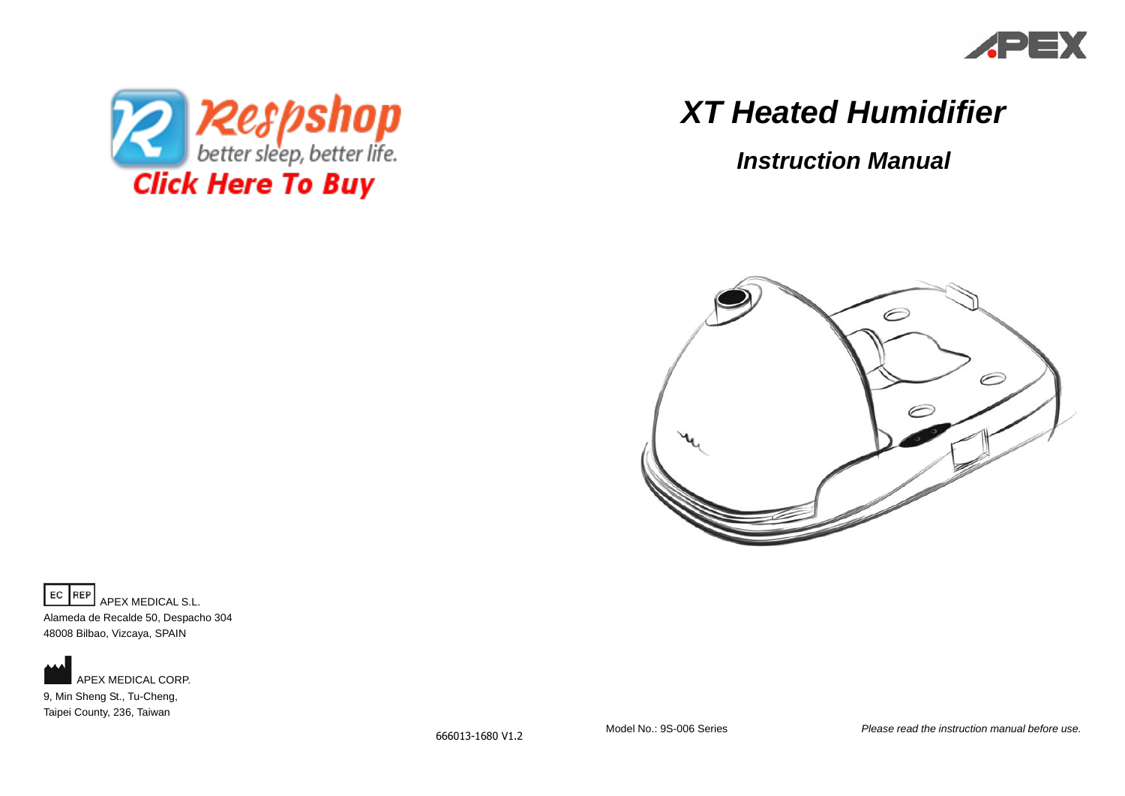



# *XT Heated Humidifier*

*Instruction Manual* 



EC REP APEX MEDICAL S.L. Alameda de Recalde 50, Despacho 304

48008 Bilbao, Vizcaya, SPAIN



APEX MEDICAL CORP. 9, Min Sheng St., Tu-Cheng, Taipei County, 236, Taiwan

666013-1680 V1.2

Model No.: 9S-006 Series *Please read the instruction manual before use.*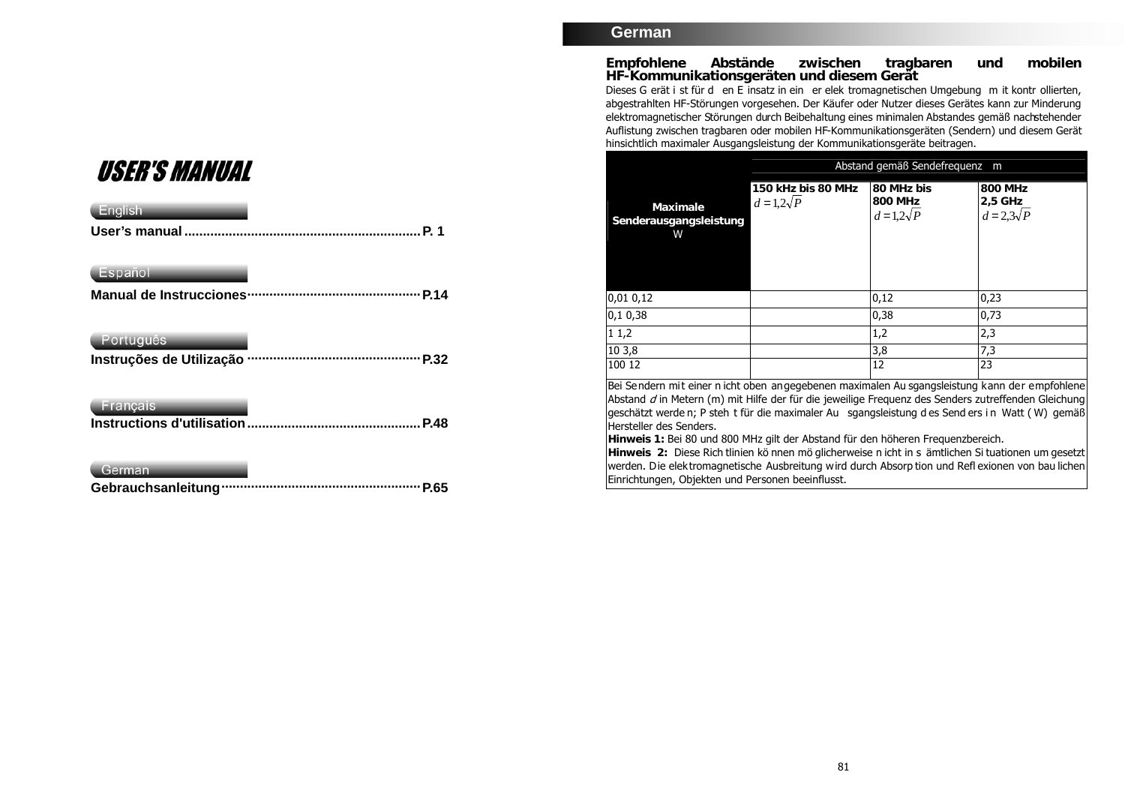# **USER'S MANUAL**

| English                   |             |
|---------------------------|-------------|
|                           | P. 1        |
| Español                   |             |
| Manual de Instrucciones · |             |
| Português                 |             |
| Instruções de Utilização  | P.32        |
| <b>Français</b>           |             |
|                           | <b>P.48</b> |
| German                    |             |
|                           | P.65        |

## **German**

**Empfohlene Abstände zwischen tragbaren und mobilen HF-Kommunikationsgeräten und diesem Gerät** 

Dieses G erät i st für d en E insatz in ein er elek tromagnetischen Umgebung m it kontr ollierten, abgestrahlten HF-Störungen vorgesehen. Der Käufer oder Nutzer dieses Gerätes kann zur Minderung elektromagnetischer Störungen durch Beibehaltung eines minimalen Abstandes gemäß nachstehender Auflistung zwischen tragbaren oder mobilen HF-Kommunikationsgeräten (Sendern) und diesem Gerät hinsichtlich maximaler Ausgangsleistung der Kommunikationsgeräte beitragen.

|                                                                                               | Abstand gemäß Sendefreguenz m            |                                          |                                         |
|-----------------------------------------------------------------------------------------------|------------------------------------------|------------------------------------------|-----------------------------------------|
| Maximale<br>Senderausgangsleistung<br>W                                                       | 150 kHz bis 80 MHz<br>$d = 1, 2\sqrt{P}$ | 80 MHz bis<br>800 MHz<br>$d=1,2\sqrt{P}$ | 800 MHz<br>$2,5$ GHz<br>$d=2,3\sqrt{P}$ |
| 0,01 0,12                                                                                     |                                          | 0,12                                     | 0,23                                    |
| 0,10,38                                                                                       |                                          | 0,38                                     | 0,73                                    |
| 11,2                                                                                          |                                          | 1,2                                      | 2,3                                     |
| 103,8                                                                                         |                                          | 3,8                                      | 7,3                                     |
| 100 12                                                                                        |                                          | 12                                       | 23                                      |
| Bei Sendern mit einer n icht oben angegebenen maximalen Au sgangsleistung kann der empfohlene |                                          |                                          |                                         |

Abstand d in Metern (m) mit Hilfe der für die jeweilige Frequenz des Senders zutreffenden Gleichung geschätzt werde n; P steh t für die maximaler Au sgangsleistung d es Send ers i n Watt ( W) gemäß Hersteller des Senders.

**Hinweis 1:** Bei 80 und 800 MHz gilt der Abstand für den höheren Frequenzbereich.

**Hinweis 2:** Diese Rich tlinien kö nnen mö glicherweise n icht in s ämtlichen Si tuationen um gesetzt werden. Die elektromagnetische Ausbreitung wird durch Absorp tion und Refl exionen von bau lichen Einrichtungen, Objekten und Personen beeinflusst.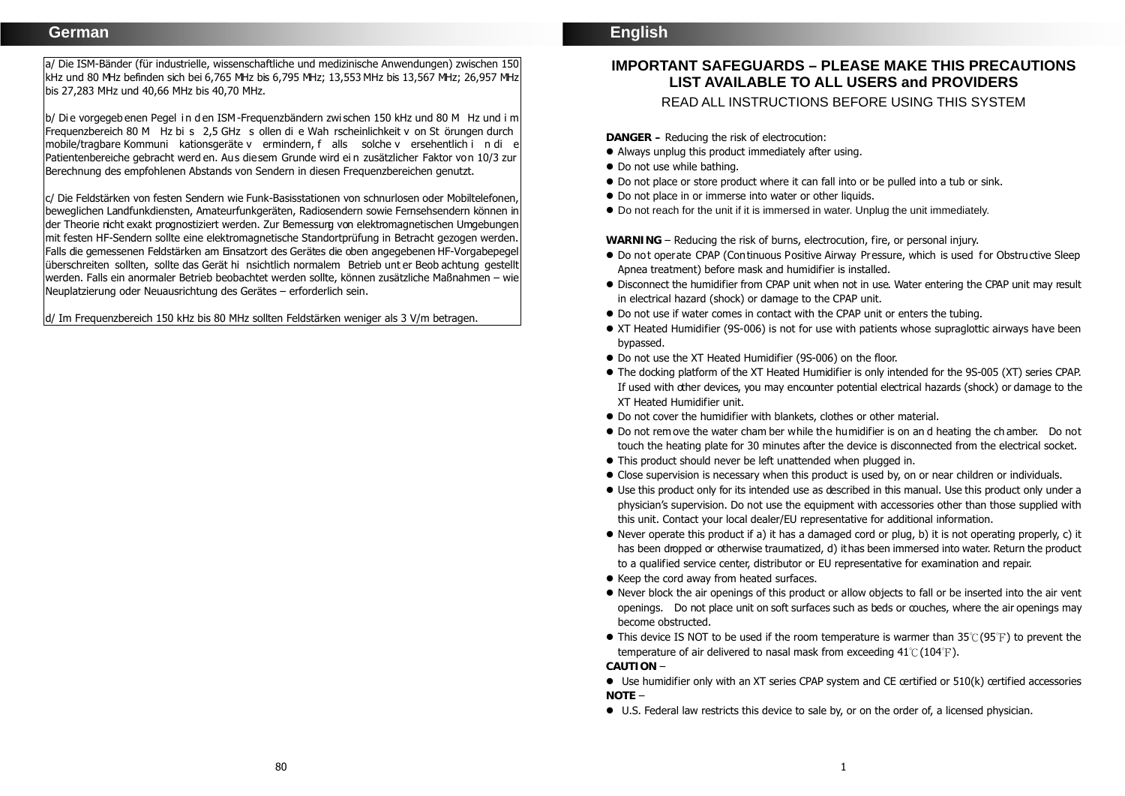a/ Die ISM-Bänder (für industrielle, wissenschaftliche und medizinische Anwendungen) zwischen 150 kHz und 80 MHz befinden sich bei 6,765 MHz bis 6,795 MHz; 13,553 MHz bis 13,567 MHz; 26,957 MHz bis 27,283 MHz und 40,66 MHz bis 40,70 MHz.

b/ Die vorgegeb enen Pegel in d en ISM-Frequenzbändern zwischen 150 kHz und 80 M Hz und i <sup>m</sup> Frequenzbereich 80 M Hz bi s 2,5 GHz <sup>s</sup> ollen di e Wah rscheinlichkeit v on St örungen durch mobile/tragbare Kommuni kationsgeräte v ermindern, f alls solche v ersehentlich i n di <sup>e</sup> Patientenbereiche gebracht werd en. Aus diesem Grunde wird ei n zusätzlicher Faktor von 10/3 zur Berechnung des empfohlenen Abstands von Sendern in diesen Frequenzbereichen genutzt.

c/ Die Feldstärken von festen Sendern wie Funk-Basisstationen von schnurlosen oder Mobiltelefonen, beweglichen Landfunkdiensten, Amateurfunkgeräten, Radiosendern sowie Fernsehsendern können in der Theorie nicht exakt prognostiziert werden. Zur Bemessung von elektromagnetischen Umgebungen mit festen HF-Sendern sollte eine elektromagnetische Standortprüfung in Betracht gezogen werden. Falls die gemessenen Feldstärken am Einsatzort des Gerätes die oben angegebenen HF-Vorgabepegel überschreiten sollten, sollte das Gerät hi nsichtlich normalem Betrieb unt er Beob achtung gestellt werden. Falls ein anormaler Betrieb beobachtet werden sollte, können zusätzliche Maßnahmen – wie Neuplatzierung oder Neuausrichtung des Gerätes – erforderlich sein.

d/ Im Frequenzbereich 150 kHz bis 80 MHz sollten Feldstärken weniger als 3 V/m betragen.

# **IMPORTANT SAFEGUARDS – PLEASE MAKE THIS PRECAUTIONS LIST AVAILABLE TO ALL USERS and PROVIDERS**

READ ALL INSTRUCTIONS BEFORE USING THIS SYSTEM

**DANGER –** Reducing the risk of electrocution:

- Always unplug this product immediately after using.
- Do not use while bathing.
- Do not place or store product where it can fall into or be pulled into a tub or sink.
- Do not place in or immerse into water or other liquids.
- Do not reach for the unit if it is immersed in water. Unplug the unit immediately.

WARNING – Reducing the risk of burns, electrocution, fire, or personal injury.

- Do not operate CPAP (Continuous Positive Airway Pressure, which is used for Obstructive Sleep Apnea treatment) before mask and humidifier is installed.
- Disconnect the humidifier from CPAP unit when not in use. Water entering the CPAP unit may result in electrical hazard (shock) or damage to the CPAP unit.
- Do not use if water comes in contact with the CPAP unit or enters the tubing.
- XT Heated Humidifier (9S-006) is not for use with patients whose supraglottic airways have been bypassed.
- Do not use the XT Heated Humidifier (9S-006) on the floor.
- The docking platform of the XT Heated Humidifier is only intended for the 9S-005 (XT) series CPAP. If used with other devices, you may encounter potential electrical hazards (shock) or damage to the XT Heated Humidifier unit.
- Do not cover the humidifier with blankets, clothes or other material.
- Do not rem ove the water cham ber while the humidifier is on an d heating the ch amber. Do not touch the heating plate for 30 minutes after the device is disconnected from the electrical socket.
- This product should never be left unattended when plugged in.
- Close supervision is necessary when this product is used by, on or near children or individuals.
- Use this product only for its intended use as described in this manual. Use this product only under a physician's supervision. Do not use the equipment with accessories other than those supplied with this unit. Contact your local dealer/EU representative for additional information.
- Never operate this product if a) it has a damaged cord or plug, b) it is not operating properly, c) it has been dropped or otherwise traumatized, d) it has been immersed into water. Return the product to a qualified service center, distributor or EU representative for examination and repair.
- Keep the cord away from heated surfaces.
- Never block the air openings of this product or allow objects to fall or be inserted into the air vent openings. Do not place unit on soft surfaces such as beds or couches, where the air openings may become obstructed.
- $\bullet$  This device IS NOT to be used if the room temperature is warmer than 35°C (95°F) to prevent the temperature of air delivered to nasal mask from exceeding  $41^{\circ}C(104^{\circ}F)$ . **CAUTION** –

 $\bullet$  Use humidifier only with an XT series CPAP system and CE certified or  $510(k)$  certified accessories **NOTE** –

U.S. Federal law restricts this device to sale by, or on the order of, a licensed physician.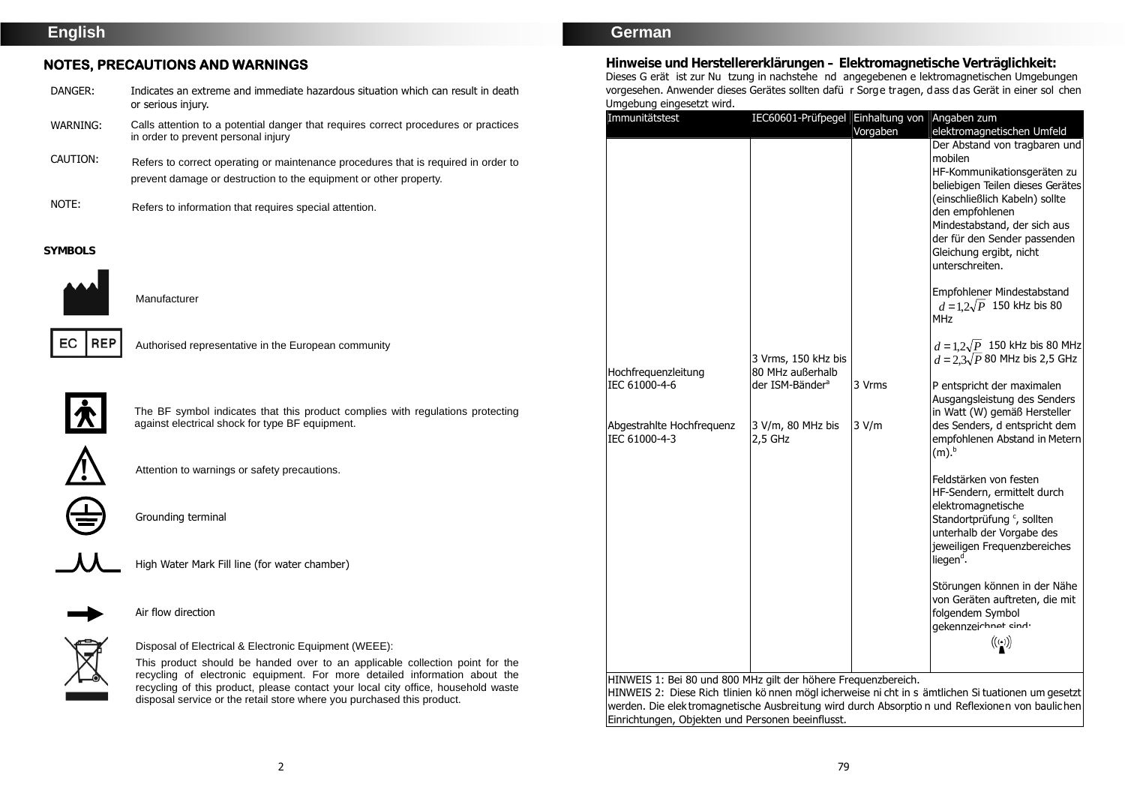# **English**

## **NOTES, PRECAUTIONS AND WARNINGS**

| DANGER:  | Indicates an extreme and immediate hazardous situation which can result in death<br>or serious injury.                                                  |
|----------|---------------------------------------------------------------------------------------------------------------------------------------------------------|
| WARNING: | Calls attention to a potential danger that requires correct procedures or practices<br>in order to prevent personal injury                              |
| CAUTION: | Refers to correct operating or maintenance procedures that is required in order to<br>prevent damage or destruction to the equipment or other property. |

NOTE: Refers to information that requires special attention.

#### **SYMBOLS**



Manufacturer



Authorised representative in the European community



The BF symbol indicates that this product complies with regulations protecting against electrical shock for type BF equipment.





Grounding terminal



High Water Mark Fill line (for water chamber)

Attention to warnings or safety precautions.



Air flow direction



Disposal of Electrical & Electronic Equipment (WEEE):

This product should be handed over to an applicable collection point for the recycling of electronic equipment. For more detailed information about the recycling of this product, please contact your local city office, household waste disposal service or the retail store where you purchased this product.

## **German**

**Hinweise und Herstellererklärungen – Elektromagnetische Verträglichkeit:**  Dieses G erät ist zur Nu tzung in nachstehe nd angegebenen e lektromagnetischen Umgebungen vorgesehen. Anwender dieses Gerätes sollten dafü r Sorge tragen, dass das Gerät in einer sol chen Umgebung eingesetzt wird.

| Immunitätstest                                                                     | IEC60601-Prüfpegel Einhaltung von Angaben zum                                                            |                             |                                                                                                                                                                                                                                                                                                                                                                                                                                                                                                                                                                                                                                                                                                                                                                                                                                                                                                                                                                                                |
|------------------------------------------------------------------------------------|----------------------------------------------------------------------------------------------------------|-----------------------------|------------------------------------------------------------------------------------------------------------------------------------------------------------------------------------------------------------------------------------------------------------------------------------------------------------------------------------------------------------------------------------------------------------------------------------------------------------------------------------------------------------------------------------------------------------------------------------------------------------------------------------------------------------------------------------------------------------------------------------------------------------------------------------------------------------------------------------------------------------------------------------------------------------------------------------------------------------------------------------------------|
| Hochfrequenzleitung<br>IEC 61000-4-6<br>Abgestrahlte Hochfrequenz<br>IEC 61000-4-3 | 3 Vrms, 150 kHz bis<br>80 MHz außerhalb<br>der ISM-Bänder <sup>a</sup><br>3 V/m, 80 MHz bis<br>$2,5$ GHz | Vorgaben<br>3 Vrms<br>3 V/m | elektromagnetischen Umfeld<br>Der Abstand von tragbaren und<br>mobilen<br>HF-Kommunikationsgeräten zu<br>beliebigen Teilen dieses Gerätes<br>(einschließlich Kabeln) sollte<br>den empfohlenen<br>Mindestabstand, der sich aus<br>der für den Sender passenden<br>Gleichung ergibt, nicht<br>unterschreiten.<br>Empfohlener Mindestabstand<br>$d = 1.2\sqrt{P}$ 150 kHz bis 80<br><b>MHz</b><br>$d = 1.2\sqrt{P}$ 150 kHz bis 80 MHz<br>$d = 2.3\sqrt{P}$ 80 MHz bis 2,5 GHz<br>P entspricht der maximalen<br>Ausgangsleistung des Senders<br>in Watt (W) gemäß Hersteller<br>des Senders, d entspricht dem<br>empfohlenen Abstand in Metern<br>(m). <sup>b</sup><br>Feldstärken von festen<br>HF-Sendern, ermittelt durch<br>elektromagnetische<br>Standortprüfung <sup>c</sup> , sollten<br>unterhalb der Vorgabe des<br>jeweiligen Frequenzbereiches<br>liegen <sup>d</sup> .<br>Störungen können in der Nähe<br>von Geräten auftreten, die mit<br>folgendem Symbol<br>gekennzeichnet eind. |
| HINWEIS 1: Bei 80 und 800 MHz gilt der höhere Frequenzbereich.                     |                                                                                                          |                             |                                                                                                                                                                                                                                                                                                                                                                                                                                                                                                                                                                                                                                                                                                                                                                                                                                                                                                                                                                                                |

werden. Die elektromagnetische Ausbreitung wird durch Absorptio n und Reflexionen von baulichen Einrichtungen, Objekten und Personen beeinflusst.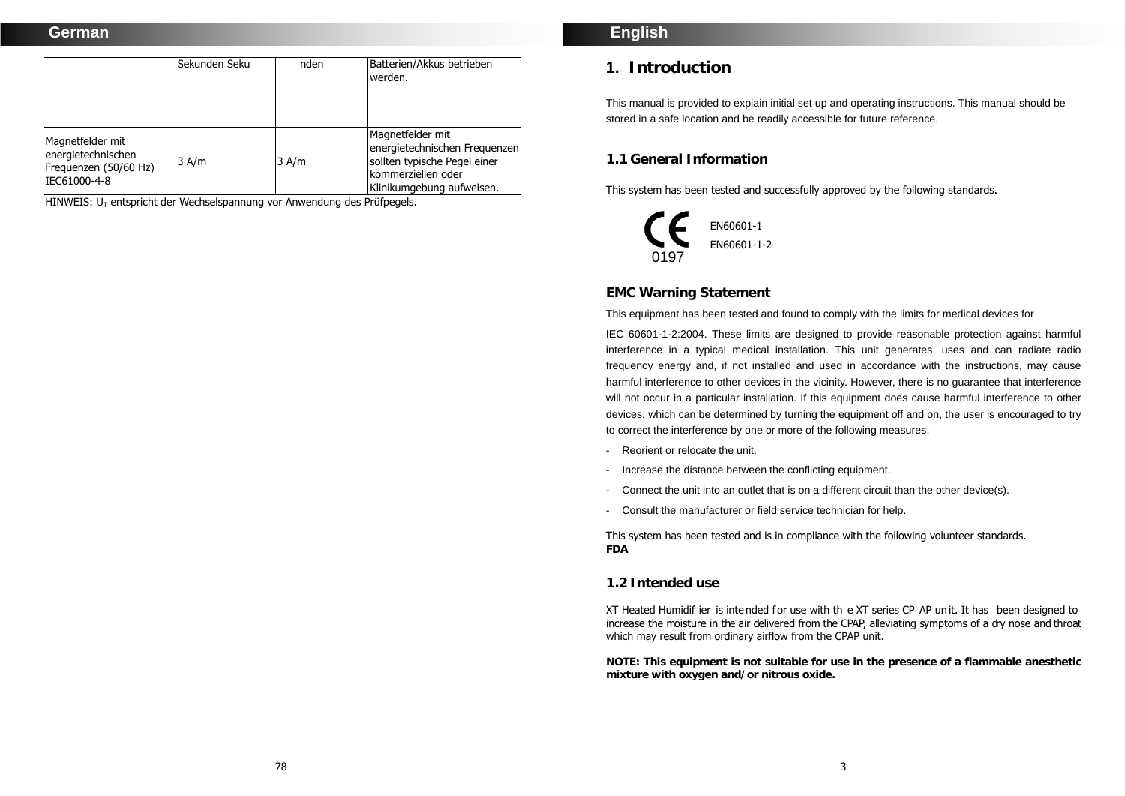## **German**

|                                                                                          | Sekunden Seku | nden  | Batterien/Akkus betrieben<br>werden.                                                                                                  |
|------------------------------------------------------------------------------------------|---------------|-------|---------------------------------------------------------------------------------------------------------------------------------------|
| Magnetfelder mit<br>energietechnischen<br>Frequenzen (50/60 Hz)<br>IEC61000-4-8          | 3 A/m         | 3 A/m | Magnetfelder mit<br>energietechnischen Freguenzen<br>sollten typische Pegel einer<br>Ikommerziellen oder<br>Klinikumgebung aufweisen. |
| $ $ HINWEIS: U <sub>T</sub> entspricht der Wechselspannung vor Anwendung des Prüfpegels. |               |       |                                                                                                                                       |

## **English**

# **1. Introduction**

This manual is provided to explain initial set up and operating instructions. This manual should be stored in a safe location and be readily accessible for future reference.

## **1.1 General Information**

This system has been tested and successfully approved by the following standards.



## **EMC Warning Statement**

This equipment has been tested and found to comply with the limits for medical devices for

IEC 60601-1-2:2004. These limits are designed to provide reasonable protection against harmful interference in a typical medical installation. This unit generates, uses and can radiate radio frequency energy and, if not installed and used in accordance with the instructions, may cause harmful interference to other devices in the vicinity. However, there is no guarantee that interference will not occur in a particular installation. If this equipment does cause harmful interference to other devices, which can be determined by turning the equipment off and on, the user is encouraged to try to correct the interference by one or more of the following measures:

- Reorient or relocate the unit.
- Increase the distance between the conflicting equipment.
- Connect the unit into an outlet that is on a different circuit than the other device(s).
- Consult the manufacturer or field service technician for help.

This system has been tested and is in compliance with the following volunteer standards. **FDA** 

#### **1.2 Intended use**

XT Heated Humidif ier is inte nded for use with th e XT series CP AP un it. It has been designed to increase the moisture in the air delivered from the CPAP, alleviating symptoms of a dry nose and throat which may result from ordinary airflow from the CPAP unit.

**NOTE: This equipment is not suitable for use in the presence of a flammable anesthetic mixture with oxygen and/or nitrous oxide.**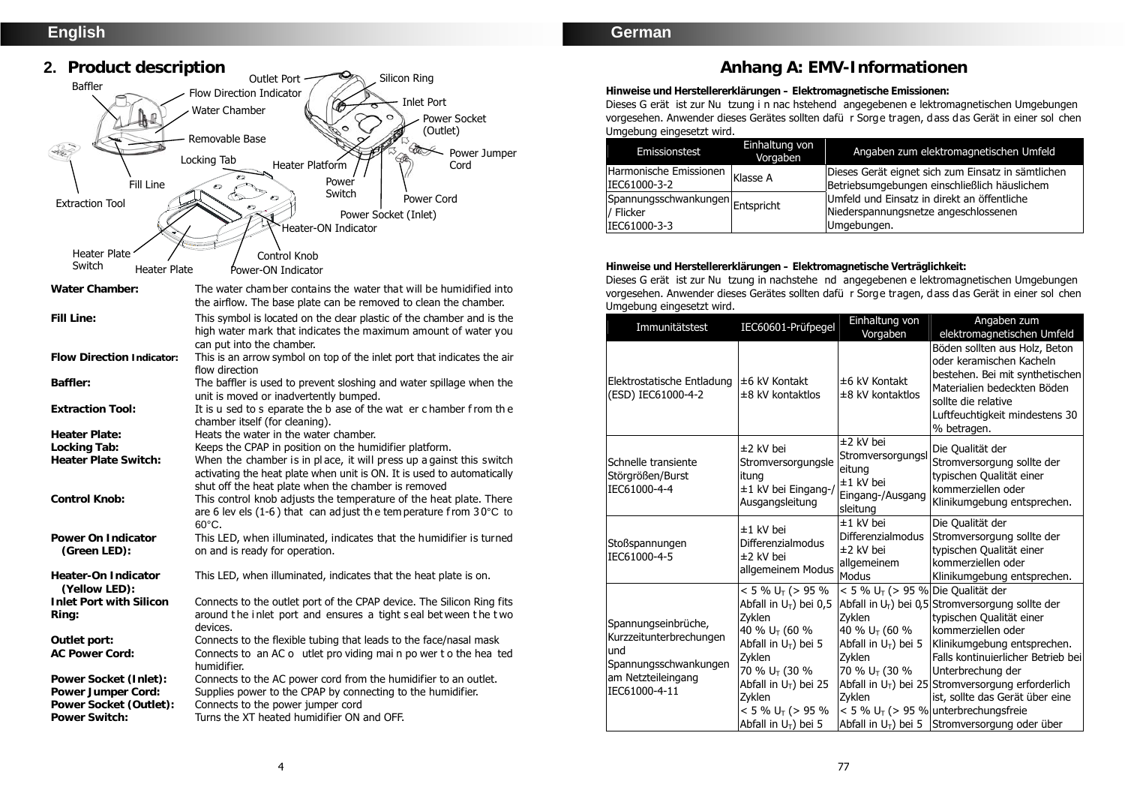# **English**



## **German**

# **Anhang A: EMV-Informationen**

**Hinweise und Herstellererklärungen – Elektromagnetische Emissionen:** 

Dieses G erät ist zur Nu tzung i n nac hstehend angegebenen e lektromagnetischen Umgebungen vorgesehen. Anwender dieses Gerätes sollten dafü r Sorge tragen, dass das Gerät in einer sol chen Umgebung eingesetzt wird.

| Emissionstest                    | Einhaltung von<br>Vorgaben | Angaben zum elektromagnetischen Umfeld             |
|----------------------------------|----------------------------|----------------------------------------------------|
| Harmonische Emissionen Klasse A  |                            | Dieses Gerät eignet sich zum Einsatz in sämtlichen |
| IEC61000-3-2                     |                            | Betriebsumgebungen einschließlich häuslichem       |
| Spannungsschwankungen Entspricht |                            | Umfeld und Einsatz in direkt an öffentliche        |
| / Flicker                        |                            | Niederspannungsnetze angeschlossenen               |
| IEC61000-3-3                     |                            | Umgebungen.                                        |

**Hinweise und Herstellererklärungen – Elektromagnetische Verträglichkeit:** 

Dieses G erät ist zur Nu tzung in nachstehe nd angegebenen e lektromagnetischen Umgebungen vorgesehen. Anwender dieses Gerätes sollten dafü r Sorge tragen, dass das Gerät in einer sol chen Umgebung eingesetzt wird.

| Immunitätstest                                                                                                        | IEC60601-Prüfpegel                                                                                                                                                                                                                                  | Einhaltung von                                                                                                                                                                                | Angaben zum                                                                                                                                                                                                                                                                                                                                                                        |
|-----------------------------------------------------------------------------------------------------------------------|-----------------------------------------------------------------------------------------------------------------------------------------------------------------------------------------------------------------------------------------------------|-----------------------------------------------------------------------------------------------------------------------------------------------------------------------------------------------|------------------------------------------------------------------------------------------------------------------------------------------------------------------------------------------------------------------------------------------------------------------------------------------------------------------------------------------------------------------------------------|
|                                                                                                                       |                                                                                                                                                                                                                                                     | Vorgaben                                                                                                                                                                                      | elektromagnetischen Umfeld                                                                                                                                                                                                                                                                                                                                                         |
| Elektrostatische Entladung<br>(ESD) IEC61000-4-2                                                                      | $±6$ kV Kontakt<br>$±8$ kV kontaktlos                                                                                                                                                                                                               | ±6 kV Kontakt<br>±8 kV kontaktlos                                                                                                                                                             | Böden sollten aus Holz, Beton<br>oder keramischen Kacheln<br>bestehen. Bei mit synthetischen<br>Materialien bedeckten Böden<br>sollte die relative<br>Luftfeuchtigkeit mindestens 30<br>% betragen.                                                                                                                                                                                |
| Schnelle transiente<br>Störgrößen/Burst<br>IEC61000-4-4                                                               | ±2 kV bei<br>Stromversorgungsle<br>itung<br>±1 kV bei Eingang-/<br>Ausgangsleitung                                                                                                                                                                  | ±2 kV bei<br>Stromversorgungsl<br>eitung<br>±1 kV bei<br>Eingang-/Ausgang<br>sleitung                                                                                                         | Die Qualität der<br>Stromversorgung sollte der<br>typischen Qualität einer<br>kommerziellen oder<br>Klinikumgebung entsprechen.                                                                                                                                                                                                                                                    |
| Stoßspannungen<br>IEC61000-4-5                                                                                        | $±1$ kV hei<br>Differenzialmodus<br>±2 kV bei<br>allgemeinem Modus                                                                                                                                                                                  | ±1 kV bei<br>Differenzialmodus<br>±2 kV bei<br>allgemeinem<br><b>Modus</b>                                                                                                                    | Die Qualität der<br>Stromversorgung sollte der<br>typischen Qualität einer<br>kommerziellen oder<br>Klinikumgebung entsprechen.                                                                                                                                                                                                                                                    |
| Spannungseinbrüche,<br>Kurzzeitunterbrechungen<br>und<br>Spannungsschwankungen<br>am Netzteileingang<br>IEC61000-4-11 | $< 5 \% U_T$ (> 95 %<br>Abfall in $U_T$ ) bei 0,5<br>Zvklen<br>40 % U <sub>T</sub> (60 %<br>Abfall in $U_T$ ) bei 5<br>Zvklen<br>70 % U <sub>T</sub> (30 %<br>Abfall in $U_T$ ) bei 25<br>Zyklen<br>$< 5 \% U_T$ (> 95 %<br>Abfall in $U_T$ ) bei 5 | $< 5$ % U <sub>T</sub> (> 95 % Die Qualität der<br>Zvklen<br>40 % U <sub>T</sub> (60 %<br>Abfall in $U_T$ ) bei 5<br>Zvklen<br>70 % U <sub>T</sub> (30 %<br>Zyklen<br>Abfall in $U_T$ ) bei 5 | Abfall in $U_T$ ) bei 0,5 Stromversorgung sollte der<br>typischen Qualität einer<br>kommerziellen oder<br>Klinikumgebung entsprechen.<br>Falls kontinuierlicher Betrieb bei<br>Unterbrechung der<br>Abfall in $U_T$ ) bei 25 Stromversorgung erforderlich<br>ist, sollte das Gerät über eine<br>$< 5$ % U <sub>T</sub> ( $> 95$ % unterbrechungsfreie<br>Stromversorgung oder über |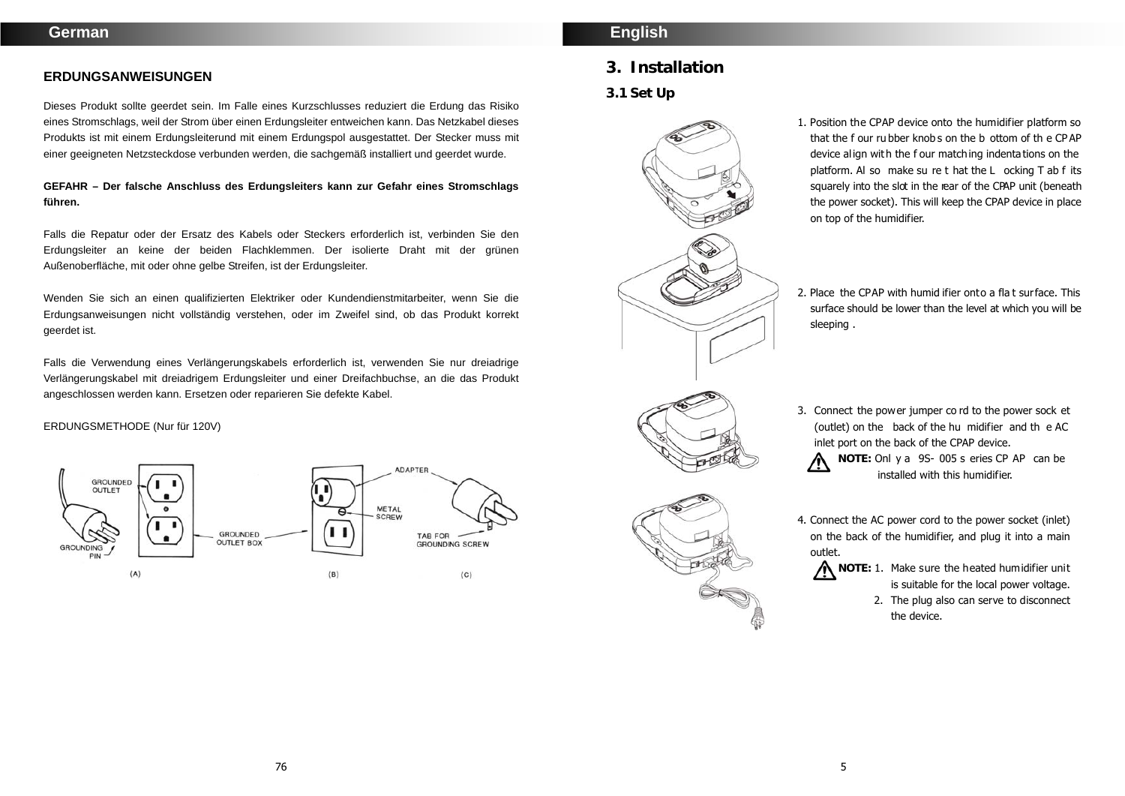#### **ERDUNGSANWEISUNGEN**

Dieses Produkt sollte geerdet sein. Im Falle eines Kurzschlusses reduziert die Erdung das Risiko eines Stromschlags, weil der Strom über einen Erdungsleiter entweichen kann. Das Netzkabel dieses Produkts ist mit einem Erdungsleiterund mit einem Erdungspol ausgestattet. Der Stecker muss mit einer geeigneten Netzsteckdose verbunden werden, die sachgemäß installiert und geerdet wurde.

## **GEFAHR – Der falsche Anschluss des Erdungsleiters kann zur Gefahr eines Stromschlags führen.**

Falls die Repatur oder der Ersatz des Kabels oder Steckers erforderlich ist, verbinden Sie den Erdungsleiter an keine der beiden Flachklemmen. Der isolierte Draht mit der grünen Außenoberfläche, mit oder ohne gelbe Streifen, ist der Erdungsleiter.

Wenden Sie sich an einen qualifizierten Elektriker oder Kundendienstmitarbeiter, wenn Sie die Erdungsanweisungen nicht vollständig verstehen, oder im Zweifel sind, ob das Produkt korrekt geerdet ist.

Falls die Verwendung eines Verlängerungskabels erforderlich ist, verwenden Sie nur dreiadrige Verlängerungskabel mit dreiadrigem Erdungsleiter und einer Dreifachbuchse, an die das Produkt angeschlossen werden kann. Ersetzen oder reparieren Sie defekte Kabel.

#### ERDUNGSMETHODE (Nur für 120V)



# **English**

## **3. Installation**

**3.1 Set Up** 



- 1. Position the CPAP device onto the humidifier platform so that the f our ru bber knob s on the b ottom of th e CPAP device align with the f our matching indentations on the platform. Al so make su re t hat the L ocking T ab f its squarely into the slot in the rear of the CPAP unit (beneath the power socket). This will keep the CPAP device in place on top of the humidifier.
- 2. Place the CPAP with humid ifier onto a fla t surface. This surface should be lower than the level at which you will be sleeping .
- 3. Connect the power jumper co rd to the power sock et (outlet) on the back of the hu midifier and th e AC inlet port on the back of the CPAP device. **NOTE:** Onl y a 9S- 005 s eries CP AP can be installed with this humidifier.
- 4. Connect the AC power cord to the power socket (inlet) on the back of the humidifier, and plug it into a main outlet.

**NOTE:** 1. Make sure the heated humidifier unit is suitable for the local power voltage.

> 2. The plug also can serve to disconnect the device.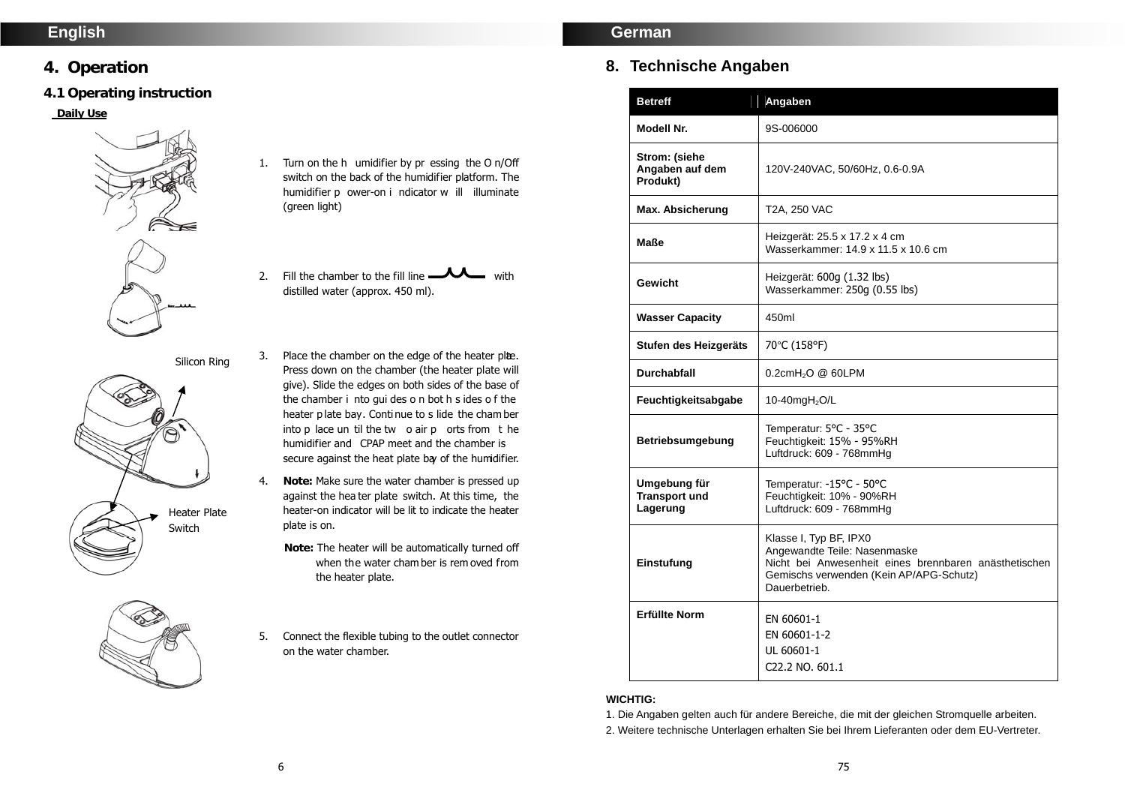# **English**

# **4. Operation**

# **4.1 Operating instruction**

## **Daily Use**



- 1. Turn on the h umidifier by pr essing the O n/Off switch on the back of the humidifier platform. The humidifier p ower-on i ndicator w ill illuminate (green light)
- 2. Fill the chamber to the fill line  $\longrightarrow \longrightarrow$  with distilled water (approx. 450 ml).

3. Place the chamber on the edge of the heater plee.

Silicon Ring



- Press down on the chamber (the heater plate will give). Slide the edges on both sides of the base of the chamber i nto gui des o n bot h s ides o f the heater p late bay. Conti nue to s lide the cham ber into p lace un til the tw o air p orts from t he humidifier and CPAP meet and the chamber is secure against the heat plate bay of the humidifier.
	- 4. **Note:** Make sure the water chamber is pressed up against the hea ter plate switch. At this time, the heater-on indicator will be lit to indicate the heater plate is on.
		- **Note:** The heater will be automatically turned off when the water cham ber is rem oved from the heater plate.
	- 5. Connect the flexible tubing to the outlet connector on the water chamber.

# **German**

# **8. Technische Angaben**

| <b>Betreff</b>                                   | Angaben                                                                                                                                                                     |  |
|--------------------------------------------------|-----------------------------------------------------------------------------------------------------------------------------------------------------------------------------|--|
| Modell Nr.                                       | 9S-006000                                                                                                                                                                   |  |
| Strom: (siehe<br>Angaben auf dem<br>Produkt)     | 120V-240VAC, 50/60Hz, 0.6-0.9A                                                                                                                                              |  |
| Max. Absicherung                                 | T2A, 250 VAC                                                                                                                                                                |  |
| Maße                                             | Heizgerät: 25.5 x 17.2 x 4 cm<br>Wasserkammer: 14.9 x 11.5 x 10.6 cm                                                                                                        |  |
| Gewicht                                          | Heizgerät: 600g (1.32 lbs)<br>Wasserkammer: 250g (0.55 lbs)                                                                                                                 |  |
| <b>Wasser Capacity</b>                           | 450ml                                                                                                                                                                       |  |
| Stufen des Heizgeräts                            | 70°C (158°F)                                                                                                                                                                |  |
| <b>Durchabfall</b>                               | $0.2$ cmH <sub>2</sub> O @ 60LPM                                                                                                                                            |  |
| Feuchtigkeitsabgabe                              | 10-40 $mgH2O/L$                                                                                                                                                             |  |
| Betriebsumgebung                                 | Temperatur: 5°C - 35°C<br>Feuchtigkeit: 15% - 95%RH<br>Luftdruck: 609 - 768mmHg                                                                                             |  |
| Umgebung für<br><b>Transport und</b><br>Lagerung | Temperatur: -15°C - 50°C<br>Feuchtigkeit: 10% - 90%RH<br>Luftdruck: 609 - 768mmHg                                                                                           |  |
| Einstufung                                       | Klasse I, Typ BF, IPX0<br>Angewandte Teile: Nasenmaske<br>Nicht bei Anwesenheit eines brennbaren anästhetischen<br>Gemischs verwenden (Kein AP/APG-Schutz)<br>Dauerbetrieb. |  |
| <b>Erfüllte Norm</b>                             | EN 60601-1<br>EN 60601-1-2<br>UL 60601-1<br>C22.2 NO. 601.1                                                                                                                 |  |

### **WICHTIG:**

1. Die Angaben gelten auch für andere Bereiche, die mit der gleichen Stromquelle arbeiten.

2. Weitere technische Unterlagen erhalten Sie bei Ihrem Lieferanten oder dem EU-Vertreter.

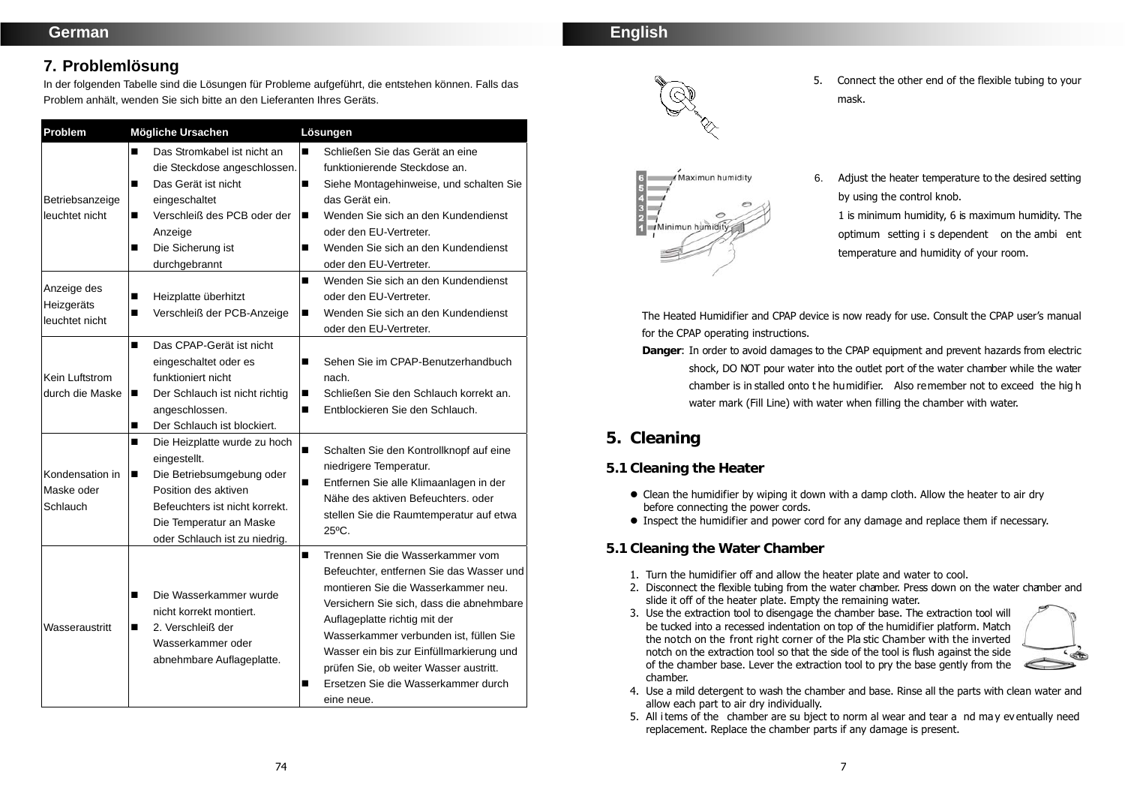# **7. Problemlösung**

In der folgenden Tabelle sind die Lösungen für Probleme aufgeführt, die entstehen können. Falls das Problem anhält, wenden Sie sich bitte an den Lieferanten Ihres Geräts.

| Problem                                     | Mögliche Ursachen                                                                                                                                                                                         | Lösungen                                                                                                                                                                                                                                                                                                                                                                                        |
|---------------------------------------------|-----------------------------------------------------------------------------------------------------------------------------------------------------------------------------------------------------------|-------------------------------------------------------------------------------------------------------------------------------------------------------------------------------------------------------------------------------------------------------------------------------------------------------------------------------------------------------------------------------------------------|
| Betriebsanzeige<br>leuchtet nicht           | Das Stromkabel ist nicht an<br>П<br>die Steckdose angeschlossen.<br>Das Gerät ist nicht<br>■<br>eingeschaltet<br>Verschleiß des PCB oder der<br>■<br>Anzeige<br>Die Sicherung ist<br>П<br>durchgebrannt   | Schließen Sie das Gerät an eine<br>п<br>funktionierende Steckdose an.<br>Siehe Montagehinweise, und schalten Sie<br>п<br>das Gerät ein.<br>Wenden Sie sich an den Kundendienst<br>п<br>oder den EU-Vertreter.<br>Wenden Sie sich an den Kundendienst<br>■<br>oder den EU-Vertreter.                                                                                                             |
| Anzeige des<br>Heizgeräts<br>leuchtet nicht | Heizplatte überhitzt<br>■<br>Verschleiß der PCB-Anzeige<br>П                                                                                                                                              | Wenden Sie sich an den Kundendienst<br>■<br>oder den EU-Vertreter.<br>Wenden Sie sich an den Kundendienst<br>п<br>oder den EU-Vertreter.                                                                                                                                                                                                                                                        |
| Kein Luftstrom<br>durch die Maske           | Das CPAP-Gerät ist nicht<br>П<br>eingeschaltet oder es<br>funktioniert nicht<br>Der Schlauch ist nicht richtig<br>п<br>angeschlossen.<br>Der Schlauch ist blockiert.<br>■                                 | Sehen Sie im CPAP-Benutzerhandbuch<br>■<br>nach.<br>Schließen Sie den Schlauch korrekt an.<br>п<br>Entblockieren Sie den Schlauch.<br>п                                                                                                                                                                                                                                                         |
| Kondensation in<br>Maske oder<br>Schlauch   | Die Heizplatte wurde zu hoch<br>■<br>eingestellt.<br>Die Betriebsumgebung oder<br>■<br>Position des aktiven<br>Befeuchters ist nicht korrekt.<br>Die Temperatur an Maske<br>oder Schlauch ist zu niedrig. | ■<br>Schalten Sie den Kontrollknopf auf eine<br>niedrigere Temperatur.<br>Entfernen Sie alle Klimaanlagen in der<br>■<br>Nähe des aktiven Befeuchters, oder<br>stellen Sie die Raumtemperatur auf etwa<br>$25^{\circ}$ C.                                                                                                                                                                       |
| Wasseraustritt                              | Die Wasserkammer wurde<br>П<br>nicht korrekt montiert.<br>2. Verschleiß der<br>■<br>Wasserkammer oder<br>abnehmbare Auflageplatte.                                                                        | Trennen Sie die Wasserkammer vom<br>п<br>Befeuchter, entfernen Sie das Wasser und<br>montieren Sie die Wasserkammer neu.<br>Versichern Sie sich, dass die abnehmbare<br>Auflageplatte richtig mit der<br>Wasserkammer verbunden ist, füllen Sie<br>Wasser ein bis zur Einfüllmarkierung und<br>prüfen Sie, ob weiter Wasser austritt.<br>Ersetzen Sie die Wasserkammer durch<br>■<br>eine neue. |





- 5. Connect the other end of the flexible tubing to your mask.
- 6. Adjust the heater temperature to the desired setting by using the control knob.

1 is minimum humidity, 6 is maximum humidity. The optimum setting i s dependent on the ambi ent temperature and humidity of your room.

The Heated Humidifier and CPAP device is now ready for use. Consult the CPAP user's manual for the CPAP operating instructions.

**Danger**: In order to avoid damages to the CPAP equipment and prevent hazards from electric shock, DO NOT pour water into the outlet port of the water chamber while the water chamber is in stalled onto t he humidifier. Also remember not to exceed the hig h water mark (Fill Line) with water when filling the chamber with water.

# **5. Cleaning**

# **5.1 Cleaning the Heater**

- Clean the humidifier by wiping it down with a damp cloth. Allow the heater to air dry before connecting the power cords.
- Inspect the humidifier and power cord for any damage and replace them if necessary.
- **5.1 Cleaning the Water Chamber** 
	- 1. Turn the humidifier off and allow the heater plate and water to cool.
	- 2. Disconnect the flexible tubing from the water chamber. Press down on the water chamber and slide it off of the heater plate. Empty the remaining water.
	- 3. Use the extraction tool to disengage the chamber base. The extraction tool will be tucked into a recessed indentation on top of the humidifier platform. Match the notch on the front right corner of the Pla stic Chamber with the inverted notch on the extraction tool so that the side of the tool is flush against the side of the chamber base. Lever the extraction tool to pry the base gently from the chamber.



- 4. Use a mild detergent to wash the chamber and base. Rinse all the parts with clean water and allow each part to air dry individually.
- 5. All i tems of the chamber are su bject to norm al wear and tear a nd may eventually need replacement. Replace the chamber parts if any damage is present.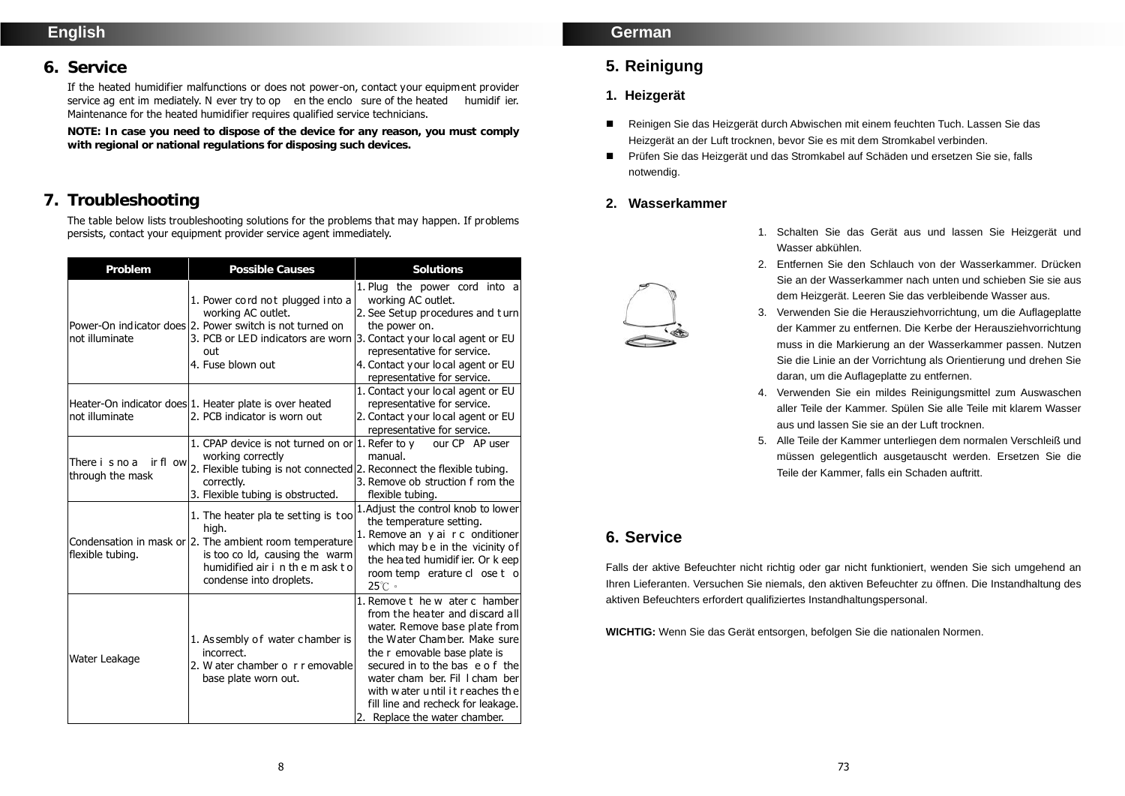# **English**

## **6. Service**

If the heated humidifier malfunctions or does not power-on, contact your equipment provider service ag ent im mediately. N ever try to op en the enclo sure of the heated humidif ier. Maintenance for the heated humidifier requires qualified service technicians.

**NOTE: In case you need to dispose of the device for any reason, you must comply with regional or national regulations for disposing such devices.** 

# **7. Troubleshooting**

The table below lists troubleshooting solutions for the problems that may happen. If problems persists, contact your equipment provider service agent immediately.

| Problem                                        | <b>Possible Causes</b>                                                                                                                                                                                                | Solutions                                                                                                                                                                                                                                                                                                                                         |
|------------------------------------------------|-----------------------------------------------------------------------------------------------------------------------------------------------------------------------------------------------------------------------|---------------------------------------------------------------------------------------------------------------------------------------------------------------------------------------------------------------------------------------------------------------------------------------------------------------------------------------------------|
| not illuminate                                 | 1. Power cord not plugged into a<br>working AC outlet.<br>Power-On indicator does 2. Power switch is not turned on<br>3. PCB or LED indicators are worn 3. Contact your local agent or EU<br>out<br>4. Fuse blown out | 1. Plug the power cord into a<br>working AC outlet.<br>2. See Setup procedures and turn<br>the power on.<br>representative for service.<br>4. Contact your local agent or EU<br>representative for service.                                                                                                                                       |
| not illuminate                                 | Heater-On indicator does 1. Heater plate is over heated<br>2. PCB indicator is worn out                                                                                                                               | 1. Contact your local agent or EU<br>representative for service.<br>2. Contact your local agent or EU<br>representative for service.                                                                                                                                                                                                              |
| ir fl ow<br>There i s no a<br>through the mask | 1. CPAP device is not turned on or 1. Refer to $y$ our CP AP user<br>working correctly<br>2. Flexible tubing is not connected 2. Reconnect the flexible tubing.<br>correctly.<br>3. Flexible tubing is obstructed.    | manual.<br>3. Remove ob struction f rom the<br>flexible tubing.                                                                                                                                                                                                                                                                                   |
| flexible tubing.                               | 1. The heater pla te set ting is too<br>high.<br>Condensation in mask or 2. The ambient room temperature<br>is too co ld, causing the warm<br>humidified air i n the m ask to<br>condense into droplets.              | 1. Adjust the control knob to lower<br>the temperature setting.<br>1. Remove an y ai r c onditioner<br>which may be in the vicinity of<br>the hea ted humidif ier. Or k eep<br>room temp erature close to<br>$25^\circ$ C $\circ$                                                                                                                 |
| Water Leakage                                  | 1. Assembly of water chamber is<br>incorrect.<br>2. W ater chamber o r r emovable<br>base plate worn out.                                                                                                             | 1. Remove t he w ater c hamber<br>from the heater and discard all<br>water. Remove base plate from<br>the Water Chamber. Make sure<br>the r emovable base plate is<br>secured in to the bas e o f the<br>water cham ber. Fil I cham ber<br>with water until it reaches the<br>fill line and recheck for leakage.<br>2. Replace the water chamber. |

## **German**

# **5. Reinigung**

## **1. Heizgerät**

- Reinigen Sie das Heizgerät durch Abwischen mit einem feuchten Tuch. Lassen Sie das Heizgerät an der Luft trocknen, bevor Sie es mit dem Stromkabel verbinden.
- Prüfen Sie das Heizgerät und das Stromkabel auf Schäden und ersetzen Sie sie, falls notwendig.

## **2. Wasserkammer**

- 1. Schalten Sie das Gerät aus und lassen Sie Heizgerät und Wasser abkühlen.
- 2. Entfernen Sie den Schlauch von der Wasserkammer. Drücken Sie an der Wasserkammer nach unten und schieben Sie sie aus dem Heizgerät. Leeren Sie das verbleibende Wasser aus.
- 3. Verwenden Sie die Herausziehvorrichtung, um die Auflageplatte der Kammer zu entfernen. Die Kerbe der Herausziehvorrichtung muss in die Markierung an der Wasserkammer passen. Nutzen Sie die Linie an der Vorrichtung als Orientierung und drehen Sie daran, um die Auflageplatte zu entfernen.
- 4. Verwenden Sie ein mildes Reinigungsmittel zum Auswaschen aller Teile der Kammer. Spülen Sie alle Teile mit klarem Wasser aus und lassen Sie sie an der Luft trocknen.
- 5. Alle Teile der Kammer unterliegen dem normalen Verschleiß und müssen gelegentlich ausgetauscht werden. Ersetzen Sie die Teile der Kammer, falls ein Schaden auftritt.

# **6. Service**

Falls der aktive Befeuchter nicht richtig oder gar nicht funktioniert, wenden Sie sich umgehend an Ihren Lieferanten. Versuchen Sie niemals, den aktiven Befeuchter zu öffnen. Die Instandhaltung des aktiven Befeuchters erfordert qualifiziertes Instandhaltungspersonal.

**WICHTIG:** Wenn Sie das Gerät entsorgen, befolgen Sie die nationalen Normen.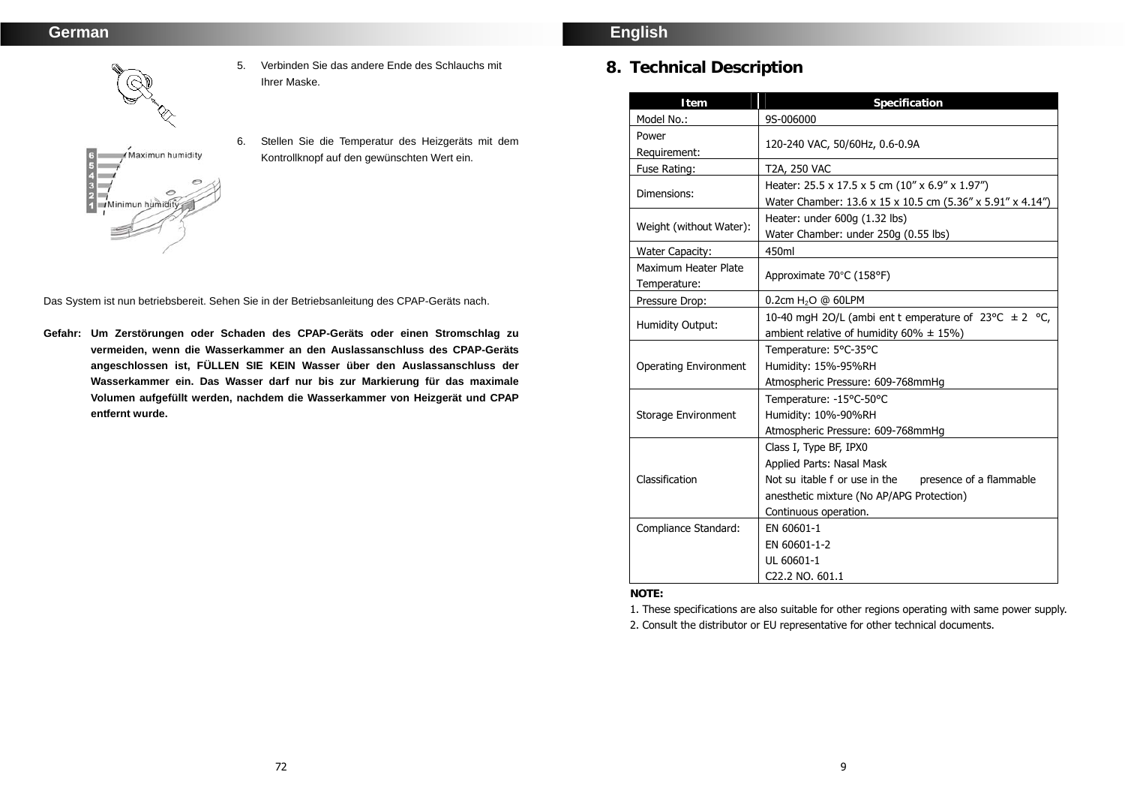

Minimun humidi

5. Verbinden Sie das andere Ende des Schlauchs mit Ihrer Maske.

6. Stellen Sie die Temperatur des Heizgeräts mit dem Kontrollknopf auf den gewünschten Wert ein.

Das System ist nun betriebsbereit. Sehen Sie in der Betriebsanleitung des CPAP-Geräts nach.

**Gefahr: Um Zerstörungen oder Schaden des CPAP-Geräts oder einen Stromschlag zu vermeiden, wenn die Wasserkammer an den Auslassanschluss des CPAP-Geräts angeschlossen ist, FÜLLEN SIE KEIN Wasser über den Auslassanschluss der Wasserkammer ein. Das Wasser darf nur bis zur Markierung für das maximale Volumen aufgefüllt werden, nachdem die Wasserkammer von Heizgerät und CPAP entfernt wurde.** 

# **English**

# **8. Technical Description**

| Item                                 | Specification                                                                                                                                                                      |  |
|--------------------------------------|------------------------------------------------------------------------------------------------------------------------------------------------------------------------------------|--|
| Model No.:                           | 9S-006000                                                                                                                                                                          |  |
| Power<br>Requirement:                | 120-240 VAC, 50/60Hz, 0.6-0.9A                                                                                                                                                     |  |
| Fuse Rating:                         | T2A, 250 VAC                                                                                                                                                                       |  |
| Dimensions:                          | Heater: 25.5 x 17.5 x 5 cm (10" x 6.9" x 1.97")<br>Water Chamber: 13.6 x 15 x 10.5 cm (5.36" x 5.91" x 4.14")                                                                      |  |
| Weight (without Water):              | Heater: under 600g (1.32 lbs)<br>Water Chamber: under 250g (0.55 lbs)                                                                                                              |  |
| <b>Water Capacity:</b>               | 450ml                                                                                                                                                                              |  |
| Maximum Heater Plate<br>Temperature: | Approximate 70°C (158°F)                                                                                                                                                           |  |
| Pressure Drop:                       | $0.2$ cm H <sub>2</sub> O @ 60LPM                                                                                                                                                  |  |
| <b>Humidity Output:</b>              | 10-40 mgH 2O/L (ambi ent t emperature of $23^{\circ}$ C $\pm$ 2 °C,<br>ambient relative of humidity $60\% \pm 15\%$ )                                                              |  |
| <b>Operating Environment</b>         | Temperature: 5°C-35°C<br>Humidity: 15%-95%RH<br>Atmospheric Pressure: 609-768mmHg                                                                                                  |  |
| Storage Environment                  | Temperature: -15°C-50°C<br>Humidity: 10%-90%RH<br>Atmospheric Pressure: 609-768mmHg                                                                                                |  |
| Classification                       | Class I, Type BF, IPX0<br>Applied Parts: Nasal Mask<br>Not su itable f or use in the presence of a flammable<br>anesthetic mixture (No AP/APG Protection)<br>Continuous operation. |  |
| Compliance Standard:                 | EN 60601-1<br>EN 60601-1-2<br>UL 60601-1<br>C <sub>22.2</sub> NO. 601.1                                                                                                            |  |

**NOTE:** 

1. These specifications are also suitable for other regions operating with same power supply. 2. Consult the distributor or EU representative for other technical documents.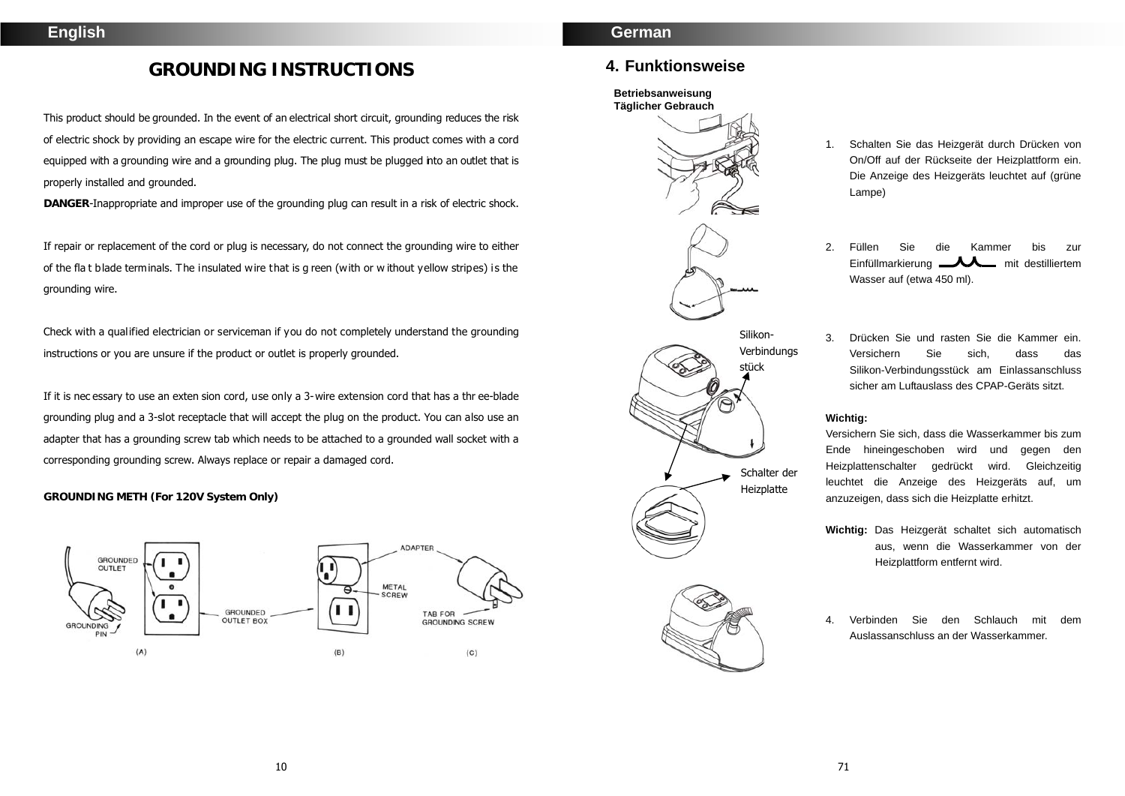# **GROUNDING INSTRUCTIONS**

This product should be grounded. In the event of an electrical short circuit, grounding reduces the risk of electric shock by providing an escape wire for the electric current. This product comes with a cord equipped with a grounding wire and a grounding plug. The plug must be plugged into an outlet that is properly installed and grounded.

**DANGER**-Inappropriate and improper use of the grounding plug can result in a risk of electric shock.

If repair or replacement of the cord or plug is necessary, do not connect the grounding wire to either of the fla t blade terminals. The insulated wire that is g reen (with or w ithout yellow stripes) is the grounding wire.

Check with a qualified electrician or serviceman if you do not completely understand the grounding instructions or you are unsure if the product or outlet is properly grounded.

If it is nec essary to use an exten sion cord, use only a 3-wire extension cord that has a thr ee-blade grounding plug and a 3-slot receptacle that will accept the plug on the product. You can also use an adapter that has a grounding screw tab which needs to be attached to a grounded wall socket with a corresponding grounding screw. Always replace or repair a damaged cord.

**GROUNDING METH (For 120V System Only)** 



## **German**

## **4. Funktionsweise**

#### **Betriebsanweisung Täglicher Gebrauch**



- 1. Schalten Sie das Heizgerät durch Drücken von On/Off auf der Rückseite der Heizplattform ein. Die Anzeige des Heizgeräts leuchtet auf (grüne Lampe)
- 2. Füllen Sie die Kammer bis zur  $E$ infüllmarkierung  $L$  $L$  mit destilliertem Wasser auf (etwa 450 ml).
- 3. Drücken Sie und rasten Sie die Kammer ein. Versichern Sie sich, dass das Silikon-Verbindungsstück am Einlassanschluss sicher am Luftauslass des CPAP-Geräts sitzt.

#### **Wichtig:**

Versichern Sie sich, dass die Wasserkammer bis zum Ende hineingeschoben wird und gegen den Heizplattenschalter gedrückt wird. Gleichzeitig leuchtet die Anzeige des Heizgeräts auf, um anzuzeigen, dass sich die Heizplatte erhitzt.

**Wichtig:** Das Heizgerät schaltet sich automatisch aus, wenn die Wasserkammer von der Heizplattform entfernt wird.

4. Verbinden Sie den Schlauch mit dem Auslassanschluss an der Wasserkammer.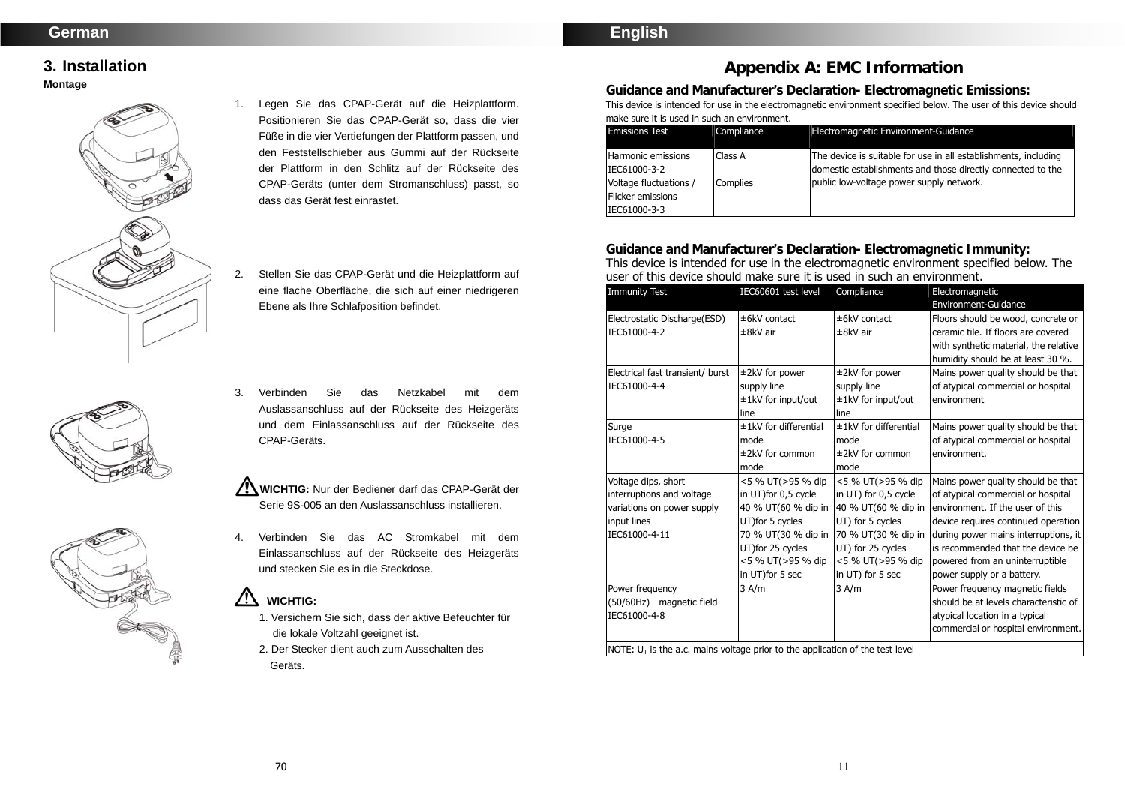# **English**

# **3. Installation Montage**







- 1. Legen Sie das CPAP-Gerät auf die Heizplattform. Positionieren Sie das CPAP-Gerät so, dass die vier Füße in die vier Vertiefungen der Plattform passen, und den Feststellschieber aus Gummi auf der Rückseite der Plattform in den Schlitz auf der Rückseite des CPAP-Geräts (unter dem Stromanschluss) passt, so dass das Gerät fest einrastet.
- 2. Stellen Sie das CPAP-Gerät und die Heizplattform auf eine flache Oberfläche, die sich auf einer niedrigeren Ebene als Ihre Schlafposition befindet.
- 3. Verbinden Sie das Netzkabel mit dem Auslassanschluss auf der Rückseite des Heizgeräts und dem Einlassanschluss auf der Rückseite des CPAP-Geräts.

**WICHTIG:** Nur der Bediener darf das CPAP-Gerät der Serie 9S-005 an den Auslassanschluss installieren.

4. Verbinden Sie das AC Stromkabel mit dem Einlassanschluss auf der Rückseite des Heizgeräts und stecken Sie es in die Steckdose.

# **WICHTIG:**

- 1. Versichern Sie sich, dass der aktive Befeuchter für die lokale Voltzahl geeignet ist.
- 2. Der Stecker dient auch zum Ausschalten des Geräts.

# **Appendix A: EMC Information**

**Guidance and Manufacturer's Declaration- Electromagnetic Emissions:**  This device is intended for use in the electromagnetic environment specified below. The user of this device should make sure it is used in such an environment.

| <b>Emissions Test</b>  | <b>Compliance</b> | Electromagnetic Environment-Guidance                            |
|------------------------|-------------------|-----------------------------------------------------------------|
|                        |                   |                                                                 |
| Harmonic emissions     | Class A           | The device is suitable for use in all establishments, including |
| IEC61000-3-2           |                   | domestic establishments and those directly connected to the     |
| Voltage fluctuations / | Complies          | public low-voltage power supply network.                        |
| Flicker emissions      |                   |                                                                 |
| IEC61000-3-3           |                   |                                                                 |

**Guidance and Manufacturer's Declaration- Electromagnetic Immunity:**  This device is intended for use in the electromagnetic environment specified below. The user of this device should make sure it is used in such an environment.

| <b>Immunity Test</b>                                                             | IEC60601 test level      | Compliance              | Electromagnetic                       |
|----------------------------------------------------------------------------------|--------------------------|-------------------------|---------------------------------------|
|                                                                                  |                          |                         | Environment-Guidance                  |
| Electrostatic Discharge(ESD)                                                     | ±6kV contact             | ±6kV contact            | Floors should be wood, concrete or    |
| IEC61000-4-2                                                                     | ±8kV air                 | ±8kV air                | ceramic tile. If floors are covered   |
|                                                                                  |                          |                         | with synthetic material, the relative |
|                                                                                  |                          |                         | humidity should be at least 30 %.     |
| Electrical fast transient/ burst                                                 | ±2kV for power           | ±2kV for power          | Mains power quality should be that    |
| IEC61000-4-4                                                                     | supply line              | supply line             | of atypical commercial or hospital    |
|                                                                                  | ±1kV for input/out       | ±1kV for input/out      | environment                           |
|                                                                                  | line                     | line                    |                                       |
| Surge                                                                            | $±1$ kV for differential | $±1kV$ for differential | Mains power quality should be that    |
| IEC61000-4-5                                                                     | mode                     | mode                    | of atypical commercial or hospital    |
|                                                                                  | $±2kV$ for common        | ±2kV for common         | environment.                          |
|                                                                                  | mode                     | mode                    |                                       |
| Voltage dips, short                                                              | <5 % UT(>95 % dip        | <5 % UT(>95 % dip       | Mains power quality should be that    |
| interruptions and voltage                                                        | in UT)for 0,5 cycle      | in UT) for 0,5 cycle    | of atypical commercial or hospital    |
| variations on power supply                                                       | 40 % UT(60 % dip in      | 40 % UT(60 % dip in     | environment. If the user of this      |
| input lines                                                                      | UT) for 5 cycles         | UT) for 5 cycles        | device requires continued operation   |
| IEC61000-4-11                                                                    | 70 % UT(30 % dip in      | 70 % UT(30 % dip in     | during power mains interruptions, it  |
|                                                                                  | UT)for 25 cycles         | UT) for 25 cycles       | is recommended that the device be     |
|                                                                                  | <5 % UT(>95 % dip        | <5 % UT(>95 % dip       | powered from an uninterruptible       |
|                                                                                  | in UT) for 5 sec         | in UT) for 5 sec        | power supply or a battery.            |
| Power frequency                                                                  | 3 A/m                    | 3 A/m                   | Power frequency magnetic fields       |
| (50/60Hz) magnetic field                                                         |                          |                         | should be at levels characteristic of |
| IEC61000-4-8                                                                     |                          |                         | atypical location in a typical        |
|                                                                                  |                          |                         | commercial or hospital environment.   |
| NOTE: $U_T$ is the a.c. mains voltage prior to the application of the test level |                          |                         |                                       |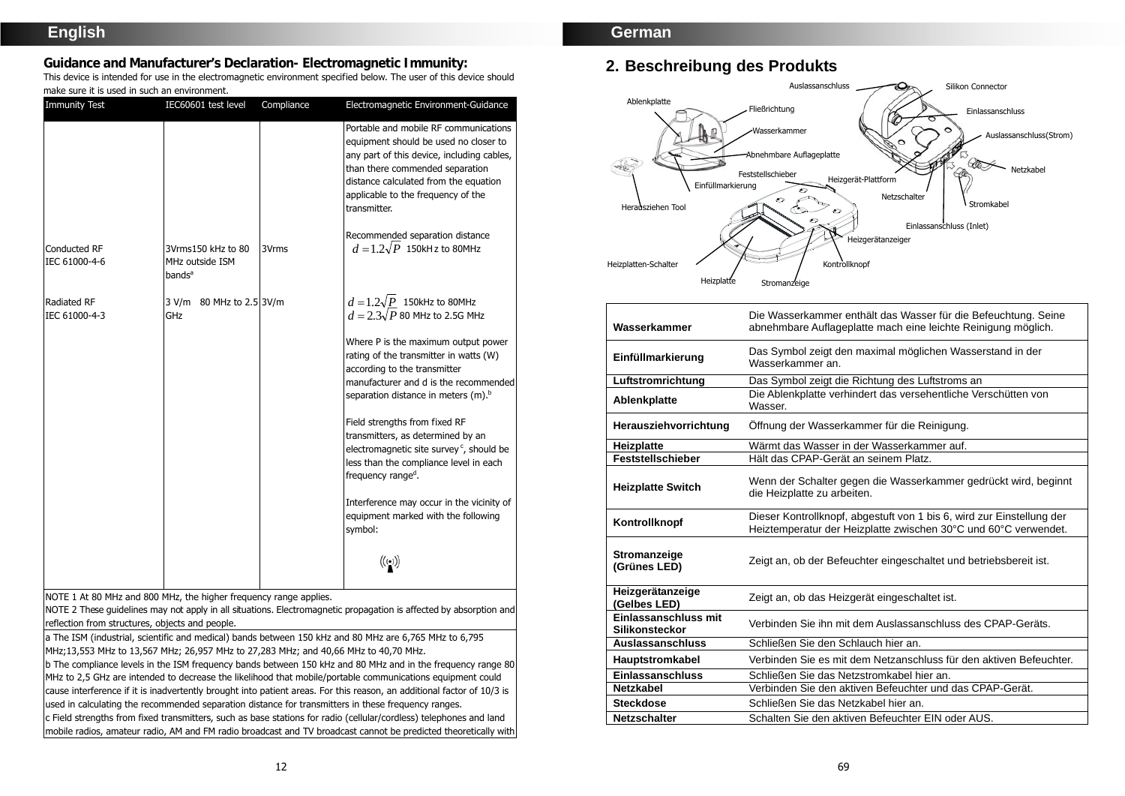# **English**

**Guidance and Manufacturer's Declaration- Electromagnetic Immunity:** 

This device is intended for use in the electromagnetic environment specified below. The user of this device should make sure it is used in such an environment.

| <b>Immunity Test</b>                                                                                                 | IEC60601 test level                                         | Compliance | Electromagnetic Environment-Guidance                                                                                                                                                                                                                           |
|----------------------------------------------------------------------------------------------------------------------|-------------------------------------------------------------|------------|----------------------------------------------------------------------------------------------------------------------------------------------------------------------------------------------------------------------------------------------------------------|
|                                                                                                                      |                                                             |            | Portable and mobile RF communications<br>equipment should be used no closer to<br>any part of this device, including cables,<br>than there commended separation<br>distance calculated from the equation<br>applicable to the frequency of the<br>transmitter. |
| <b>Conducted RF</b><br>IEC 61000-4-6                                                                                 | 3Vrms150 kHz to 80<br>MHz outside ISM<br>bands <sup>a</sup> | 3Vrms      | Recommended separation distance<br>$d=1.2\sqrt{P}$ 150kHz to 80MHz                                                                                                                                                                                             |
| <b>Radiated RF</b><br>IEC 61000-4-3                                                                                  | 3 V/m 80 MHz to 2.5 3V/m<br>GHz                             |            | $d = 1.2\sqrt{P}$ 150kHz to 80MHz<br>$d = 2.3\sqrt{P}$ 80 MHz to 2.5G MHz                                                                                                                                                                                      |
|                                                                                                                      |                                                             |            | Where P is the maximum output power<br>rating of the transmitter in watts (W)<br>according to the transmitter<br>manufacturer and d is the recommended<br>separation distance in meters (m). <sup>b</sup>                                                      |
|                                                                                                                      |                                                             |            | Field strengths from fixed RF<br>transmitters, as determined by an<br>electromagnetic site survey <sup>c</sup> , should be<br>less than the compliance level in each<br>frequency range <sup>d</sup> .                                                         |
|                                                                                                                      |                                                             |            | Interference may occur in the vicinity of<br>equipment marked with the following<br>symbol:                                                                                                                                                                    |
|                                                                                                                      |                                                             |            | $\left(\left(\begin{smallmatrix} \cdot & \cdot \end{smallmatrix}\right)\right)$                                                                                                                                                                                |
| NOTE 1 At 80 MHz and 800 MHz, the higher frequency range applies.<br>reflection from structures, objects and people. |                                                             |            | NOTE 2 These guidelines may not apply in all situations. Electromagnetic propagation is affected by absorption and                                                                                                                                             |
|                                                                                                                      |                                                             |            | a The ISM (industrial, scientific and medical) bands between 150 kHz and 80 MHz are 6,765 MHz to 6,795                                                                                                                                                         |
| MHz;13,553 MHz to 13,567 MHz; 26,957 MHz to 27,283 MHz; and 40,66 MHz to 40,70 MHz.                                  |                                                             |            |                                                                                                                                                                                                                                                                |
|                                                                                                                      |                                                             |            | b The compliance levels in the ISM frequency bands between 150 kHz and 80 MHz and in the frequency range 80                                                                                                                                                    |
|                                                                                                                      |                                                             |            | MHz to 2.5 GHz are intended to decrease the likelihood that mobile/portable communications equipment could                                                                                                                                                     |

the likelihood that mobile/portable communications equit cause interference if it is inadvertently brought into patient areas. For this reason, an additional factor of 10/3 is used in calculating the recommended separation distance for transmitters in these frequency ranges.

c Field strengths from fixed transmitters, such as base stations for radio (cellular/cordless) telephones and land mobile radios, amateur radio, AM and FM radio broadcast and TV broadcast cannot be predicted theoretically with

## **German**

# **2. Beschreibung des Produkts**



| Wasserkammer                           | Die Wasserkammer enthält das Wasser für die Befeuchtung. Seine<br>abnehmbare Auflageplatte mach eine leichte Reinigung möglich.          |  |
|----------------------------------------|------------------------------------------------------------------------------------------------------------------------------------------|--|
| Einfüllmarkierung                      | Das Symbol zeigt den maximal möglichen Wasserstand in der<br>Wasserkammer an.                                                            |  |
| Luftstromrichtung                      | Das Symbol zeigt die Richtung des Luftstroms an                                                                                          |  |
| Ablenkplatte                           | Die Ablenkplatte verhindert das versehentliche Verschütten von<br>Wasser.                                                                |  |
| Herausziehvorrichtung                  | Öffnung der Wasserkammer für die Reinigung.                                                                                              |  |
| Heizplatte                             | Wärmt das Wasser in der Wasserkammer auf.                                                                                                |  |
| <b>Feststellschieber</b>               | Hält das CPAP-Gerät an seinem Platz.                                                                                                     |  |
| <b>Heizplatte Switch</b>               | Wenn der Schalter gegen die Wasserkammer gedrückt wird, beginnt<br>die Heizplatte zu arbeiten.                                           |  |
| Kontrollknopf                          | Dieser Kontrollknopf, abgestuft von 1 bis 6, wird zur Einstellung der<br>Heiztemperatur der Heizplatte zwischen 30°C und 60°C verwendet. |  |
| Stromanzeige<br>(Grünes LED)           | Zeigt an, ob der Befeuchter eingeschaltet und betriebsbereit ist.                                                                        |  |
| Heizgerätanzeige<br>(Gelbes LED)       | Zeigt an, ob das Heizgerät eingeschaltet ist.                                                                                            |  |
| Einlassanschluss mit<br>Silikonsteckor | Verbinden Sie ihn mit dem Auslassanschluss des CPAP-Geräts.                                                                              |  |
| <b>Auslassanschluss</b>                | Schließen Sie den Schlauch hier an.                                                                                                      |  |
| Hauptstromkabel                        | Verbinden Sie es mit dem Netzanschluss für den aktiven Befeuchter.                                                                       |  |
| <b>Einlassanschluss</b>                | Schließen Sie das Netzstromkabel hier an.                                                                                                |  |
| <b>Netzkabel</b>                       | Verbinden Sie den aktiven Befeuchter und das CPAP-Gerät.                                                                                 |  |
| <b>Steckdose</b>                       | Schließen Sie das Netzkabel hier an.                                                                                                     |  |
| <b>Netzschalter</b>                    | Schalten Sie den aktiven Befeuchter EIN oder AUS.                                                                                        |  |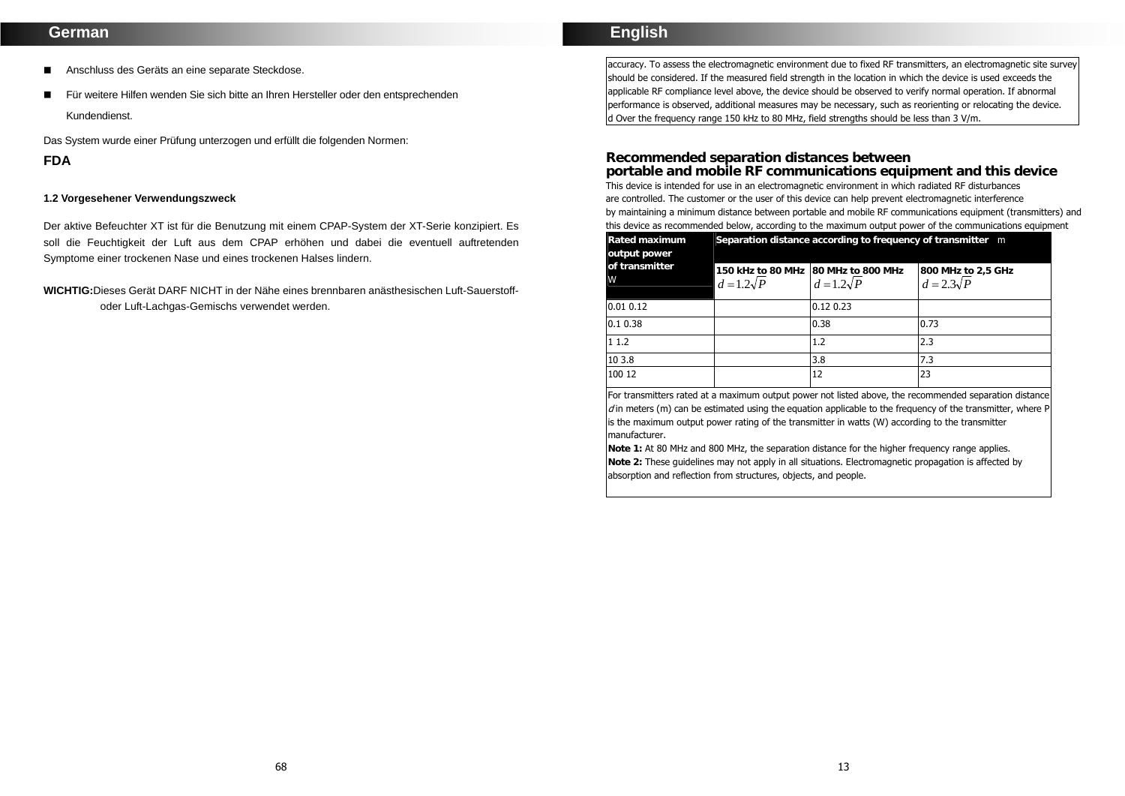## **German**

- Anschluss des Geräts an eine separate Steckdose.
- Für weitere Hilfen wenden Sie sich bitte an Ihren Hersteller oder den entsprechenden Kundendienst.

Das System wurde einer Prüfung unterzogen und erfüllt die folgenden Normen:

## **FDA**

#### **1.2 Vorgesehener Verwendungszweck**

Der aktive Befeuchter XT ist für die Benutzung mit einem CPAP-System der XT-Serie konzipiert. Es soll die Feuchtigkeit der Luft aus dem CPAP erhöhen und dabei die eventuell auftretenden Symptome einer trockenen Nase und eines trockenen Halses lindern.

### **WICHTIG:**Dieses Gerät DARF NICHT in der Nähe eines brennbaren anästhesischen Luft-Sauerstoffoder Luft-Lachgas-Gemischs verwendet werden.

## **English**

accuracy. To assess the electromagnetic environment due to fixed RF transmitters, an electromagnetic site survey should be considered. If the measured field strength in the location in which the device is used exceeds the applicable RF compliance level above, the device should be observed to verify normal operation. If abnormal performance is observed, additional measures may be necessary, such as reorienting or relocating the device. d Over the frequency range 150 kHz to 80 MHz, field strengths should be less than 3 V/m.

#### **Recommended separation distances between**

**portable and mobile RF communications equipment and this device**  This device is intended for use in an electromagnetic environment in which radiated RF disturbances are controlled. The customer or the user of this device can help prevent electromagnetic interference by maintaining a minimum distance between portable and mobile RF communications equipment (transmitters) and this device as recommended below, according to the maximum output power of the communications equipment

| Rated maximum<br>output power | Separation distance according to frequency of transmitter m |                                                        |                                         |
|-------------------------------|-------------------------------------------------------------|--------------------------------------------------------|-----------------------------------------|
| of transmitter<br>W           | $d=1.2\sqrt{P}$                                             | 150 kHz to 80 MHz 80 MHz to 800 MHz<br>$d=1.2\sqrt{P}$ | 800 MHz to 2,5 GHz<br>$d = 2.3\sqrt{P}$ |
| 0.01 0.12                     |                                                             | 0.12 0.23                                              |                                         |
| 0.10.38                       |                                                             | 0.38                                                   | 0.73                                    |
| 11.2                          |                                                             | 1.2                                                    | 2.3                                     |
| 10 3.8                        |                                                             | 3.8                                                    | 7.3                                     |
| 100 12                        |                                                             | 12                                                     | 23                                      |

For transmitters rated at a maximum output power not listed above, the recommended separation distance  $d$  in meters (m) can be estimated using the equation applicable to the frequency of the transmitter, where P is the maximum output power rating of the transmitter in watts (W) according to the transmitter manufacturer.

**Note 1:** At 80 MHz and 800 MHz, the separation distance for the higher frequency range applies. **Note 2:** These guidelines may not apply in all situations. Electromagnetic propagation is affected by absorption and reflection from structures, objects, and people.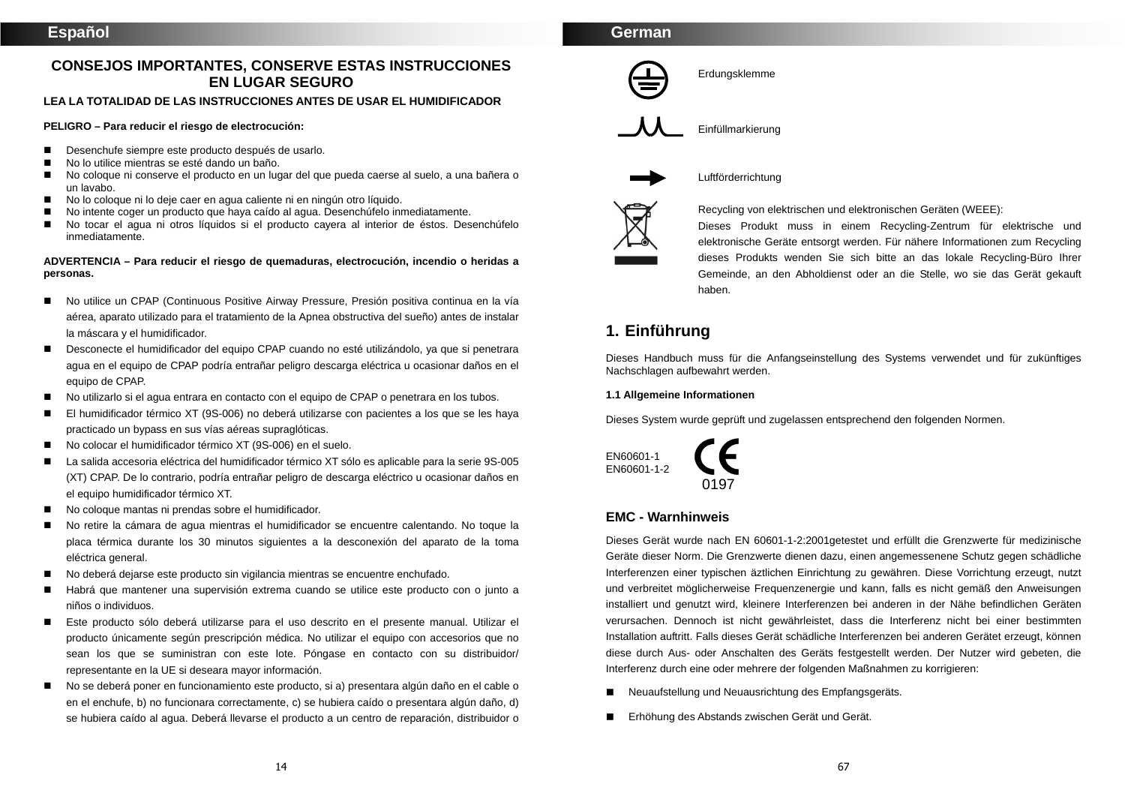## **CONSEJOS IMPORTANTES, CONSERVE ESTAS INSTRUCCIONES EN LUGAR SEGURO**

#### **LEA LA TOTALIDAD DE LAS INSTRUCCIONES ANTES DE USAR EL HUMIDIFICADOR**

#### **PELIGRO – Para reducir el riesgo de electrocución:**

- Desenchufe siempre este producto después de usarlo.
- No lo utilice mientras se esté dando un baño.
- No coloque ni conserve el producto en un lugar del que pueda caerse al suelo, a una bañera o un lavabo.
- No lo coloque ni lo deje caer en agua caliente ni en ningún otro líquido.
- No intente coger un producto que haya caído al agua. Desenchúfelo inmediatamente.
- No tocar el agua ni otros líquidos si el producto cayera al interior de éstos. Desenchúfelo inmediatamente.

#### **ADVERTENCIA – Para reducir el riesgo de quemaduras, electrocución, incendio o heridas a personas.**

- No utilice un CPAP (Continuous Positive Airway Pressure, Presión positiva continua en la vía aérea, aparato utilizado para el tratamiento de la Apnea obstructiva del sueño) antes de instalar la máscara y el humidificador.
- Desconecte el humidificador del equipo CPAP cuando no esté utilizándolo, ya que si penetrara agua en el equipo de CPAP podría entrañar peligro descarga eléctrica u ocasionar daños en el equipo de CPAP.
- No utilizarlo si el agua entrara en contacto con el equipo de CPAP o penetrara en los tubos.
- El humidificador térmico XT (9S-006) no deberá utilizarse con pacientes a los que se les haya practicado un bypass en sus vías aéreas supraglóticas.
- No colocar el humidificador térmico XT (9S-006) en el suelo.
- La salida accesoria eléctrica del humidificador térmico XT sólo es aplicable para la serie 9S-005 (XT) CPAP. De lo contrario, podría entrañar peligro de descarga eléctrico u ocasionar daños en el equipo humidificador térmico XT.
- No coloque mantas ni prendas sobre el humidificador.
- No retire la cámara de agua mientras el humidificador se encuentre calentando. No toque la placa térmica durante los 30 minutos siguientes a la desconexión del aparato de la toma eléctrica general.
- No deberá dejarse este producto sin vigilancia mientras se encuentre enchufado.
- Habrá que mantener una supervisión extrema cuando se utilice este producto con o junto a niños o individuos.
- **Este producto sólo deberá utilizarse para el uso descrito en el presente manual. Utilizar el** producto únicamente según prescripción médica. No utilizar el equipo con accesorios que no sean los que se suministran con este lote. Póngase en contacto con su distribuidor/ representante en la UE si deseara mayor información.
- No se deberá poner en funcionamiento este producto, si a) presentara algún daño en el cable o en el enchufe, b) no funcionara correctamente, c) se hubiera caído o presentara algún daño, d) se hubiera caído al agua. Deberá llevarse el producto a un centro de reparación, distribuidor o

## **German**



Erdungsklemme



Einfüllmarkierung



Luftförderrichtung



#### Recycling von elektrischen und elektronischen Geräten (WEEE):

Dieses Produkt muss in einem Recycling-Zentrum für elektrische und elektronische Geräte entsorgt werden. Für nähere Informationen zum Recycling dieses Produkts wenden Sie sich bitte an das lokale Recycling-Büro Ihrer Gemeinde, an den Abholdienst oder an die Stelle, wo sie das Gerät gekauft haben.

# **1. Einführung**

Dieses Handbuch muss für die Anfangseinstellung des Systems verwendet und für zukünftiges Nachschlagen aufbewahrt werden.

#### **1.1 Allgemeine Informationen**

Dieses System wurde geprüft und zugelassen entsprechend den folgenden Normen.



## **EMC - Warnhinweis**

Dieses Gerät wurde nach EN 60601-1-2:2001getestet und erfüllt die Grenzwerte für medizinische Geräte dieser Norm. Die Grenzwerte dienen dazu, einen angemessenene Schutz gegen schädliche Interferenzen einer typischen äztlichen Einrichtung zu gewähren. Diese Vorrichtung erzeugt, nutzt und verbreitet möglicherweise Frequenzenergie und kann, falls es nicht gemäß den Anweisungen installiert und genutzt wird, kleinere Interferenzen bei anderen in der Nähe befindlichen Geräten verursachen. Dennoch ist nicht gewährleistet, dass die Interferenz nicht bei einer bestimmten Installation auftritt. Falls dieses Gerät schädliche Interferenzen bei anderen Gerätet erzeugt, können diese durch Aus- oder Anschalten des Geräts festgestellt werden. Der Nutzer wird gebeten, die Interferenz durch eine oder mehrere der folgenden Maßnahmen zu korrigieren:

- Neuaufstellung und Neuausrichtung des Empfangsgeräts.
- Erhöhung des Abstands zwischen Gerät und Gerät.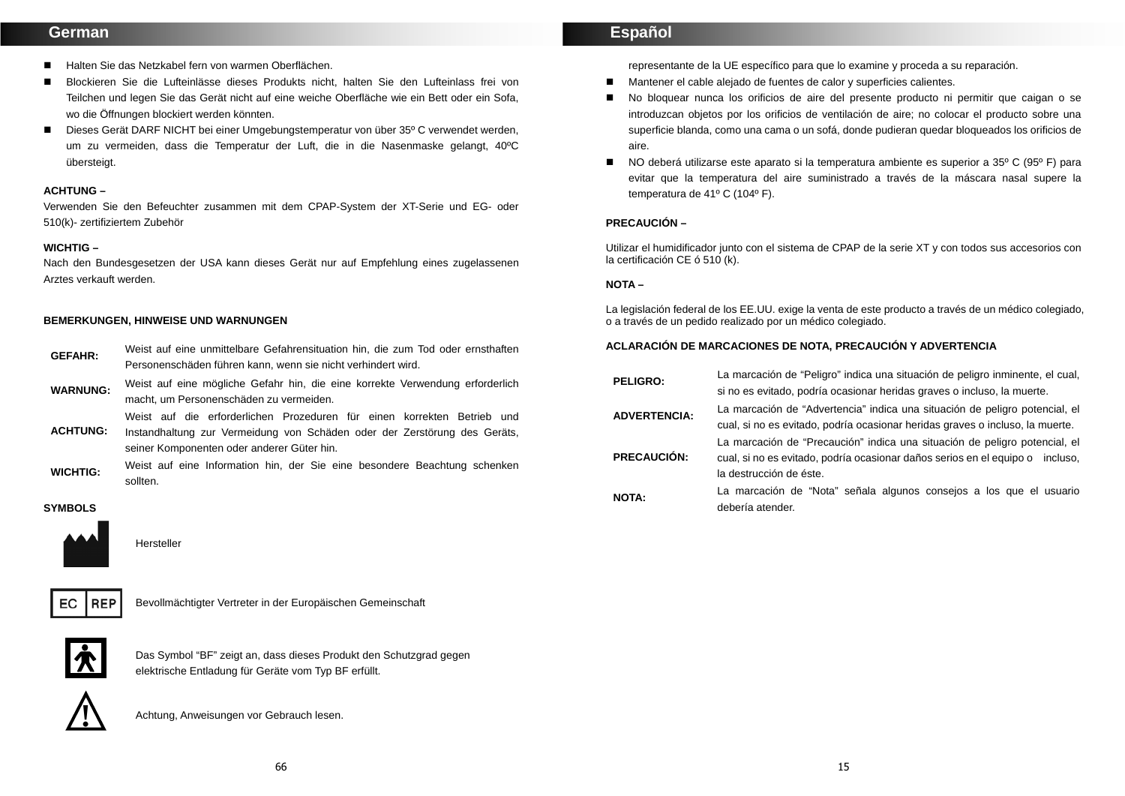## **German**

- Halten Sie das Netzkabel fern von warmen Oberflächen.
- Blockieren Sie die Lufteinlässe dieses Produkts nicht, halten Sie den Lufteinlass frei von Teilchen und legen Sie das Gerät nicht auf eine weiche Oberfläche wie ein Bett oder ein Sofa, wo die Öffnungen blockiert werden könnten.
- Dieses Gerät DARF NICHT bei einer Umgebungstemperatur von über 35<sup>o</sup> C verwendet werden, um zu vermeiden, dass die Temperatur der Luft, die in die Nasenmaske gelangt, 40ºC übersteigt.

#### **ACHTUNG –**

Verwenden Sie den Befeuchter zusammen mit dem CPAP-System der XT-Serie und EG- oder 510(k)- zertifiziertem Zubehör

#### **WICHTIG –**

Nach den Bundesgesetzen der USA kann dieses Gerät nur auf Empfehlung eines zugelassenen Arztes verkauft werden.

#### **BEMERKUNGEN, HINWEISE UND WARNUNGEN**

| <b>GEFAHR:</b>  | Weist auf eine unmittelbare Gefahrensituation hin, die zum Tod oder ernsthaften                                                                                                                    |  |
|-----------------|----------------------------------------------------------------------------------------------------------------------------------------------------------------------------------------------------|--|
|                 | Personenschäden führen kann, wenn sie nicht verhindert wird.                                                                                                                                       |  |
| <b>WARNUNG:</b> | Weist auf eine mögliche Gefahr hin, die eine korrekte Verwendung erforderlich<br>macht, um Personenschäden zu vermeiden.                                                                           |  |
| <b>ACHTUNG:</b> | Weist auf die erforderlichen Prozeduren für einen korrekten Betrieb und<br>Instandhaltung zur Vermeidung von Schäden oder der Zerstörung des Geräts,<br>seiner Komponenten oder anderer Güter hin. |  |

WICHTIG: Weist auf eine Information hin, der Sie eine besondere Beachtung schenken sollten.

#### **SYMBOLS**



**Hersteller** 



Bevollmächtigter Vertreter in der Europäischen Gemeinschaft



Das Symbol "BF" zeigt an, dass dieses Produkt den Schutzgrad gegen elektrische Entladung für Geräte vom Typ BF erfüllt.



Achtung, Anweisungen vor Gebrauch lesen. **!** 

## **Español**

representante de la UE específico para que lo examine y proceda a su reparación.

- Mantener el cable alejado de fuentes de calor y superficies calientes.
- No bloquear nunca los orificios de aire del presente producto ni permitir que caigan o se introduzcan objetos por los orificios de ventilación de aire; no colocar el producto sobre una superficie blanda, como una cama o un sofá, donde pudieran quedar bloqueados los orificios de aire.
- NO deberá utilizarse este aparato si la temperatura ambiente es superior a 35<sup>°</sup> C (95<sup>°</sup> F) para evitar que la temperatura del aire suministrado a través de la máscara nasal supere la temperatura de 41º C (104º F).

#### **PRECAUCIÓN –**

Utilizar el humidificador junto con el sistema de CPAP de la serie XT y con todos sus accesorios con la certificación CE ó 510 (k).

#### **NOTA –**

La legislación federal de los EE.UU. exige la venta de este producto a través de un médico colegiado, o a través de un pedido realizado por un médico colegiado.

#### **ACLARACIÓN DE MARCACIONES DE NOTA, PRECAUCIÓN Y ADVERTENCIA**

| <b>PELIGRO:</b>     | La marcación de "Peligro" indica una situación de peligro inminente, el cual,<br>si no es evitado, podría ocasionar heridas graves o incluso, la muerte.                               |
|---------------------|----------------------------------------------------------------------------------------------------------------------------------------------------------------------------------------|
| <b>ADVERTENCIA:</b> | La marcación de "Advertencia" indica una situación de peligro potencial, el<br>cual, si no es evitado, podría ocasionar heridas graves o incluso, la muerte.                           |
| <b>PRECAUCIÓN:</b>  | La marcación de "Precaución" indica una situación de peligro potencial, el<br>cual, si no es evitado, podría ocasionar daños serios en el equipo o incluso,<br>la destrucción de éste. |
| <b>NOTA:</b>        | La marcación de "Nota" señala algunos consejos a los que el usuario<br>debería atender.                                                                                                |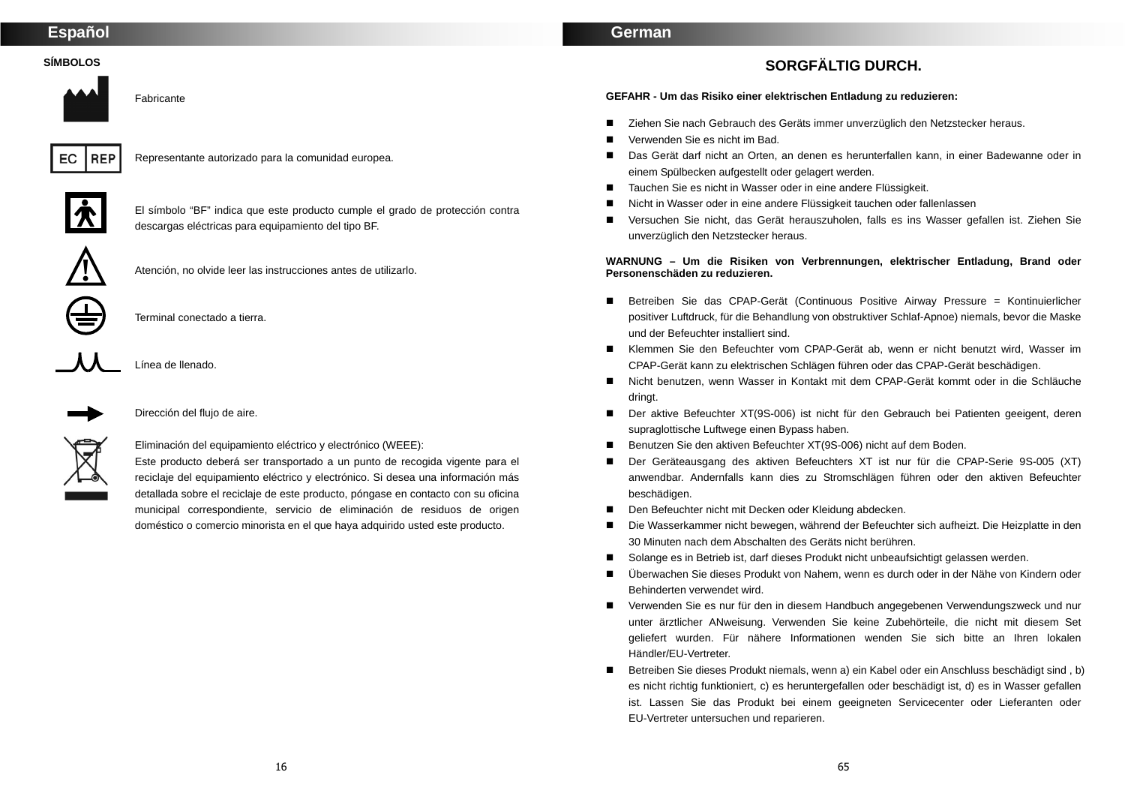## **Español**

## **SÍMBOLOS**

Fabricante



Representante autorizado para la comunidad europea.



El símbolo "BF" indica que este producto cumple el grado de protección contra descargas eléctricas para equipamiento del tipo BF.



Atención, no olvide leer las instrucciones antes de utilizarlo.



Terminal conectado a tierra.



Línea de llenado.



Dirección del flujo de aire.

Eliminación del equipamiento eléctrico y electrónico (WEEE):

Este producto deberá ser transportado a un punto de recogida vigente para el reciclaje del equipamiento eléctrico y electrónico. Si desea una información más detallada sobre el reciclaje de este producto, póngase en contacto con su oficina municipal correspondiente, servicio de eliminación de residuos de origen doméstico o comercio minorista en el que haya adquirido usted este producto.

## **German**

# **SORGFÄLTIG DURCH.**

**GEFAHR - Um das Risiko einer elektrischen Entladung zu reduzieren:** 

- Ziehen Sie nach Gebrauch des Geräts immer unverzüglich den Netzstecker heraus.
- Verwenden Sie es nicht im Bad.
- Das Gerät darf nicht an Orten, an denen es herunterfallen kann, in einer Badewanne oder in einem Spülbecken aufgestellt oder gelagert werden.
- Tauchen Sie es nicht in Wasser oder in eine andere Flüssigkeit.
- Nicht in Wasser oder in eine andere Flüssigkeit tauchen oder fallenlassen
- Versuchen Sie nicht, das Gerät herauszuholen, falls es ins Wasser gefallen ist. Ziehen Sie unverzüglich den Netzstecker heraus.

#### **WARNUNG – Um die Risiken von Verbrennungen, elektrischer Entladung, Brand oder Personenschäden zu reduzieren.**

- Betreiben Sie das CPAP-Gerät (Continuous Positive Airway Pressure = Kontinuierlicher positiver Luftdruck, für die Behandlung von obstruktiver Schlaf-Apnoe) niemals, bevor die Maske und der Befeuchter installiert sind.
- Klemmen Sie den Befeuchter vom CPAP-Gerät ab, wenn er nicht benutzt wird, Wasser im CPAP-Gerät kann zu elektrischen Schlägen führen oder das CPAP-Gerät beschädigen.
- Nicht benutzen, wenn Wasser in Kontakt mit dem CPAP-Gerät kommt oder in die Schläuche dringt.
- Der aktive Befeuchter XT(9S-006) ist nicht für den Gebrauch bei Patienten geeigent, deren supraglottische Luftwege einen Bypass haben.
- Benutzen Sie den aktiven Befeuchter XT(9S-006) nicht auf dem Boden.
- Der Geräteausgang des aktiven Befeuchters XT ist nur für die CPAP-Serie 9S-005 (XT) anwendbar. Andernfalls kann dies zu Stromschlägen führen oder den aktiven Befeuchter beschädigen.
- Den Befeuchter nicht mit Decken oder Kleidung abdecken.
- Die Wasserkammer nicht bewegen, während der Befeuchter sich aufheizt. Die Heizplatte in den 30 Minuten nach dem Abschalten des Geräts nicht berühren.
- Solange es in Betrieb ist, darf dieses Produkt nicht unbeaufsichtigt gelassen werden.
- Überwachen Sie dieses Produkt von Nahem, wenn es durch oder in der Nähe von Kindern oder Behinderten verwendet wird.
- Verwenden Sie es nur für den in diesem Handbuch angegebenen Verwendungszweck und nur unter ärztlicher ANweisung. Verwenden Sie keine Zubehörteile, die nicht mit diesem Set geliefert wurden. Für nähere Informationen wenden Sie sich bitte an Ihren lokalen Händler/EU-Vertreter.
- Betreiben Sie dieses Produkt niemals, wenn a) ein Kabel oder ein Anschluss beschädigt sind, b) es nicht richtig funktioniert, c) es heruntergefallen oder beschädigt ist, d) es in Wasser gefallen ist. Lassen Sie das Produkt bei einem geeigneten Servicecenter oder Lieferanten oder EU-Vertreter untersuchen und reparieren.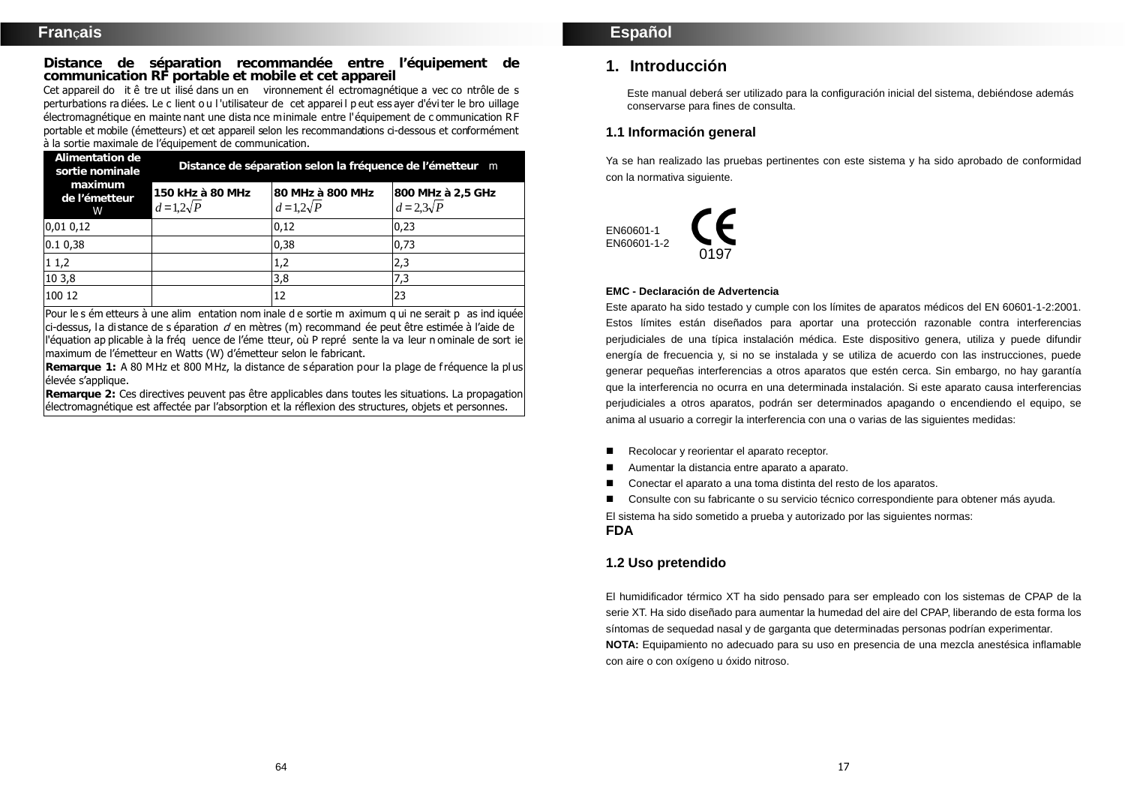**Distance de séparation recommandée entre l'équipement de communication RF portable et mobile et cet appareil** 

Cet appareil do it ê tre ut ilisé dans un en vironnement él ectromagnétique a vec co ntrôle de <sup>s</sup> perturbations ra diées. Le c lient o u l 'utilisateur de cet apparei l p eut ess ayer d'évi ter le bro uillage électromagnétique en mainte nant une dista nce minimale entre l'équipement de c ommunication RF portable et mobile (émetteurs) et cet appareil selon les recommandations ci-dessous et conformément à la sortie maximale de l'équipement de communication.

| Alimentation de<br>sortie nominale<br>maximum<br>de l'émetteur<br>w | Distance de séparation selon la fréquence de l'émetteur m |                                     |                                        |  |
|---------------------------------------------------------------------|-----------------------------------------------------------|-------------------------------------|----------------------------------------|--|
|                                                                     | 150 kHz à 80 MHz<br>$d=1,2\sqrt{P}$                       | 80 MHz à 800 MHz<br>$d=1,2\sqrt{P}$ | 800 MHz à 2,5 GHz<br>$d = 2.3\sqrt{P}$ |  |
| 0,010,12                                                            |                                                           | 0,12                                | 0,23                                   |  |
| 0.10,38                                                             |                                                           | 0,38                                | 0,73                                   |  |
| 11,2                                                                |                                                           | 1,2                                 | 2,3                                    |  |
| 10 3,8                                                              |                                                           | 3,8                                 | 7,3                                    |  |
| 100 12                                                              |                                                           | 12                                  | 23                                     |  |

Pour le s ém etteurs à une alim entation nom inale d e sortie m aximum q ui ne serait p as ind iquée  $ci$ -dessus, la distance de s éparation  $d$  en mètres (m) recommand ée peut être estimée à l'aide de l'équation ap plicable à la fréq uence de l'éme tteur, où P repré sente la va leur n ominale de sort ie maximum de l'émetteur en Watts (W) d'émetteur selon le fabricant.

**Remarque 1:** A 80 MHz et 800 MHz, la distance de séparation pour la plage de fréquence la plus élevée s'applique.

**Remarque 2:** Ces directives peuvent pas être applicables dans toutes les situations. La propagation électromagnétique est affectée par l'absorption et la réflexion des structures, objets et personnes.

## **1. Introducción**

 Este manual deberá ser utilizado para la configuración inicial del sistema, debiéndose además conservarse para fines de consulta.

## **1.1 Información general**

Ya se han realizado las pruebas pertinentes con este sistema y ha sido aprobado de conformidad con la normativa siguiente.



#### **EMC - Declaración de Advertencia**

Este aparato ha sido testado y cumple con los límites de aparatos médicos del EN 60601-1-2:2001. Estos límites están diseñados para aportar una protección razonable contra interferencias perjudiciales de una típica instalación médica. Este dispositivo genera, utiliza y puede difundir energía de frecuencia y, si no se instalada y se utiliza de acuerdo con las instrucciones, puede generar pequeñas interferencias a otros aparatos que estén cerca. Sin embargo, no hay garantía que la interferencia no ocurra en una determinada instalación. Si este aparato causa interferencias perjudiciales a otros aparatos, podrán ser determinados apagando o encendiendo el equipo, se anima al usuario a corregir la interferencia con una o varias de las siguientes medidas:

- Recolocar y reorientar el aparato receptor.
- Aumentar la distancia entre aparato a aparato.
- Conectar el aparato a una toma distinta del resto de los aparatos.
- Consulte con su fabricante o su servicio técnico correspondiente para obtener más avuda.

El sistema ha sido sometido a prueba y autorizado por las siguientes normas: **FDA**

## **1.2 Uso pretendido**

El humidificador térmico XT ha sido pensado para ser empleado con los sistemas de CPAP de la serie XT. Ha sido diseñado para aumentar la humedad del aire del CPAP, liberando de esta forma los síntomas de sequedad nasal y de garganta que determinadas personas podrían experimentar. **NOTA:** Equipamiento no adecuado para su uso en presencia de una mezcla anestésica inflamable

con aire o con oxígeno u óxido nitroso.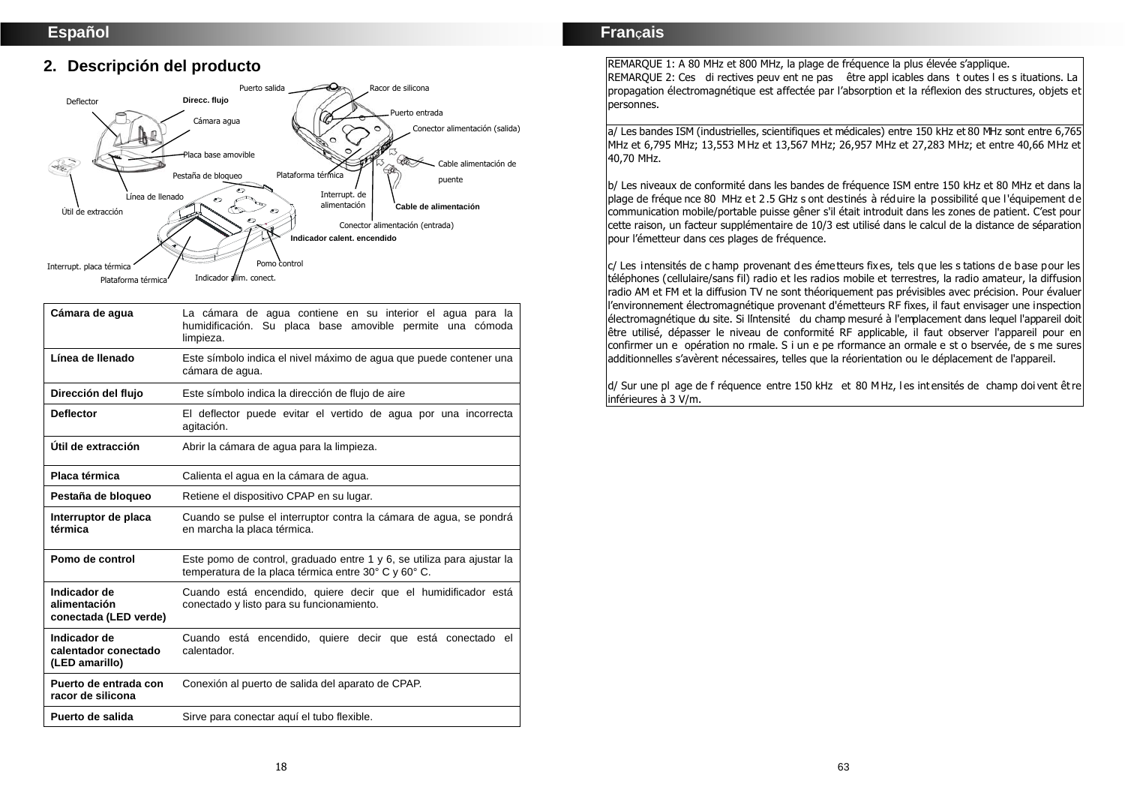# **2. Descripción del producto**



| Cámara de aqua                                         | La cámara de agua contiene en su interior el agua para la<br>humidificación. Su placa base amovible permite una cómoda<br>limpieza. |
|--------------------------------------------------------|-------------------------------------------------------------------------------------------------------------------------------------|
| Línea de llenado                                       | Este símbolo indica el nivel máximo de agua que puede contener una<br>cámara de agua.                                               |
| Dirección del flujo                                    | Este símbolo indica la dirección de flujo de aire                                                                                   |
| <b>Deflector</b>                                       | El deflector puede evitar el vertido de agua por una incorrecta<br>agitación.                                                       |
| Útil de extracción                                     | Abrir la cámara de agua para la limpieza.                                                                                           |
| Placa térmica                                          | Calienta el agua en la cámara de agua.                                                                                              |
| Pestaña de bloqueo                                     | Retiene el dispositivo CPAP en su lugar.                                                                                            |
| Interruptor de placa<br>térmica                        | Cuando se pulse el interruptor contra la cámara de agua, se pondrá<br>en marcha la placa térmica.                                   |
| Pomo de control                                        | Este pomo de control, graduado entre 1 y 6, se utiliza para ajustar la<br>temperatura de la placa térmica entre 30° C y 60° C.      |
| Indicador de<br>alimentación<br>conectada (LED verde)  | Cuando está encendido, quiere decir que el humidificador está<br>conectado y listo para su funcionamiento.                          |
| Indicador de<br>calentador conectado<br>(LED amarillo) | Cuando está encendido, quiere decir que está conectado el<br>calentador.                                                            |
| Puerto de entrada con<br>racor de silicona             | Conexión al puerto de salida del aparato de CPAP.                                                                                   |
| Puerto de salida                                       | Sirve para conectar aquí el tubo flexible.                                                                                          |

## **FranÇais**

REMARQUE 1: A 80 MHz et 800 MHz, la plage de fréquence la plus élevée s'applique. REMARQUE 2: Ces di rectives peuv ent ne pas être appl icables dans t outes l es s ituations. La propagation électromagnétique est affectée par l'absorption et la réflexion des structures, objets et personnes.

a/ Les bandes ISM (industrielles, scientifiques et médicales) entre 150 kHz et 80 MHz sont entre 6,765 MHz et 6,795 MHz; 13,553 MHz et 13,567 MHz; 26,957 MHz et 27,283 MHz; et entre 40,66 MHz et 40,70 MHz.

b/ Les niveaux de conformité dans les bandes de fréquence ISM entre 150 kHz et 80 MHz et dans la plage de fréque nce 80 MHz et 2.5 GHz s ont destinés à réduire la possibilité que l'équipement de communication mobile/portable puisse gêner s'il était introduit dans les zones de patient. C'est pour cette raison, un facteur supplémentaire de 10/3 est utilisé dans le calcul de la distance de séparation pour l'émetteur dans ces plages de fréquence.

c/ Les intensités de c hamp provenant des émetteurs fixes, tels que les s tations de base pour les téléphones (cellulaire/sans fil) radio et les radios mobile et terrestres, la radio amateur, la diffusion radio AM et FM et la diffusion TV ne sont théoriquement pas prévisibles avec précision. Pour évaluer l'environnement électromagnétique provenant d'émetteurs RF fixes, il faut envisager une inspection électromagnétique du site. Si l'intensité du champ mesuré à l'emplacement dans lequel l'appareil doit être utilisé, dépasser le niveau de conformité RF applicable, il faut observer l'appareil pour en confirmer un e opération no rmale. S i un e pe rformance an ormale e st o bservée, de s me sures additionnelles s'avèrent nécessaires, telles que la réorientation ou le déplacement de l'appareil.

d/ Sur une pl age de f réquence entre 150 kHz et 80 M Hz, l es int ensités de champ doi vent êt re inférieures à 3 V/m.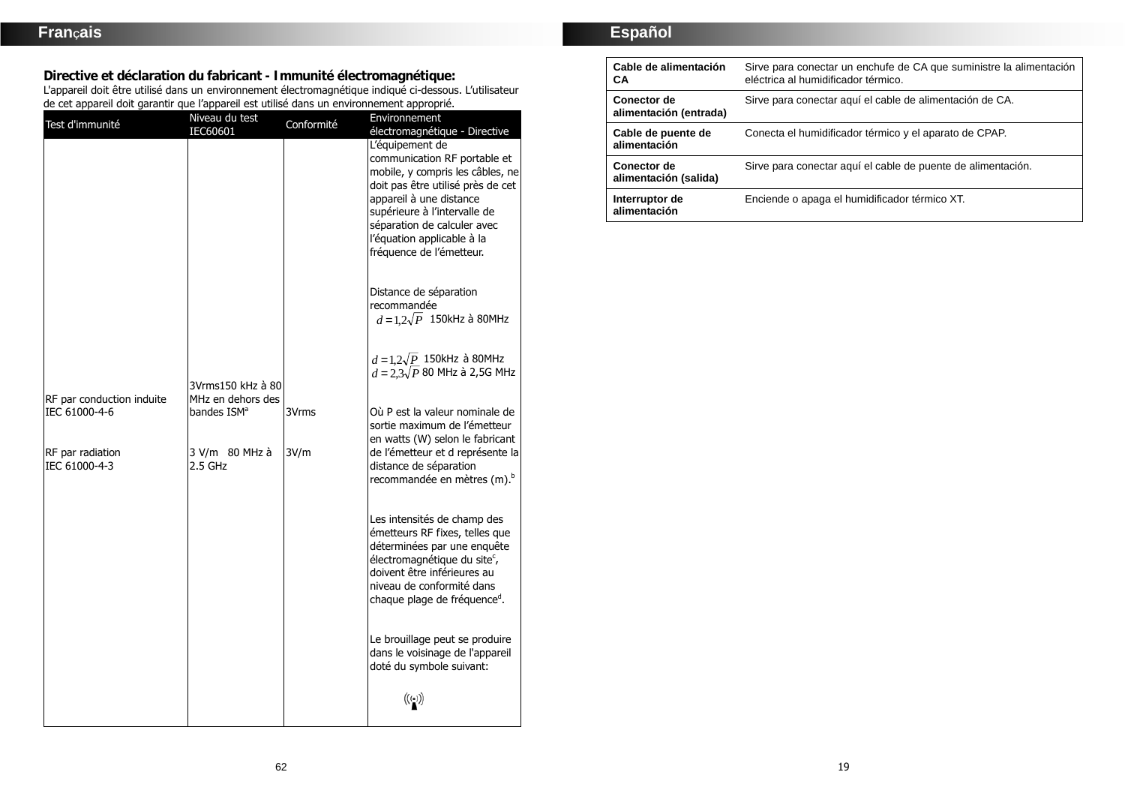**Directive et déclaration du fabricant - Immunité électromagnétique:**  L'appareil doit être utilisé dans un environnement électromagnétique indiqué ci-dessous. L'utilisateur de cet appareil doit garantir que l'appareil est utilisé dans un environnement approprié.

| Test d'immunité                                                                 | Niveau du test<br>IEC60601                                                  | Conformité    | Environnement<br>électromagnétique - Directive                                                                                                                                                                                                                                              |
|---------------------------------------------------------------------------------|-----------------------------------------------------------------------------|---------------|---------------------------------------------------------------------------------------------------------------------------------------------------------------------------------------------------------------------------------------------------------------------------------------------|
|                                                                                 |                                                                             |               | L'équipement de<br>communication RF portable et<br>mobile, y compris les câbles, ne<br>doit pas être utilisé près de cet<br>appareil à une distance<br>supérieure à l'intervalle de<br>séparation de calculer avec<br>l'équation applicable à la<br>fréquence de l'émetteur.                |
|                                                                                 |                                                                             |               | Distance de séparation<br>recommandée<br>$d=1.2\sqrt{P}$ 150kHz à 80MHz                                                                                                                                                                                                                     |
|                                                                                 | 3Vrms150 kHz à 80                                                           |               | $d=1,2\sqrt{P}$ 150kHz à 80MHz<br>$d = 2.3\sqrt{P}$ 80 MHz à 2,5G MHz                                                                                                                                                                                                                       |
| RF par conduction induite<br>IEC 61000-4-6<br>RF par radiation<br>IEC 61000-4-3 | MHz en dehors des<br>bandes ISM <sup>a</sup><br>3 V/m 80 MHz à<br>$2.5$ GHz | 3Vrms<br>3V/m | Où P est la valeur nominale de<br>sortie maximum de l'émetteur<br>en watts (W) selon le fabricant<br>de l'émetteur et d représente la<br>distance de séparation                                                                                                                             |
|                                                                                 |                                                                             |               | recommandée en mètres (m). <sup>b</sup><br>Les intensités de champ des<br>émetteurs RF fixes, telles que<br>déterminées par une enquête<br>électromagnétique du site <sup>c</sup> ,<br>doivent être inférieures au<br>niveau de conformité dans<br>chaque plage de fréquence <sup>d</sup> . |
|                                                                                 |                                                                             |               | Le brouillage peut se produire<br>dans le voisinage de l'appareil<br>doté du symbole suivant:<br>$\left(\left(\begin{smallmatrix} \cdot & \cdot \end{smallmatrix}\right) \right)$                                                                                                           |

# **Español**

| Cable de alimentación<br>CА                 | Sirve para conectar un enchufe de CA que suministre la alimentación<br>eléctrica al humidificador térmico. |
|---------------------------------------------|------------------------------------------------------------------------------------------------------------|
| Conector de<br>alimentación (entrada)       | Sirve para conectar aquí el cable de alimentación de CA.                                                   |
| Cable de puente de<br>alimentación          | Conecta el humidificador térmico y el aparato de CPAP.                                                     |
| <b>Conector de</b><br>alimentación (salida) | Sirve para conectar aquí el cable de puente de alimentación.                                               |
| Interruptor de<br>alimentación              | Enciende o apaga el humidificador térmico XT.                                                              |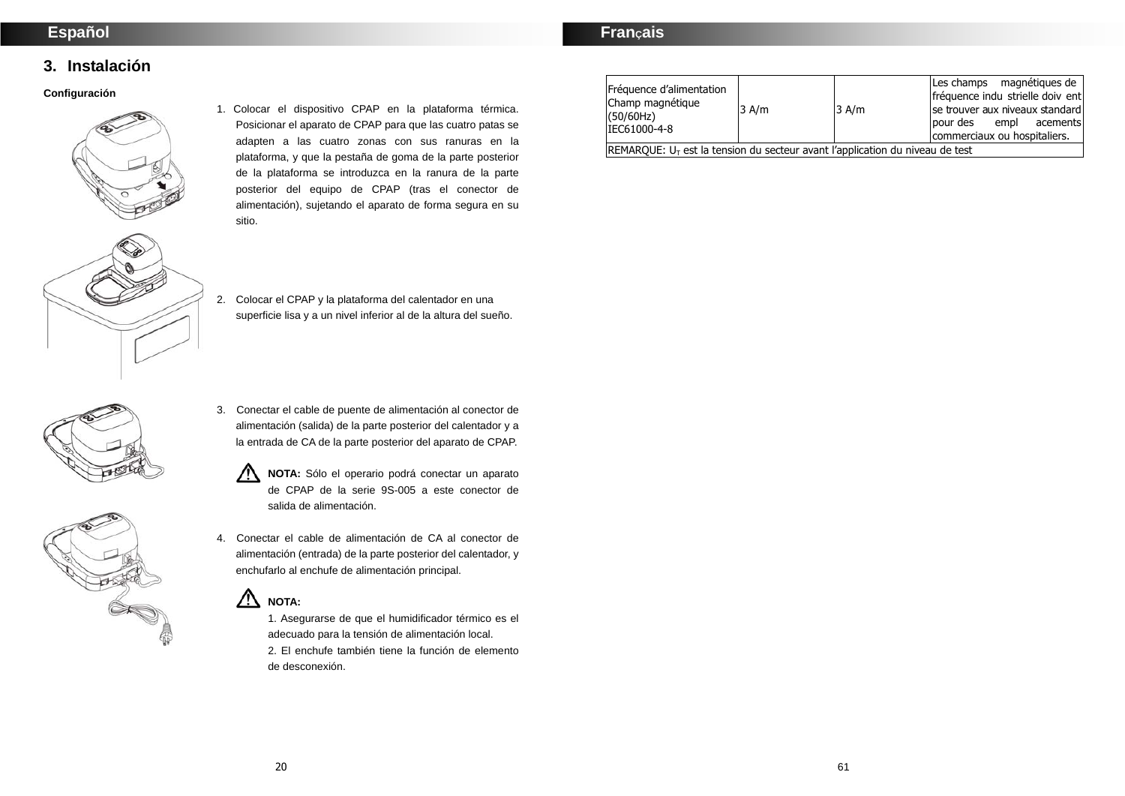# **Español**

# **FranÇais**

# **3. Instalación**

#### **Configuración**



- 1. Colocar el dispositivo CPAP en la plataforma térmica. Posicionar el aparato de CPAP para que las cuatro patas se adapten a las cuatro zonas con sus ranuras en la plataforma, y que la pestaña de goma de la parte posterior de la plataforma se introduzca en la ranura de la parte posterior del equipo de CPAP (tras el conector de alimentación), sujetando el aparato de forma segura en su sitio.
- 2. Colocar el CPAP y la plataforma del calentador en una superficie lisa y a un nivel inferior al de la altura del sueño.





- 3. Conectar el cable de puente de alimentación al conector de alimentación (salida) de la parte posterior del calentador y a la entrada de CA de la parte posterior del aparato de CPAP.
	- **NOTA:** Sólo el operario podrá conectar un aparato  $\sqrt{N}$ de CPAP de la serie 9S-005 a este conector de salida de alimentación.
- 4. Conectar el cable de alimentación de CA al conector de alimentación (entrada) de la parte posterior del calentador, y enchufarlo al enchufe de alimentación principal.

#### ∧ **NOTA:**

1. Asegurarse de que el humidificador térmico es el adecuado para la tensión de alimentación local. 2. El enchufe también tiene la función de elemento de desconexión.

| Fréquence d'alimentation<br>Champ magnétique<br>(50/60Hz)<br>IEC61000-4-8       | $3$ A/m | $3$ A/m | Les champs magnétiques de<br>fréquence indu strielle doiv ent<br>Ise trouver aux niveaux standard<br>empl<br>lpour des<br>acementsl<br>commerciaux ou hospitaliers. |
|---------------------------------------------------------------------------------|---------|---------|---------------------------------------------------------------------------------------------------------------------------------------------------------------------|
| $REMARKQUE: UT$ est la tension du secteur avant l'application du niveau de test |         |         |                                                                                                                                                                     |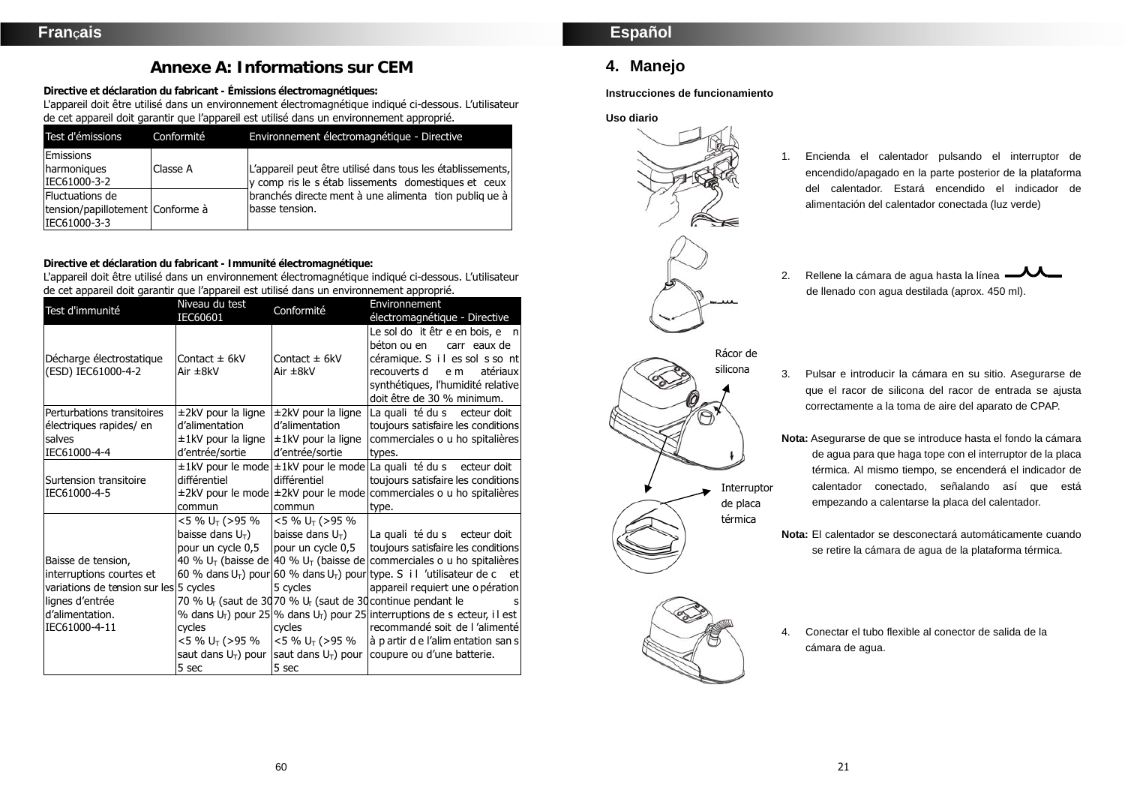# **Annexe A: Informations sur CEM**

**Directive et déclaration du fabricant - Émissions électromagnétiques:** 

L'appareil doit être utilisé dans un environnement électromagnétique indiqué ci-dessous. L'utilisateur de cet appareil doit garantir que l'appareil est utilisé dans un environnement approprié.

| Test d'émissions                                                    | Conformité | Environnement électromagnétique - Directive                                                                       |
|---------------------------------------------------------------------|------------|-------------------------------------------------------------------------------------------------------------------|
| <b>Emissions</b><br>harmoniques<br>IEC61000-3-2                     | Classe A   | L'appareil peut être utilisé dans tous les établissements,<br>y comp ris le s étab lissements domestiques et ceux |
| Fluctuations de<br>tension/papillotement Conforme à<br>IEC61000-3-3 |            | branchés directe ment à une alimenta tion publiq ue à<br>basse tension.                                           |

**Directive et déclaration du fabricant - Immunité électromagnétique:** 

L'appareil doit être utilisé dans un environnement électromagnétique indiqué ci-dessous. L'utilisateur de cet appareil doit garantir que l'appareil est utilisé dans un environnement approprié.

| Test d'immunité                        | Niveau du test             | Conformité                 | Environnement                                                                           |
|----------------------------------------|----------------------------|----------------------------|-----------------------------------------------------------------------------------------|
|                                        | IEC60601                   |                            | électromagnétique - Directive                                                           |
|                                        |                            |                            | Le sol do it êtr e en bois, e $n$                                                       |
|                                        |                            |                            | béton ou en<br>carr eaux de                                                             |
| Décharge électrostatique               | Contact $\pm$ 6kV          | Contact $\pm$ 6kV          | céramique. S i l es sol s so nt                                                         |
| (ESD) IEC61000-4-2                     | Air ±8kV                   | Air $\pm$ 8kV              | recouverts d<br>atériaux<br>e m                                                         |
|                                        |                            |                            | synthétiques, l'humidité relative                                                       |
|                                        |                            |                            | doit être de 30 % minimum.                                                              |
| Perturbations transitoires             | $\pm$ 2kV pour la ligne    | $±2kV$ pour la ligne       | La quali té du s ecteur doit                                                            |
| électriques rapides/ en                | d'alimentation             | d'alimentation             | toujours satisfaire les conditions                                                      |
| salves                                 | ±1kV pour la ligne         | $\pm$ 1kV pour la ligne    | commerciales o u ho spitalières                                                         |
| IEC61000-4-4                           | d'entrée/sortie            | d'entrée/sortie            | types.                                                                                  |
|                                        |                            |                            | ±1kV pour le mode ±1kV pour le mode La quali té du s ecteur doit                        |
| Surtension transitoire                 | différentiel               | différentiel               | toujours satisfaire les conditions                                                      |
| IEC61000-4-5                           |                            |                            | ±2kV pour le mode ±2kV pour le mode commerciales o u ho spitalières                     |
|                                        | commun                     | commun                     | type.                                                                                   |
|                                        | <5 % U⊤ (>95 %             | <5 % U <sub>T</sub> (>95 % |                                                                                         |
|                                        | baisse dans $U_T$ )        | baisse dans $U_T$ )        | La quali té du s ecteur doit                                                            |
|                                        | pour un cycle 0,5          | pour un cycle 0,5          | toujours satisfaire les conditions                                                      |
| Baisse de tension,                     |                            |                            | 40 % $U_T$ (baisse de 40 % $U_T$ (baisse de commerciales o u ho spitalières             |
| interruptions courtes et               |                            |                            | 60 % dans $U_T$ ) pour 60 % dans $U_T$ ) pour type. S i l 'utilisateur de c et          |
| variations de tension sur les 5 cycles |                            | 5 cycles                   | appareil requiert une o pération                                                        |
| lignes d'entrée                        |                            |                            | 70 % U <sub>r</sub> (saut de 3070 % U <sub>r</sub> (saut de 30 continue pendant le<br>s |
| d'alimentation.                        |                            |                            | % dans $U_T$ ) pour 25 % dans $U_T$ ) pour 25 interruptions de s ecteur, i l est        |
| IEC61000-4-11                          | cycles                     | cycles                     | recommandé soit de l'alimenté                                                           |
|                                        | <5 % U <sub>™</sub> (>95 % | <5 % U⊤ (>95 %             | à partir de l'alim entation san s                                                       |
|                                        |                            |                            | saut dans $U_T$ ) pour saut dans $U_T$ ) pour coupure ou d'une batterie.                |
|                                        | 5 sec                      | 5 sec                      |                                                                                         |

# **4. Manejo**

**Instrucciones de funcionamiento** 

#### **Uso diario**



- 1. Encienda el calentador pulsando el interruptor de encendido/apagado en la parte posterior de la plataforma del calentador. Estará encendido el indicador de alimentación del calentador conectada (luz verde)
- 2. Rellene la cámara de agua hasta la línea  $-\sqrt{1}$ de llenado con agua destilada (aprox. 450 ml).



3. Pulsar e introducir la cámara en su sitio. Asegurarse de que el racor de silicona del racor de entrada se ajusta correctamente a la toma de aire del aparato de CPAP.

**Nota:** Asegurarse de que se introduce hasta el fondo la cámara de agua para que haga tope con el interruptor de la placa térmica. Al mismo tiempo, se encenderá el indicador de calentador conectado, señalando así que está empezando a calentarse la placa del calentador.

**Nota:** El calentador se desconectará automáticamente cuando se retire la cámara de agua de la plataforma térmica.

4. Conectar el tubo flexible al conector de salida de la

cámara de agua.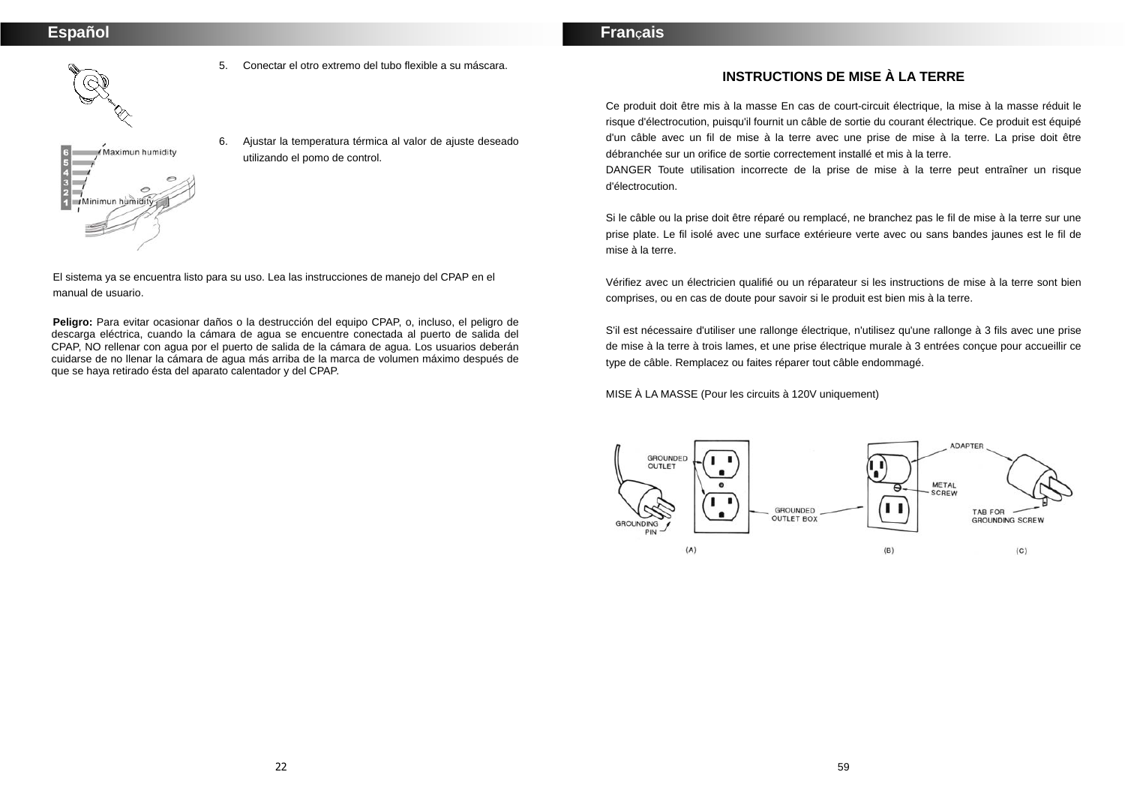# Maximun humidity  $\frac{3}{2}$ Minimun humid

5. Conectar el otro extremo del tubo flexible a su máscara.

6. Ajustar la temperatura térmica al valor de ajuste deseado utilizando el pomo de control.

El sistema ya se encuentra listo para su uso. Lea las instrucciones de manejo del CPAP en el manual de usuario.

**Peligro:** Para evitar ocasionar daños o la destrucción del equipo CPAP, o, incluso, el peligro de descarga eléctrica, cuando la cámara de agua se encuentre conectada al puerto de salida del CPAP, NO rellenar con agua por el puerto de salida de la cámara de agua. Los usuarios deberán cuidarse de no llenar la cámara de agua más arriba de la marca de volumen máximo después de que se haya retirado ésta del aparato calentador y del CPAP.

## **INSTRUCTIONS DE MISE À LA TERRE**

Ce produit doit être mis à la masse En cas de court-circuit électrique, la mise à la masse réduit le risque d'électrocution, puisqu'il fournit un câble de sortie du courant électrique. Ce produit est équipé d'un câble avec un fil de mise à la terre avec une prise de mise à la terre. La prise doit être débranchée sur un orifice de sortie correctement installé et mis à la terre.

DANGER Toute utilisation incorrecte de la prise de mise à la terre peut entraîner un risque d'électrocution.

Si le câble ou la prise doit être réparé ou remplacé, ne branchez pas le fil de mise à la terre sur une prise plate. Le fil isolé avec une surface extérieure verte avec ou sans bandes jaunes est le fil de mise à la terre.

Vérifiez avec un électricien qualifié ou un réparateur si les instructions de mise à la terre sont bien comprises, ou en cas de doute pour savoir si le produit est bien mis à la terre.

S'il est nécessaire d'utiliser une rallonge électrique, n'utilisez qu'une rallonge à 3 fils avec une prise de mise à la terre à trois lames, et une prise électrique murale à 3 entrées conçue pour accueillir ce type de câble. Remplacez ou faites réparer tout câble endommagé.

MISE À LA MASSE (Pour les circuits à 120V uniquement)

**FranÇais** 

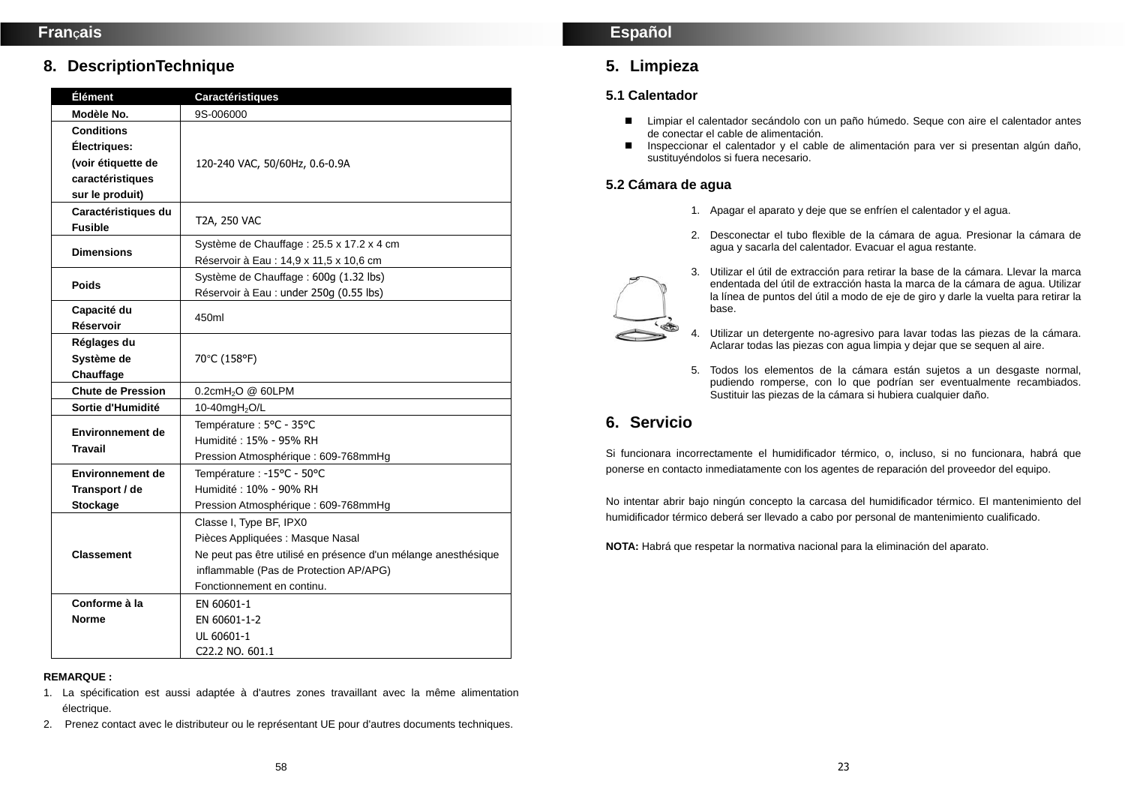# **8. DescriptionTechnique**

| <b>Élément</b>           | <b>Caractéristiques</b>                                        |  |
|--------------------------|----------------------------------------------------------------|--|
| Modèle No.               | 9S-006000                                                      |  |
| Conditions               |                                                                |  |
| Électriques:             |                                                                |  |
| (voir étiquette de       | 120-240 VAC, 50/60Hz, 0.6-0.9A                                 |  |
| caractéristiques         |                                                                |  |
| sur le produit)          |                                                                |  |
| Caractéristiques du      | T2A, 250 VAC                                                   |  |
| <b>Fusible</b>           |                                                                |  |
| <b>Dimensions</b>        | Système de Chauffage : 25.5 x 17.2 x 4 cm                      |  |
|                          | Réservoir à Eau : 14,9 x 11,5 x 10,6 cm                        |  |
| <b>Poids</b>             | Système de Chauffage : 600g (1.32 lbs)                         |  |
|                          | Réservoir à Eau : under 250g (0.55 lbs)                        |  |
| Capacité du              | 450ml                                                          |  |
| Réservoir                |                                                                |  |
| Réglages du              |                                                                |  |
| Système de               | 70°C (158°F)                                                   |  |
| Chauffage                |                                                                |  |
| <b>Chute de Pression</b> | 0.2cmH <sub>2</sub> O @ 60LPM                                  |  |
| Sortie d'Humidité        | 10-40mgH <sub>2</sub> O/L                                      |  |
| <b>Environnement de</b>  | Température : 5°C - 35°C                                       |  |
| <b>Travail</b>           | Humidité: 15% - 95% RH                                         |  |
|                          | Pression Atmosphérique: 609-768mmHg                            |  |
| <b>Environnement de</b>  | Température : -15°C - 50°C                                     |  |
| Transport / de           | Humidité: 10% - 90% RH                                         |  |
| <b>Stockage</b>          | Pression Atmosphérique : 609-768mmHg                           |  |
|                          | Classe I, Type BF, IPX0                                        |  |
|                          | Pièces Appliquées : Masque Nasal                               |  |
| <b>Classement</b>        | Ne peut pas être utilisé en présence d'un mélange anesthésique |  |
|                          | inflammable (Pas de Protection AP/APG)                         |  |
|                          | Fonctionnement en continu.                                     |  |
| Conforme à la            | EN 60601-1                                                     |  |
| Norme                    | EN 60601-1-2                                                   |  |
|                          | UL 60601-1                                                     |  |
|                          | C22.2 NO. 601.1                                                |  |

#### **REMARQUE :**

- 1. La spécification est aussi adaptée à d'autres zones travaillant avec la même alimentation électrique.
- 2. Prenez contact avec le distributeur ou le représentant UE pour d'autres documents techniques.

## **Español**

# **5. Limpieza**

## **5.1 Calentador**

- Limpiar el calentador secándolo con un paño húmedo. Seque con aire el calentador antes de conectar el cable de alimentación.
- Inspeccionar el calentador y el cable de alimentación para ver si presentan algún daño. sustituyéndolos si fuera necesario.

## **5.2 Cámara de agua**

- 1. Apagar el aparato y deje que se enfríen el calentador y el agua.
- 2. Desconectar el tubo flexible de la cámara de agua. Presionar la cámara de agua y sacarla del calentador. Evacuar el agua restante.
- 3. Utilizar el útil de extracción para retirar la base de la cámara. Llevar la marca endentada del útil de extracción hasta la marca de la cámara de agua. Utilizar la línea de puntos del útil a modo de eje de giro y darle la vuelta para retirar la base.
- 4. Utilizar un detergente no-agresivo para lavar todas las piezas de la cámara. Aclarar todas las piezas con agua limpia y dejar que se sequen al aire.
- 5. Todos los elementos de la cámara están sujetos a un desgaste normal, pudiendo romperse, con lo que podrían ser eventualmente recambiados. Sustituir las piezas de la cámara si hubiera cualquier daño.

# **6. Servicio**

Si funcionara incorrectamente el humidificador térmico, o, incluso, si no funcionara, habrá que ponerse en contacto inmediatamente con los agentes de reparación del proveedor del equipo.

No intentar abrir bajo ningún concepto la carcasa del humidificador térmico. El mantenimiento del humidificador térmico deberá ser llevado a cabo por personal de mantenimiento cualificado.

**NOTA:** Habrá que respetar la normativa nacional para la eliminación del aparato.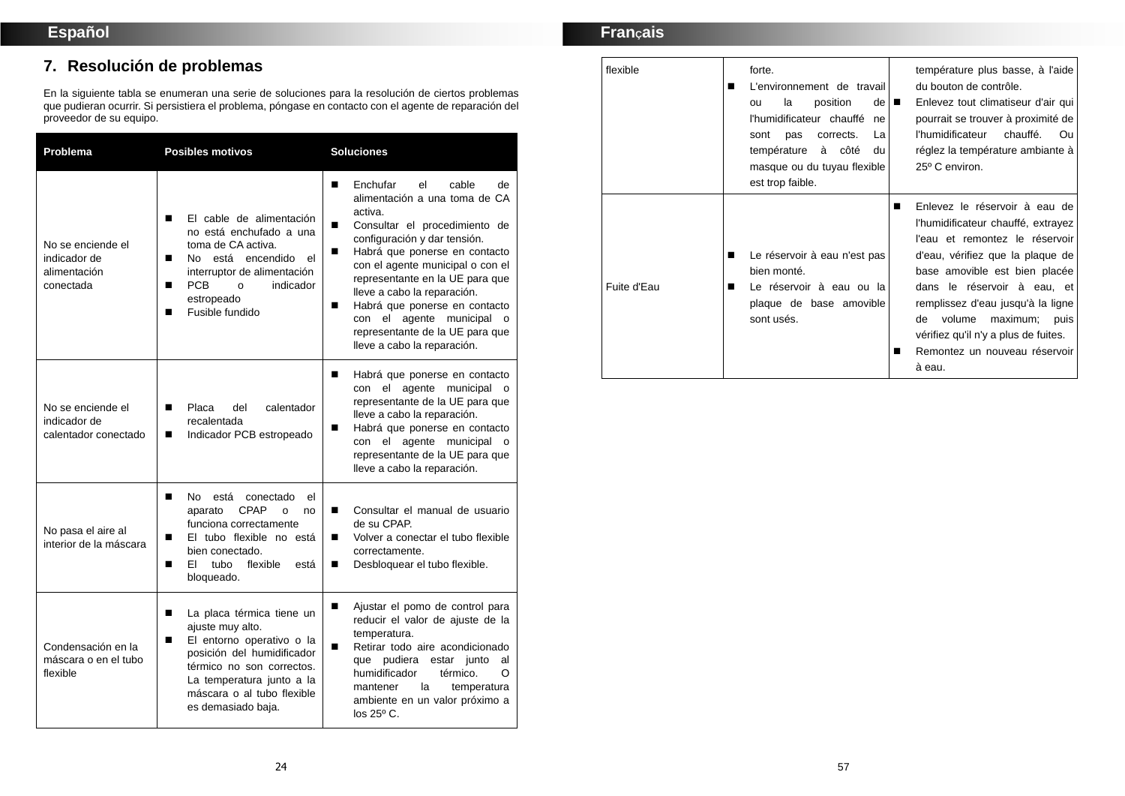# **7. Resolución de problemas**

En la siguiente tabla se enumeran una serie de soluciones para la resolución de ciertos problemas que pudieran ocurrir. Si persistiera el problema, póngase en contacto con el agente de reparación del proveedor de su equipo.

| Problema                                                       | <b>Posibles motivos</b>                                                                                                                                                                                                          | <b>Soluciones</b>                                                                                                                                                                                                                                                                                                                                                                                                                          |  |
|----------------------------------------------------------------|----------------------------------------------------------------------------------------------------------------------------------------------------------------------------------------------------------------------------------|--------------------------------------------------------------------------------------------------------------------------------------------------------------------------------------------------------------------------------------------------------------------------------------------------------------------------------------------------------------------------------------------------------------------------------------------|--|
| No se enciende el<br>indicador de<br>alimentación<br>conectada | El cable de alimentación<br>п<br>no está enchufado a una<br>toma de CA activa.<br>No está encendido<br>el<br>п<br>interruptor de alimentación<br>PCB<br>indicador<br>o<br>п<br>estropeado<br>Fusible fundido<br>П                | Enchufar<br>cable<br>■<br>el<br>de<br>alimentación a una toma de CA<br>activa.<br>Consultar el procedimiento de<br>■<br>configuración y dar tensión.<br>Habrá que ponerse en contacto<br>con el agente municipal o con el<br>representante en la UE para que<br>lleve a cabo la reparación.<br>Habrá que ponerse en contacto<br>■<br>con el agente municipal<br>$\Omega$<br>representante de la UE para que<br>lleve a cabo la reparación. |  |
| No se enciende el<br>indicador de<br>calentador conectado      | Placa<br>del<br>calentador<br>п<br>recalentada<br>Indicador PCB estropeado<br>П                                                                                                                                                  | п<br>Habrá que ponerse en contacto<br>el agente municipal<br>con<br>$\Omega$<br>representante de la UE para que<br>lleve a cabo la reparación.<br>Habrá que ponerse en contacto<br>■<br>con el agente municipal o<br>representante de la UE para que<br>lleve a cabo la reparación.                                                                                                                                                        |  |
| No pasa el aire al<br>interior de la máscara                   | No.<br>está<br>el<br>■<br>conectado<br><b>CPAP</b><br>aparato<br>$\circ$<br>no<br>funciona correctamente<br>El tubo flexible no está<br>п<br>bien conectado.<br>FI.<br>flexible<br>■<br>tubo<br>está<br>bloqueado.               | Consultar el manual de usuario<br>п<br>de su CPAP.<br>Volver a conectar el tubo flexible<br>■<br>correctamente.<br>Desbloquear el tubo flexible.<br>■                                                                                                                                                                                                                                                                                      |  |
| Condensación en la<br>máscara o en el tubo<br>flexible         | La placa térmica tiene un<br>П<br>ajuste muy alto.<br>El entorno operativo o la<br>П<br>posición del humidificador<br>térmico no son correctos.<br>La temperatura junto a la<br>máscara o al tubo flexible<br>es demasiado baja. | Ajustar el pomo de control para<br>■<br>reducir el valor de ajuste de la<br>temperatura.<br>Retirar todo aire acondicionado<br>■<br>que pudiera estar junto<br>al<br>humidificador<br>térmico.<br>O<br>la<br>mantener<br>temperatura<br>ambiente en un valor próximo a<br>$\log 25^{\circ}$ C.                                                                                                                                             |  |

# **FranÇais**

| flexible    | forte.<br>L'environnement de travail<br>■<br>position<br>la<br>$de$ $\blacksquare$<br>ou<br>l'humidificateur chauffé<br>ne<br>pas<br>corrects.<br>La<br>sont<br>température<br>à côté<br>du<br>masque ou du tuyau flexible<br>est trop faible. | température plus basse, à l'aide<br>du bouton de contrôle.<br>Enlevez tout climatiseur d'air qui<br>pourrait se trouver à proximité de<br>l'humidificateur<br>chauffé.<br>Ou<br>réglez la température ambiante à<br>25° C environ.                                                                                                                                      |
|-------------|------------------------------------------------------------------------------------------------------------------------------------------------------------------------------------------------------------------------------------------------|-------------------------------------------------------------------------------------------------------------------------------------------------------------------------------------------------------------------------------------------------------------------------------------------------------------------------------------------------------------------------|
| Fuite d'Eau | Le réservoir à eau n'est pas<br>П<br>bien monté.<br>Le réservoir à eau ou la<br>■<br>plaque de base amovible<br>sont usés.                                                                                                                     | Enlevez le réservoir à eau de<br>■<br>l'humidificateur chauffé, extrayez<br>l'eau et remontez le réservoir<br>d'eau, vérifiez que la plaque de<br>base amovible est bien placée<br>dans le réservoir à eau, et<br>remplissez d'eau jusqu'à la ligne<br>volume maximum;<br>de<br>puis<br>vérifiez qu'il n'y a plus de fuites.<br>Remontez un nouveau réservoir<br>à eau. |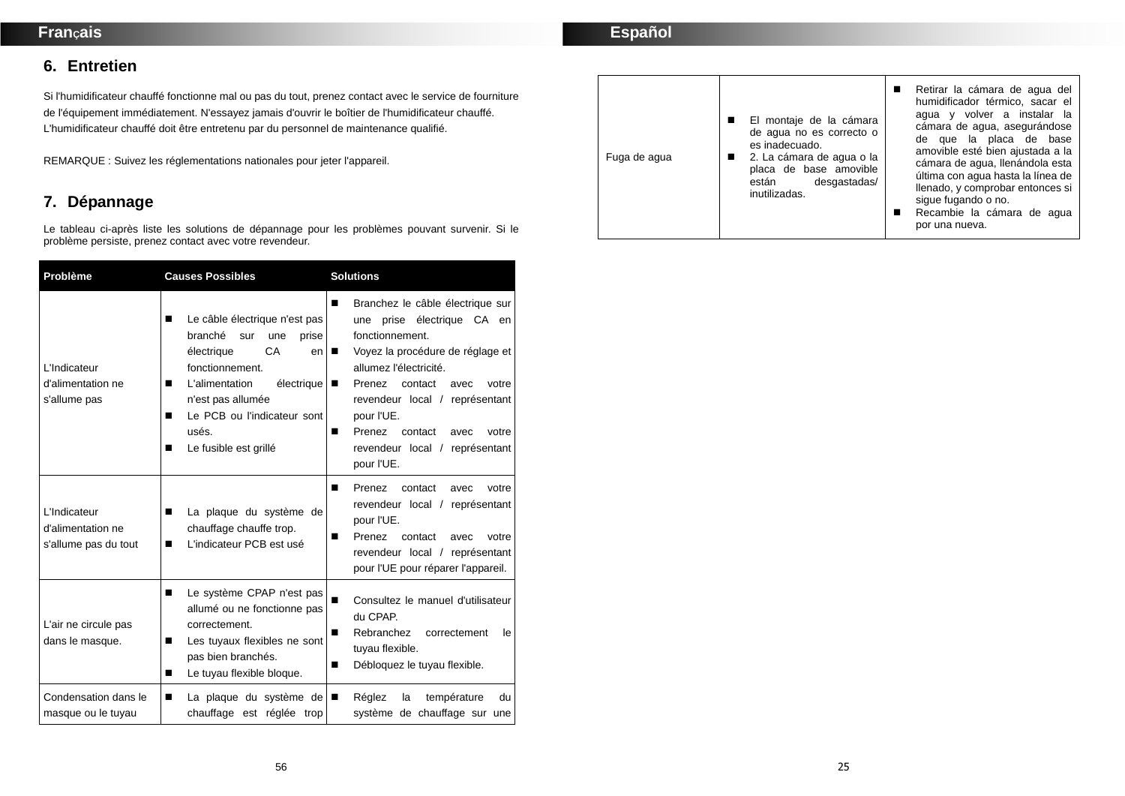**6. Entretien** 

Si l'humidificateur chauffé fonctionne mal ou pas du tout, prenez contact avec le service de fourniture de l'équipement immédiatement. N'essayez jamais d'ouvrir le boîtier de l'humidificateur chauffé. L'humidificateur chauffé doit être entretenu par du personnel de maintenance qualifié.

REMARQUE : Suivez les réglementations nationales pour jeter l'appareil.

# **7. Dépannage**

Le tableau ci-après liste les solutions de dépannage pour les problèmes pouvant survenir. Si le problème persiste, prenez contact avec votre revendeur.

| Problème                                                  | <b>Causes Possibles</b>                                                                                                                                                                                                                                | <b>Solutions</b>                                                                                                                                                                                                                                                                                                                           |  |
|-----------------------------------------------------------|--------------------------------------------------------------------------------------------------------------------------------------------------------------------------------------------------------------------------------------------------------|--------------------------------------------------------------------------------------------------------------------------------------------------------------------------------------------------------------------------------------------------------------------------------------------------------------------------------------------|--|
| L'Indicateur<br>d'alimentation ne<br>s'allume pas         | Le câble électrique n'est pas<br>■<br>branché<br>sur<br>une<br>prise<br>CA<br>électrique<br>en<br>fonctionnement.<br>électrique<br>L'alimentation<br>■<br>n'est pas allumée<br>Le PCB ou l'indicateur sont<br>■<br>usés.<br>Le fusible est grillé<br>■ | Branchez le câble électrique sur<br>■<br>une prise électrique CA en<br>fonctionnement.<br>Voyez la procédure de réglage et<br>allumez l'électricité.<br>Prenez<br>contact<br>votre<br>■<br>avec<br>revendeur local / représentant<br>pour l'UE.<br>Prenez<br>contact<br>votre<br>■<br>avec<br>revendeur local / représentant<br>pour l'UE. |  |
| L'Indicateur<br>d'alimentation ne<br>s'allume pas du tout | La plaque du système de<br>■<br>chauffage chauffe trop.<br>L'indicateur PCB est usé<br>П                                                                                                                                                               | Prenez<br>contact<br>votre<br>■<br>avec<br>revendeur local / représentant<br>pour l'UE.<br>Prenez<br>contact<br>avec<br>votre<br>■<br>revendeur local / représentant<br>pour l'UE pour réparer l'appareil.                                                                                                                                 |  |
| L'air ne circule pas<br>dans le masque.                   | Le système CPAP n'est pas<br>П<br>allumé ou ne fonctionne pas<br>correctement.<br>Les tuyaux flexibles ne sont<br>■<br>pas bien branchés.<br>Le tuyau flexible bloque.<br>■                                                                            | Consultez le manuel d'utilisateur<br>■<br>du CPAP.<br>Rebranchez<br>correctement<br>le<br>■<br>tuyau flexible.<br>Débloquez le tuyau flexible.<br>■                                                                                                                                                                                        |  |
| Condensation dans le<br>masque ou le tuyau                | La plaque du système de<br>■<br>chauffage est réglée trop                                                                                                                                                                                              | Réglez<br>la<br>température<br>du<br>■<br>système de chauffage sur une                                                                                                                                                                                                                                                                     |  |

| Fuga de agua | El montaje de la cámara<br>de agua no es correcto o<br>es inadecuado.<br>■ 2. La cámara de agua o la<br>placa de base amovible<br>desgastadas/<br>están<br>inutilizadas. | sigue fugando o no.<br>por una nueva. | Retirar la cámara de agua del<br>humidificador térmico, sacar el<br>agua y volver a instalar la<br>cámara de agua, asegurándose<br>de que la placa de base<br>amovible esté bien ajustada a la<br>cámara de agua, llenándola esta<br>última con agua hasta la línea de<br>llenado, y comprobar entonces si<br>Recambie la cámara de agua |
|--------------|--------------------------------------------------------------------------------------------------------------------------------------------------------------------------|---------------------------------------|------------------------------------------------------------------------------------------------------------------------------------------------------------------------------------------------------------------------------------------------------------------------------------------------------------------------------------------|
|--------------|--------------------------------------------------------------------------------------------------------------------------------------------------------------------------|---------------------------------------|------------------------------------------------------------------------------------------------------------------------------------------------------------------------------------------------------------------------------------------------------------------------------------------------------------------------------------------|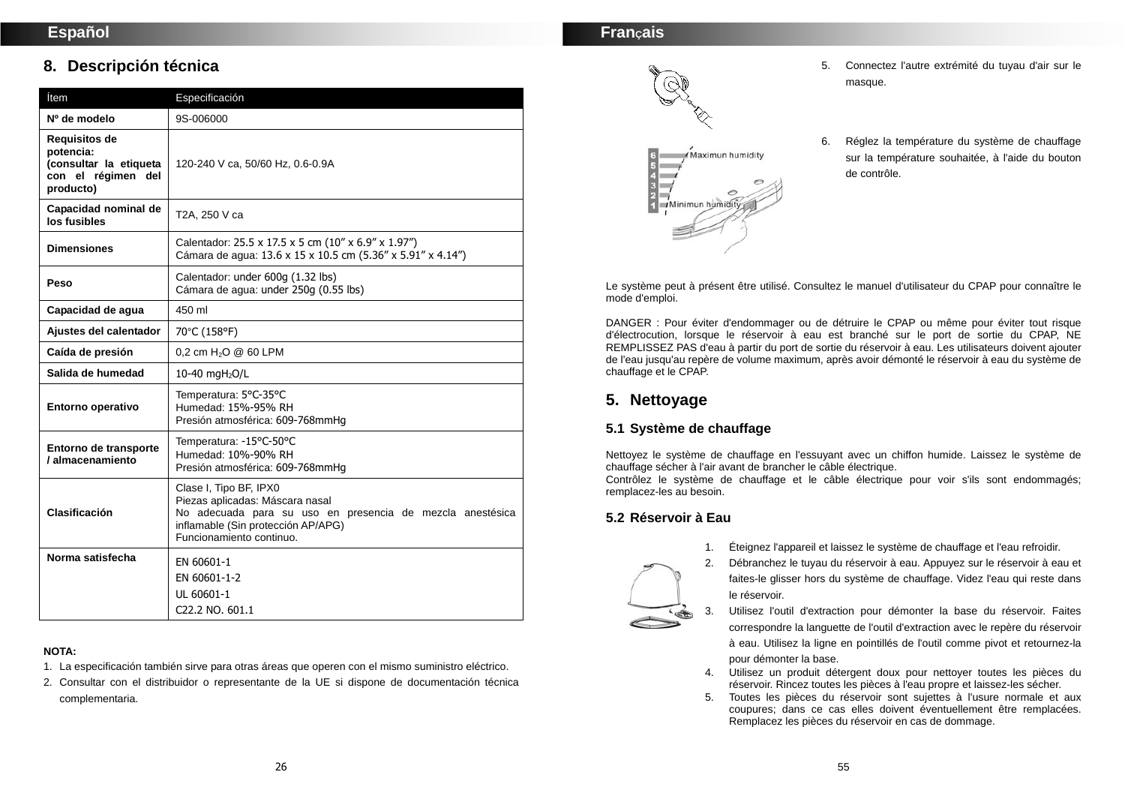# **8. Descripción técnica**

| Ítem                                                                                    | Especificación                                                                                                                                                                           |
|-----------------------------------------------------------------------------------------|------------------------------------------------------------------------------------------------------------------------------------------------------------------------------------------|
| Nº de modelo                                                                            | 9S-006000                                                                                                                                                                                |
| Requisitos de<br>potencia:<br>(consultar la etiqueta<br>con el régimen del<br>producto) | 120-240 V ca, 50/60 Hz, 0.6-0.9A                                                                                                                                                         |
| Capacidad nominal de<br>los fusibles                                                    | T2A, 250 V ca                                                                                                                                                                            |
| <b>Dimensiones</b>                                                                      | Calentador: 25.5 x 17.5 x 5 cm (10" x 6.9" x 1.97")<br>Cámara de agua: 13.6 x 15 x 10.5 cm (5.36" x 5.91" x 4.14")                                                                       |
| Peso                                                                                    | Calentador: under 600g (1.32 lbs)<br>Cámara de agua: under 250g (0.55 lbs)                                                                                                               |
| Capacidad de agua                                                                       | 450 ml                                                                                                                                                                                   |
| Ajustes del calentador                                                                  | 70°C (158°F)                                                                                                                                                                             |
| Caída de presión                                                                        | 0.2 cm $H_2O \ @ \ 60$ LPM                                                                                                                                                               |
| Salida de humedad                                                                       | 10-40 mgH <sub>2</sub> O/L                                                                                                                                                               |
| Entorno operativo                                                                       | Temperatura: 5°C-35°C<br>Humedad: 15%-95% RH<br>Presión atmosférica: 609-768mmHg                                                                                                         |
| Entorno de transporte<br>/ almacenamiento                                               | Temperatura: -15°C-50°C<br>Humedad: 10%-90% RH<br>Presión atmosférica: 609-768mmHg                                                                                                       |
| Clasificación                                                                           | Clase I, Tipo BF, IPX0<br>Piezas aplicadas: Máscara nasal<br>No adecuada para su uso en presencia de mezcla anestésica<br>inflamable (Sin protección AP/APG)<br>Funcionamiento continuo. |
| Norma satisfecha                                                                        | EN 60601-1<br>EN 60601-1-2<br>UL 60601-1<br>C22.2 NO. 601.1                                                                                                                              |

#### **NOTA:**

- 1. La especificación también sirve para otras áreas que operen con el mismo suministro eléctrico.
- 2. Consultar con el distribuidor o representante de la UE si dispone de documentación técnica complementaria.

# **FranÇais**



- 5. Connectez l'autre extrémité du tuyau d'air sur le masque.
- 6. Réglez la température du système de chauffage sur la température souhaitée, à l'aide du bouton de contrôle.

Le système peut à présent être utilisé. Consultez le manuel d'utilisateur du CPAP pour connaître le mode d'emploi.

DANGER : Pour éviter d'endommager ou de détruire le CPAP ou même pour éviter tout risque d'électrocution, lorsque le réservoir à eau est branché sur le port de sortie du CPAP, NE REMPLISSEZ PAS d'eau à partir du port de sortie du réservoir à eau. Les utilisateurs doivent ajouter de l'eau jusqu'au repère de volume maximum, après avoir démonté le réservoir à eau du système de chauffage et le CPAP.

# **5. Nettoyage**

## **5.1 Système de chauffage**

Nettoyez le système de chauffage en l'essuyant avec un chiffon humide. Laissez le système de chauffage sécher à l'air avant de brancher le câble électrique.

Contrôlez le système de chauffage et le câble électrique pour voir s'ils sont endommagés; remplacez-les au besoin.

## **5.2 Réservoir à Eau**

- 1. Éteignez l'appareil et laissez le système de chauffage et l'eau refroidir.
- 2. Débranchez le tuyau du réservoir à eau. Appuyez sur le réservoir à eau et faites-le glisser hors du système de chauffage. Videz l'eau qui reste dans le réservoir.
- 3. Utilisez l'outil d'extraction pour démonter la base du réservoir. Faites correspondre la languette de l'outil d'extraction avec le repère du réservoir à eau. Utilisez la ligne en pointillés de l'outil comme pivot et retournez-la pour démonter la base.
- 4. Utilisez un produit détergent doux pour nettoyer toutes les pièces du réservoir. Rincez toutes les pièces à l'eau propre et laissez-les sécher.
- 5. Toutes les pièces du réservoir sont sujettes à l'usure normale et aux coupures; dans ce cas elles doivent éventuellement être remplacées. Remplacez les pièces du réservoir en cas de dommage.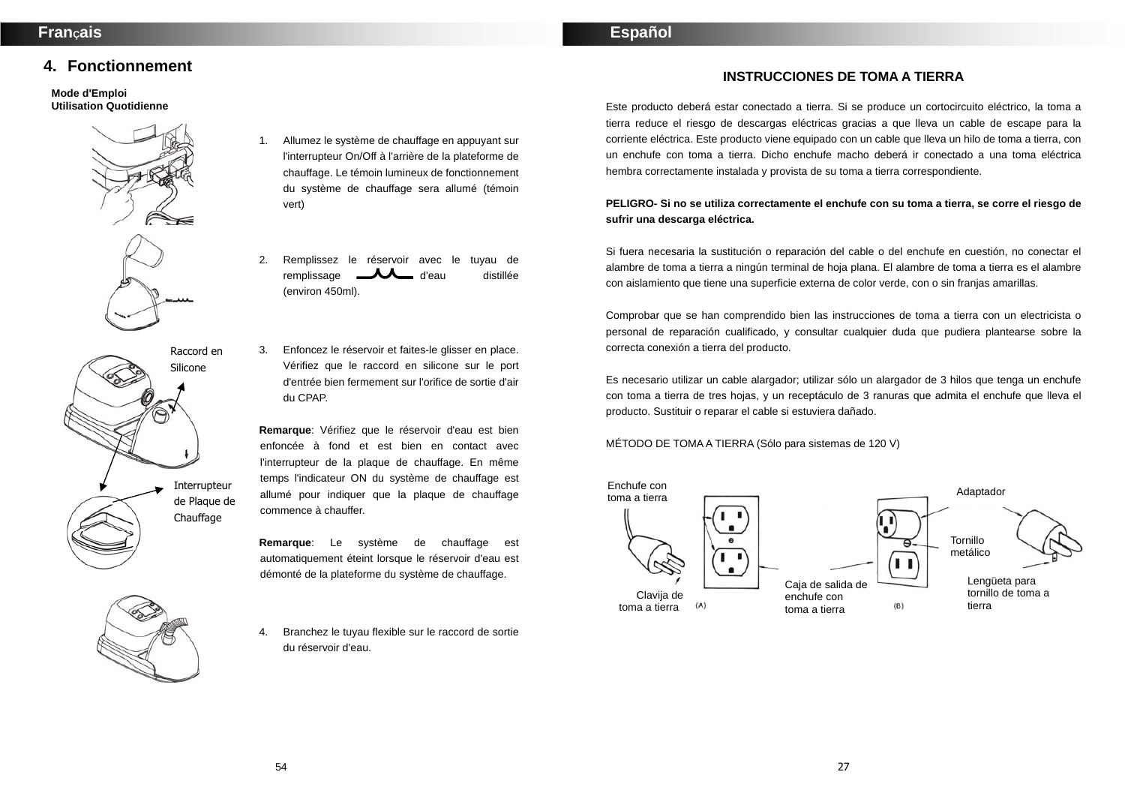## **4. Fonctionnement**

#### **Mode d'Emploi Utilisation Quotidienne**



- 1. Allumez le système de chauffage en appuyant sur l'interrupteur On/Off à l'arrière de la plateforme de chauffage. Le témoin lumineux de fonctionnement du système de chauffage sera allumé (témoin vert)
- 2. Remplissez le réservoir avec le tuyau de remplissage **d'eau** d'eau distillée (environ 450ml).
- 3. Enfoncez le réservoir et faites-le glisser en place. Vérifiez que le raccord en silicone sur le port d'entrée bien fermement sur l'orifice de sortie d'air du CPAP.

**Remarque**: Vérifiez que le réservoir d'eau est bien enfoncée à fond et est bien en contact avec l'interrupteur de la plaque de chauffage. En même temps l'indicateur ON du système de chauffage est allumé pour indiquer que la plaque de chauffage commence à chauffer.

**Remarque**: Le système de chauffage est automatiquement éteint lorsque le réservoir d'eau est démonté de la plateforme du système de chauffage.

4. Branchez le tuyau flexible sur le raccord de sortie du réservoir d'eau.

**Español** 

## **INSTRUCCIONES DE TOMA A TIERRA**

Este producto deberá estar conectado a tierra. Si se produce un cortocircuito eléctrico, la toma a tierra reduce el riesgo de descargas eléctricas gracias a que lleva un cable de escape para la corriente eléctrica. Este producto viene equipado con un cable que lleva un hilo de toma a tierra, con un enchufe con toma a tierra. Dicho enchufe macho deberá ir conectado a una toma eléctrica hembra correctamente instalada y provista de su toma a tierra correspondiente.

### **PELIGRO- Si no se utiliza correctamente el enchufe con su toma a tierra, se corre el riesgo de sufrir una descarga eléctrica.**

Si fuera necesaria la sustitución o reparación del cable o del enchufe en cuestión, no conectar el alambre de toma a tierra a ningún terminal de hoja plana. El alambre de toma a tierra es el alambre con aislamiento que tiene una superficie externa de color verde, con o sin franjas amarillas.

Comprobar que se han comprendido bien las instrucciones de toma a tierra con un electricista o personal de reparación cualificado, y consultar cualquier duda que pudiera plantearse sobre la correcta conexión a tierra del producto.

Es necesario utilizar un cable alargador; utilizar sólo un alargador de 3 hilos que tenga un enchufe con toma a tierra de tres hojas, y un receptáculo de 3 ranuras que admita el enchufe que lleva el producto. Sustituir o reparar el cable si estuviera dañado.

MÉTODO DE TOMA A TIERRA (Sólo para sistemas de 120 V)



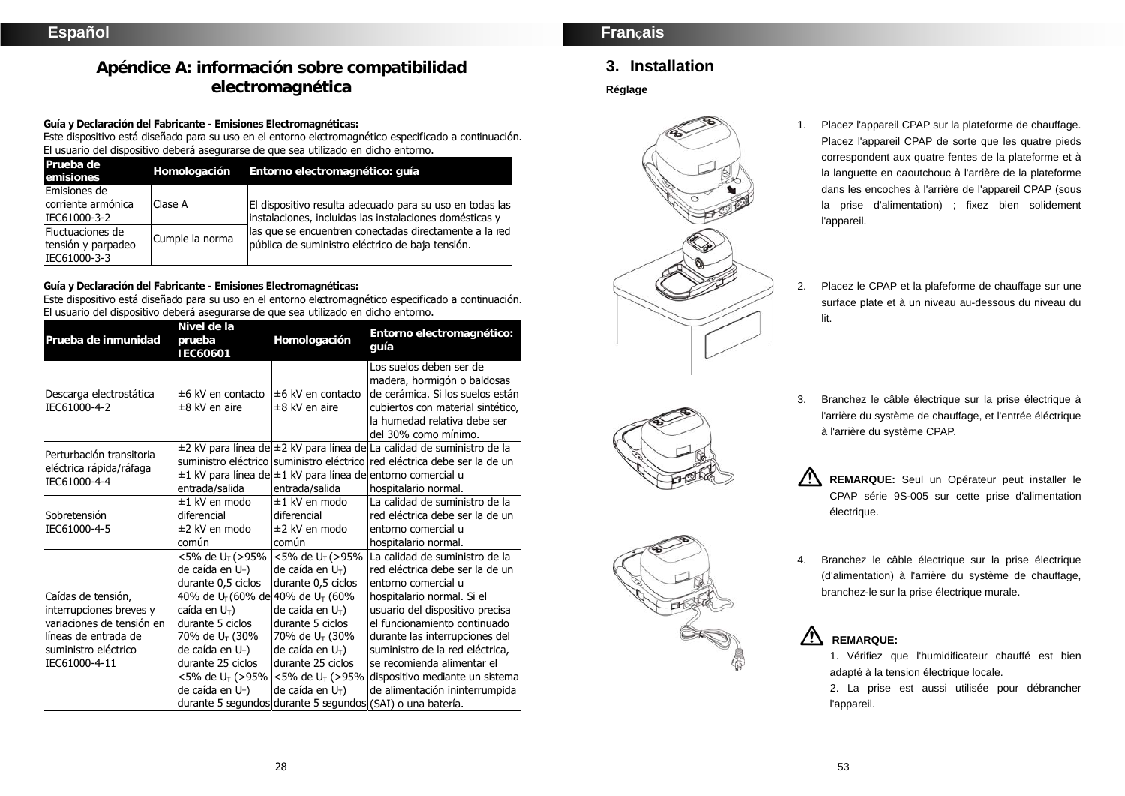# **Apéndice A: información sobre compatibilidad electromagnética**

**Guía y Declaración del Fabricante - Emisiones Electromagnéticas:** 

Este dispositivo está diseñado para su uso en el entorno electromagnético especificado a continuación. El usuario del dispositivo deberá asegurarse de que sea utilizado en dicho entorno.

| Prueba de<br>emisiones                                 | Homologación    | Entorno electromagnético: quía                                                                                      |
|--------------------------------------------------------|-----------------|---------------------------------------------------------------------------------------------------------------------|
| Emisiones de<br>corriente armónica<br>IEC61000-3-2     | Clase A         | El dispositivo resulta adecuado para su uso en todas las<br>instalaciones, incluidas las instalaciones domésticas y |
| Fluctuaciones de<br>tensión y parpadeo<br>IEC61000-3-3 | Cumple la norma | las que se encuentren conectadas directamente a la red<br>pública de suministro eléctrico de baja tensión.          |

**Guía y Declaración del Fabricante - Emisiones Electromagnéticas:** 

Este dispositivo está diseñado para su uso en el entorno electromagnético especificado a continuación. El usuario del dispositivo deberá asegurarse de que sea utilizado en dicho entorno.

| Prueba de inmunidad                                                                                                                         | Nivel de la<br>prueba<br>IEC60601                                                                                                                                                                                                                                             | Homologación                                                                                                                                                                                                                                                                               | Entorno electromagnético:<br>quía                                                                                                                                                                                                                                                                                                                                                                                               |
|---------------------------------------------------------------------------------------------------------------------------------------------|-------------------------------------------------------------------------------------------------------------------------------------------------------------------------------------------------------------------------------------------------------------------------------|--------------------------------------------------------------------------------------------------------------------------------------------------------------------------------------------------------------------------------------------------------------------------------------------|---------------------------------------------------------------------------------------------------------------------------------------------------------------------------------------------------------------------------------------------------------------------------------------------------------------------------------------------------------------------------------------------------------------------------------|
| Descarga electrostática<br>IEC61000-4-2                                                                                                     | $±6$ kV en contacto<br>±8 kV en aire                                                                                                                                                                                                                                          | $±6$ kV en contacto<br>$±8$ kV en aire                                                                                                                                                                                                                                                     | Los suelos deben ser de<br>madera, hormigón o baldosas<br>de cerámica. Si los suelos están<br>cubiertos con material sintético,<br>la humedad relativa debe ser<br>del 30% como mínimo.                                                                                                                                                                                                                                         |
| Perturbación transitoria<br>eléctrica rápida/ráfaga<br>IEC61000-4-4                                                                         | entrada/salida                                                                                                                                                                                                                                                                | entrada/salida                                                                                                                                                                                                                                                                             | ±2 kV para línea de ±2 kV para línea de La calidad de suministro de la<br>suministro eléctrico suministro eléctrico red eléctrica debe ser la de un<br>±1 kV para línea de ±1 kV para línea de entorno comercial u<br>hospitalario normal.                                                                                                                                                                                      |
| Sobretensión<br>IEC61000-4-5                                                                                                                | $±1$ kV en modo<br>diferencial<br>±2 kV en modo<br>común                                                                                                                                                                                                                      | ±1 kV en modo<br>diferencial<br>±2 kV en modo<br>común                                                                                                                                                                                                                                     | La calidad de suministro de la<br>red eléctrica debe ser la de un<br>entorno comercial u<br>hospitalario normal.                                                                                                                                                                                                                                                                                                                |
| Caídas de tensión,<br>interrupciones breves y<br>variaciones de tensión en<br>líneas de entrada de<br>suministro eléctrico<br>IEC61000-4-11 | <5% de U <sub>T</sub> (>95%<br>de caída en $U_T$ )<br>durante 0,5 ciclos<br>40% de U <sub>T</sub> (60% de 40% de U <sub>T</sub> (60%<br>caída en $U_T$ )<br>durante 5 ciclos<br>70% de U <sub>T</sub> (30%<br>de caída en $U_T$ )<br>durante 25 ciclos<br>de caída en $U_T$ ) | $<$ 5% de U <sub>T</sub> (>95%<br>de caída en $U_T$ )<br>durante 0,5 ciclos<br>de caída en $U_T$ )<br>durante 5 ciclos<br>70% de U <sub>T</sub> (30%<br>de caída en $U_T$ )<br>durante 25 ciclos<br>$<$ 5% de U <sub>T</sub> (>95%   $<$ 5% de U <sub>T</sub> (>95%<br>de caída en $U_T$ ) | La calidad de suministro de la<br>red eléctrica debe ser la de un<br>entorno comercial u<br>hospitalario normal. Si el<br>usuario del dispositivo precisa<br>el funcionamiento continuado<br>durante las interrupciones del<br>suministro de la red eléctrica,<br>se recomienda alimentar el<br>dispositivo mediante un sistema<br>de alimentación ininterrumpida<br>durante 5 segundos durante 5 segundos (SAI) o una batería. |

# **FranÇais**

# **3. Installation**

#### **Réglage**



- 1. Placez l'appareil CPAP sur la plateforme de chauffage. Placez l'appareil CPAP de sorte que les quatre pieds correspondent aux quatre fentes de la plateforme et à la languette en caoutchouc à l'arrière de la plateforme dans les encoches à l'arrière de l'appareil CPAP (sous la prise d'alimentation) ; fixez bien solidement l'appareil.
- 2. Placez le CPAP et la plafeforme de chauffage sur une surface plate et à un niveau au-dessous du niveau du lit.





3. Branchez le câble électrique sur la prise électrique à l'arrière du système de chauffage, et l'entrée éléctrique

**REMARQUE:** Seul un Opérateur peut installer le CPAP série 9S-005 sur cette prise d'alimentation électrique.

4. Branchez le câble électrique sur la prise électrique (d'alimentation) à l'arrière du système de chauffage, branchez-le sur la prise électrique murale.



1. Vérifiez que l'humidificateur chauffé est bien adapté à la tension électrique locale.

2. La prise est aussi utilisée pour débrancher l'appareil.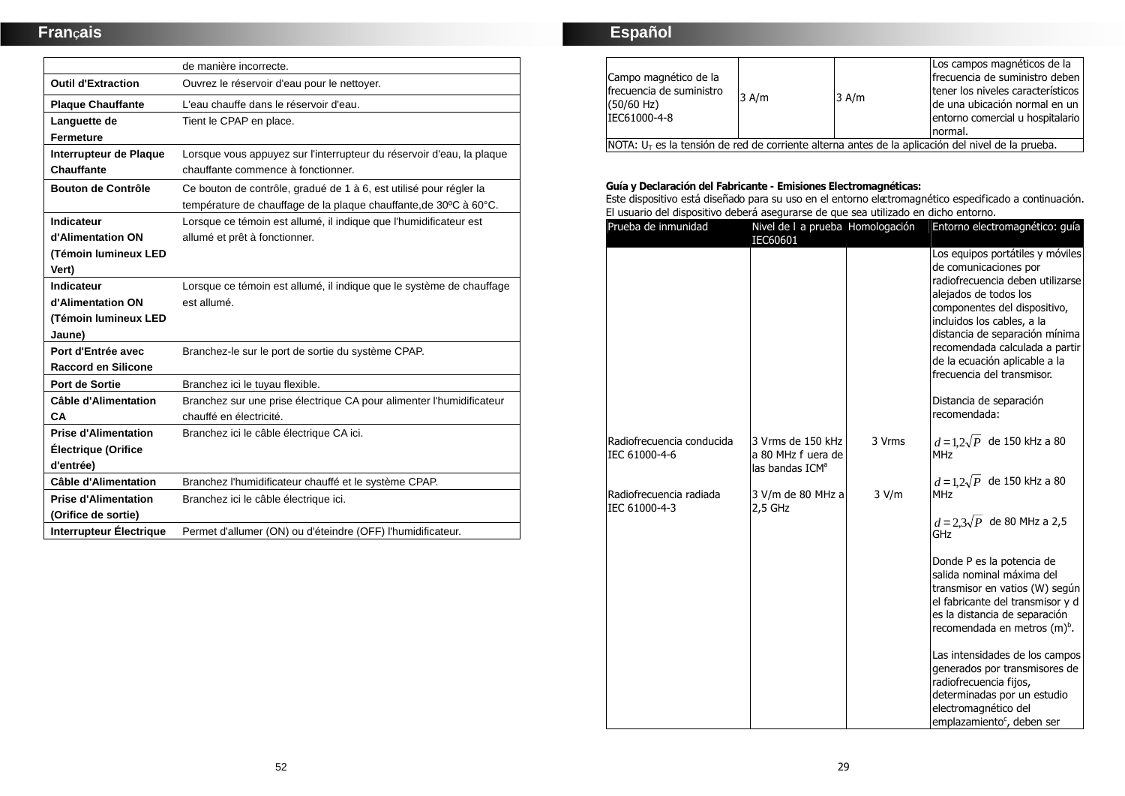# **FranÇais**

|                             | de manière incorrecte.                                                                                                                  |
|-----------------------------|-----------------------------------------------------------------------------------------------------------------------------------------|
| <b>Outil d'Extraction</b>   | Ouvrez le réservoir d'eau pour le nettoyer.                                                                                             |
| <b>Plaque Chauffante</b>    | L'eau chauffe dans le réservoir d'eau.                                                                                                  |
| Languette de                | Tient le CPAP en place.                                                                                                                 |
| <b>Fermeture</b>            |                                                                                                                                         |
| Interrupteur de Plaque      | Lorsque vous appuyez sur l'interrupteur du réservoir d'eau, la plaque                                                                   |
| <b>Chauffante</b>           | chauffante commence à fonctionner.                                                                                                      |
| Bouton de Contrôle          | Ce bouton de contrôle, gradué de 1 à 6, est utilisé pour régler la<br>température de chauffage de la plaque chauffante, de 30°C à 60°C. |
| Indicateur                  | Lorsque ce témoin est allumé, il indique que l'humidificateur est                                                                       |
| d'Alimentation ON           | allumé et prêt à fonctionner.                                                                                                           |
| (Témoin lumineux LED        |                                                                                                                                         |
| Vert)                       |                                                                                                                                         |
| Indicateur                  | Lorsque ce témoin est allumé, il indique que le système de chauffage                                                                    |
| d'Alimentation ON           | est allumé.                                                                                                                             |
| (Témoin lumineux LED        |                                                                                                                                         |
| Jaune)                      |                                                                                                                                         |
| Port d'Entrée avec          | Branchez-le sur le port de sortie du système CPAP.                                                                                      |
| <b>Raccord en Silicone</b>  |                                                                                                                                         |
| Port de Sortie              | Branchez ici le tuyau flexible.                                                                                                         |
| <b>Câble d'Alimentation</b> | Branchez sur une prise électrique CA pour alimenter l'humidificateur                                                                    |
| CA                          | chauffé en électricité.                                                                                                                 |
| <b>Prise d'Alimentation</b> | Branchez ici le câble électrique CA ici.                                                                                                |
| <b>Électrique (Orifice</b>  |                                                                                                                                         |
| d'entrée)                   |                                                                                                                                         |
| <b>Câble d'Alimentation</b> | Branchez l'humidificateur chauffé et le système CPAP.                                                                                   |
| <b>Prise d'Alimentation</b> | Branchez ici le câble électrique ici.                                                                                                   |
| (Orifice de sortie)         |                                                                                                                                         |
| Interrupteur Électrique     | Permet d'allumer (ON) ou d'éteindre (OFF) l'humidificateur.                                                                             |

# **Español**

| Campo magnético de la<br>Ifrecuencia de suministro<br>$(50/60$ Hz)<br>IEC61000-4-8                  | $3$ A/m | $3$ A/m | Los campos magnéticos de la<br>Ifrecuencia de suministro deben<br>Itener los niveles característicos<br>de una ubicación normal en un<br>entorno comercial u hospitalario<br>normal. |
|-----------------------------------------------------------------------------------------------------|---------|---------|--------------------------------------------------------------------------------------------------------------------------------------------------------------------------------------|
| $NOTA: UT$ es la tensión de red de corriente alterna antes de la aplicación del nivel de la prueba. |         |         |                                                                                                                                                                                      |

**Guía y Declaración del Fabricante - Emisiones Electromagnéticas:** 

Este dispositivo está diseñado para su uso en el entorno electromagnético especificado a continuación. El usuario del dispositivo deberá asegurarse de que sea utilizado en dicho entorno.

| Prueba de inmunidad                        | Nivel de I a prueba Homologación<br>IEC60601                           |        | Entorno electromagnético: guía                                                                                                                                                                                                                                                                                                                                     |
|--------------------------------------------|------------------------------------------------------------------------|--------|--------------------------------------------------------------------------------------------------------------------------------------------------------------------------------------------------------------------------------------------------------------------------------------------------------------------------------------------------------------------|
|                                            |                                                                        |        | Los equipos portátiles y móviles<br>de comunicaciones por<br>radiofrecuencia deben utilizarse<br>alejados de todos los<br>componentes del dispositivo,<br>incluidos los cables, a la<br>distancia de separación mínima<br>recomendada calculada a partir<br>de la ecuación aplicable a la<br>frecuencia del transmisor.<br>Distancia de separación<br>recomendada: |
| Radiofrecuencia conducida<br>IEC 61000-4-6 | 3 Vrms de 150 kHz<br>a 80 MHz f uera de<br>las bandas ICM <sup>a</sup> | 3 Vrms | $d=1,2\sqrt{P}$ de 150 kHz a 80<br><b>MHz</b>                                                                                                                                                                                                                                                                                                                      |
| Radiofrecuencia radiada<br>IEC 61000-4-3   | 3 V/m de 80 MHz a<br>2,5 GHz                                           | 3 V/m  | $d = 1, 2\sqrt{P}$ de 150 kHz a 80<br><b>MHz</b><br>$d = 2,3\sqrt{P}$ de 80 MHz a 2,5<br>GHz                                                                                                                                                                                                                                                                       |
|                                            |                                                                        |        | Donde P es la potencia de<br>salida nominal máxima del<br>transmisor en vatios (W) según<br>el fabricante del transmisor y d<br>es la distancia de separación<br>recomendada en metros (m) <sup>b</sup> .                                                                                                                                                          |
|                                            |                                                                        |        | Las intensidades de los campos<br>generados por transmisores de<br>radiofrecuencia fijos,<br>determinadas por un estudio<br>electromagnético del<br>emplazamiento <sup>c</sup> , deben ser                                                                                                                                                                         |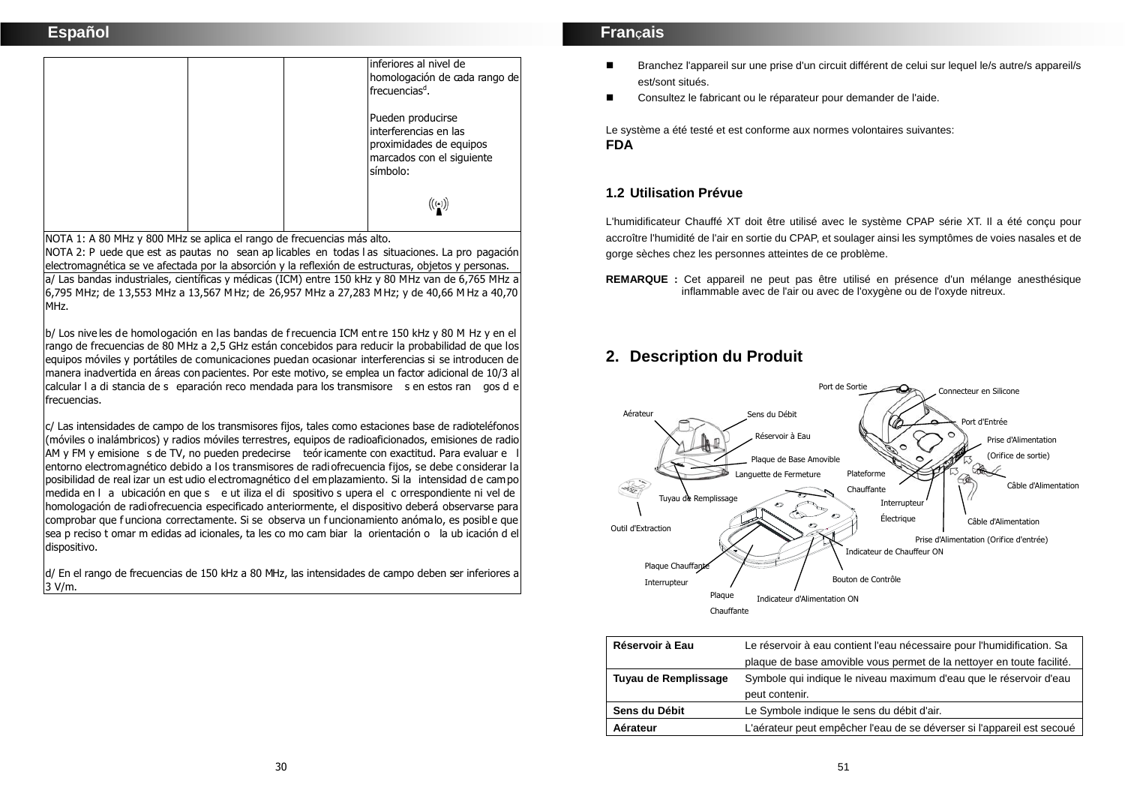# **Español**

|  | linferiores al nivel de<br>homologación de cada rango de<br>frecuencias <sup>d</sup> .                         |
|--|----------------------------------------------------------------------------------------------------------------|
|  | Pueden producirse<br>interferencias en las<br>proximidades de equipos<br>marcados con el siguiente<br>símbolo: |
|  | $\left(\left(\cdot\right)\right)$                                                                              |

NOTA 1: A 80 MHz y 800 MHz se aplica el rango de frecuencias más alto.

NOTA 2: P uede que est as pautas no sean ap licables en todas l as situaciones. La pro pagación electromagnética se ve afectada por la absorción y la reflexión de estructuras, objetos y personas. a/ Las bandas industriales, científicas y médicas (ICM) entre 150 kHz y 80 MHz van de 6,765 MHz a 6,795 MHz; de 13,553 MHz a 13,567 M Hz; de 26,957 MHz a 27,283 M Hz; y de 40,66 M Hz a 40,70 MHz.

b/ Los nive les de homologación en las bandas de f recuencia ICM ent re 150 kHz y 80 M Hz y en el rango de frecuencias de 80 MHz a 2,5 GHz están concebidos para reducir la probabilidad de que los equipos móviles y portátiles de comunicaciones puedan ocasionar interferencias si se introducen de manera inadvertida en áreas con pacientes. Por este motivo, se emplea un factor adicional de 10/3 al calcular l a di stancia de s eparación reco mendada para los transmisore s en estos ran gos d <sup>e</sup> frecuencias.

c/ Las intensidades de campo de los transmisores fijos, tales como estaciones base de radioteléfonos (móviles o inalámbricos) y radios móviles terrestres, equipos de radioaficionados, emisiones de radio AM y FM y emisione s de TV, no pueden predecirse teór icamente con exactitud. Para evaluar e l entorno electromagnético debido a los transmisores de radiofrecuencia fijos, se debe considerar la posibilidad de real izar un est udio electromagnético del emplazamiento. Si la intensidad de campo medida en l a ubicación en que s e ut iliza el di spositivo s upera el <sup>c</sup> orrespondiente ni vel de homologación de radiofrecuencia especificado anteriormente, el dispositivo deberá observarse para comprobar que f unciona correctamente. Si se observa un f uncionamiento anómalo, es posibl e que sea p reciso t omar m edidas ad icionales, ta les co mo cam biar la orientación o la ub icación d el dispositivo.

d/ En el rango de frecuencias de 150 kHz a 80 MHz, las intensidades de campo deben ser inferiores a 3 V/m.

## **FranÇais**

- Branchez l'appareil sur une prise d'un circuit différent de celui sur lequel le/s autre/s appareil/s est/sont situés.
- Consultez le fabricant ou le réparateur pour demander de l'aide.

Le système a été testé et est conforme aux normes volontaires suivantes: **FDA** 

## **1.2 Utilisation Prévue**

L'humidificateur Chauffé XT doit être utilisé avec le système CPAP série XT. Il a été conçu pour accroître l'humidité de l'air en sortie du CPAP, et soulager ainsi les symptômes de voies nasales et de gorge sèches chez les personnes atteintes de ce problème.

**REMARQUE :** Cet appareil ne peut pas être utilisé en présence d'un mélange anesthésique inflammable avec de l'air ou avec de l'oxygène ou de l'oxyde nitreux.

# **2. Description du Produit**



| Réservoir à Eau      | Le réservoir à eau contient l'eau nécessaire pour l'humidification. Sa |
|----------------------|------------------------------------------------------------------------|
|                      | plaque de base amovible vous permet de la nettoyer en toute facilité.  |
| Tuyau de Remplissage | Symbole qui indique le niveau maximum d'eau que le réservoir d'eau     |
|                      | peut contenir.                                                         |
| Sens du Débit        | Le Symbole indique le sens du débit d'air.                             |
| Aérateur             | L'aérateur peut empêcher l'eau de se déverser si l'appareil est secoué |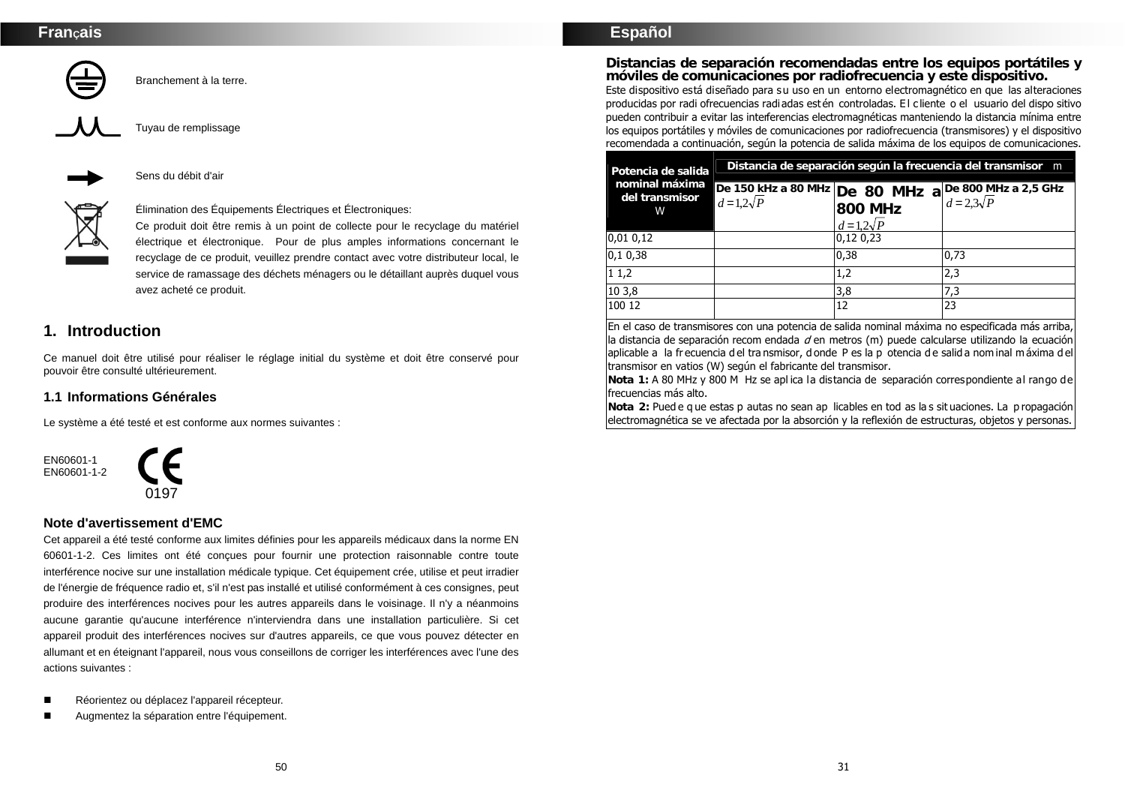Branchement à la terre.



Tuyau de remplissage



Sens du débit d'air



Élimination des Équipements Électriques et Électroniques:

Ce produit doit être remis à un point de collecte pour le recyclage du matériel électrique et électronique. Pour de plus amples informations concernant le recyclage de ce produit, veuillez prendre contact avec votre distributeur local, le service de ramassage des déchets ménagers ou le détaillant auprès duquel vous avez acheté ce produit.

# **1. Introduction**

Ce manuel doit être utilisé pour réaliser le réglage initial du système et doit être conservé pour pouvoir être consulté ultérieurement.

## **1.1 Informations Générales**

Le système a été testé et est conforme aux normes suivantes :

EN60601-1 EN60601-1-2



### **Note d'avertissement d'EMC**

Cet appareil a été testé conforme aux limites définies pour les appareils médicaux dans la norme EN 60601-1-2. Ces limites ont été conçues pour fournir une protection raisonnable contre toute interférence nocive sur une installation médicale typique. Cet équipement crée, utilise et peut irradier de l'énergie de fréquence radio et, s'il n'est pas installé et utilisé conformément à ces consignes, peut produire des interférences nocives pour les autres appareils dans le voisinage. Il n'y a néanmoins aucune garantie qu'aucune interférence n'interviendra dans une installation particulière. Si cet appareil produit des interférences nocives sur d'autres appareils, ce que vous pouvez détecter en allumant et en éteignant l'appareil, nous vous conseillons de corriger les interférences avec l'une des actions suivantes :

- Réorientez ou déplacez l'appareil récepteur.
- Augmentez la séparation entre l'équipement.

## **Español**

**Distancias de separación recomendadas entre los equipos portátiles y móviles de comunicaciones por radiofrecuencia y este dispositivo.**  Este dispositivo está diseñado para su uso en un entorno electromagnético en que las alteraciones producidas por radi ofrecuencias radiadas estén controladas. E l cliente o el usuario del dispo sitivo pueden contribuir a evitar las interferencias electromagnéticas manteniendo la distancia mínima entre los equipos portátiles y móviles de comunicaciones por radiofrecuencia (transmisores) y el dispositivo recomendada a continuación, según la potencia de salida máxima de los equipos de comunicaciones.

| Potencia de salida                    | Distancia de separación según la frecuencia del transmisor m |                                   |                                                                                                     |  |
|---------------------------------------|--------------------------------------------------------------|-----------------------------------|-----------------------------------------------------------------------------------------------------|--|
| nominal máxima<br>del transmisor<br>W |                                                              | <b>800 MHz</b><br>$d=1,2\sqrt{P}$ | De 150 kHz a 80 MHz De 80 MHz a De 800 MHz a 2,5 GHz<br>$d = 1.2\sqrt{P}$ 900 MHz $d = 2.3\sqrt{P}$ |  |
| 0,01 0,12                             |                                                              | 0,12 0,23                         |                                                                                                     |  |
| 0,10,38                               |                                                              | 0,38                              | 0,73                                                                                                |  |
| 11,2                                  |                                                              | 1,2                               | 2,3                                                                                                 |  |
| 10 3,8                                |                                                              | 3,8                               | 7,3                                                                                                 |  |
| 100 12                                |                                                              | 12                                | 23                                                                                                  |  |

En el caso de transmisores con una potencia de salida nominal máxima no especificada más arriba,  $\vert$ la distancia de separación recom endada  $d$  en metros (m) puede calcularse utilizando la ecuación aplicable a la fr ecuencia d el tra nsmisor, d onde P es la p otencia d e salid a nom inal m áxima d el transmisor en vatios (W) según el fabricante del transmisor.

**Nota 1:** A 80 MHz y 800 M Hz se apl ica la distancia de separación correspondiente al rango de frecuencias más alto.

**Nota 2:** Pued e q ue estas p autas no sean ap licables en tod as la s sit uaciones. La p ropagación electromagnética se ve afectada por la absorción y la reflexión de estructuras, objetos y personas.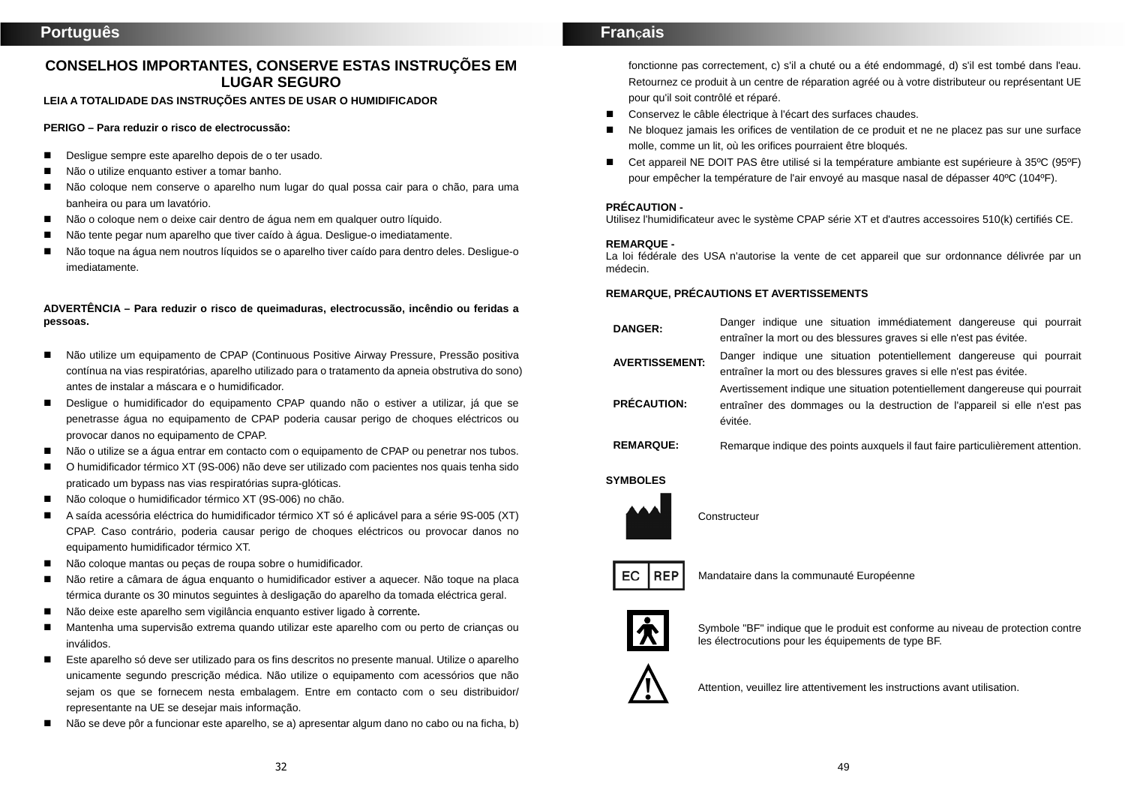# **CONSELHOS IMPORTANTES, CONSERVE ESTAS INSTRUÇÕES EM LUGAR SEGURO**

**LEIA A TOTALIDADE DAS INSTRUÇÕES ANTES DE USAR O HUMIDIFICADOR** 

#### **PERIGO – Para reduzir o risco de electrocussão:**

- Desligue sempre este aparelho depois de o ter usado.
- Não o utilize enquanto estiver a tomar banho.
- Não coloque nem conserve o aparelho num lugar do qual possa cair para o chão, para uma banheira ou para um lavatório.
- Não o coloque nem o deixe cair dentro de água nem em qualquer outro líquido.
- Não tente pegar num aparelho que tiver caído à água. Desligue-o imediatamente.
- Não toque na água nem noutros líquidos se o aparelho tiver caído para dentro deles. Desligue-o imediatamente.

#### **ADVERTÊNCIA – Para reduzir o risco de queimaduras, electrocussão, incêndio ou feridas a pessoas.**

- Não utilize um equipamento de CPAP (Continuous Positive Airway Pressure, Pressão positiva contínua na vias respiratórias, aparelho utilizado para o tratamento da apneia obstrutiva do sono) antes de instalar a máscara e o humidificador.
- Desligue o humidificador do equipamento CPAP quando não o estiver a utilizar, já que se penetrasse água no equipamento de CPAP poderia causar perigo de choques eléctricos ou provocar danos no equipamento de CPAP.
- Não o utilize se a água entrar em contacto com o equipamento de CPAP ou penetrar nos tubos.
- O humidificador térmico XT (9S-006) não deve ser utilizado com pacientes nos quais tenha sido praticado um bypass nas vias respiratórias supra-glóticas.
- Não coloque o humidificador térmico XT (9S-006) no chão.
- A saída acessória eléctrica do humidificador térmico XT só é aplicável para a série 9S-005 (XT) CPAP. Caso contrário, poderia causar perigo de choques eléctricos ou provocar danos no equipamento humidificador térmico XT.
- Não coloque mantas ou pecas de roupa sobre o humidificador.
- Não retire a câmara de água enquanto o humidificador estiver a aquecer. Não toque na placa térmica durante os 30 minutos seguintes à desligação do aparelho da tomada eléctrica geral.
- Não deixe este aparelho sem vigilância enquanto estiver ligado à corrente.
- Mantenha uma supervisão extrema quando utilizar este aparelho com ou perto de crianças ou inválidos.
- Este aparelho só deve ser utilizado para os fins descritos no presente manual. Utilize o aparelho unicamente segundo prescrição médica. Não utilize o equipamento com acessórios que não sejam os que se fornecem nesta embalagem. Entre em contacto com o seu distribuidor/ representante na UE se desejar mais informação.
- Não se deve pôr a funcionar este aparelho, se a) apresentar algum dano no cabo ou na ficha, b)

## **FranÇais**

fonctionne pas correctement, c) s'il a chuté ou a été endommagé, d) s'il est tombé dans l'eau. Retournez ce produit à un centre de réparation agréé ou à votre distributeur ou représentant UE pour qu'il soit contrôlé et réparé.

- Conservez le câble électrique à l'écart des surfaces chaudes.
- Ne bloquez jamais les orifices de ventilation de ce produit et ne ne placez pas sur une surface molle, comme un lit, où les orifices pourraient être bloqués.
- Cet appareil NE DOIT PAS être utilisé si la température ambiante est supérieure à 35°C (95°F) pour empêcher la température de l'air envoyé au masque nasal de dépasser 40ºC (104ºF).

#### **PRÉCAUTION -**

Utilisez l'humidificateur avec le système CPAP série XT et d'autres accessoires 510(k) certifiés CE.

#### **REMARQUE -**

La loi fédérale des USA n'autorise la vente de cet appareil que sur ordonnance délivrée par un médecin.

#### **REMARQUE, PRÉCAUTIONS ET AVERTISSEMENTS**

| <b>DANGER:</b>        | Danger indique une situation immédiatement dangereuse qui pourrait<br>entraîner la mort ou des blessures graves si elle n'est pas évitée.                          |
|-----------------------|--------------------------------------------------------------------------------------------------------------------------------------------------------------------|
| <b>AVERTISSEMENT:</b> | Danger indique une situation potentiellement dangereuse qui pourrait<br>entraîner la mort ou des blessures graves si elle n'est pas évitée.                        |
| <b>PRÉCAUTION:</b>    | Avertissement indique une situation potentiellement dangereuse qui pourrait<br>entraîner des dommages ou la destruction de l'appareil si elle n'est pas<br>évitée. |
| <b>REMARQUE:</b>      | Remarque indique des points auxquels il faut faire particulièrement attention.                                                                                     |

#### **SYMBOLES**



**Constructeur** 



Mandataire dans la communauté Européenne



Symbole "BF" indique que le produit est conforme au niveau de protection contre les électrocutions pour les équipements de type BF.



Attention, veuillez lire attentivement les instructions avant utilisation. **!**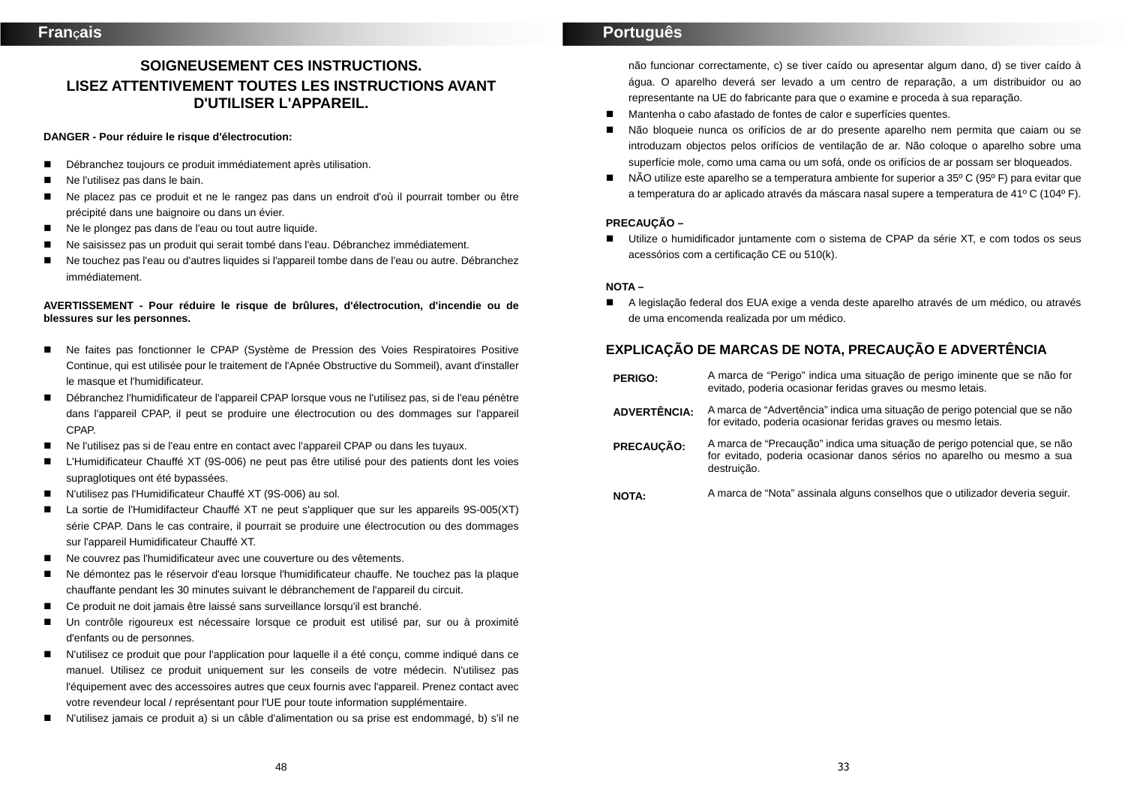# **SOIGNEUSEMENT CES INSTRUCTIONS. LISEZ ATTENTIVEMENT TOUTES LES INSTRUCTIONS AVANT D'UTILISER L'APPAREIL.**

#### **DANGER - Pour réduire le risque d'électrocution:**

- Débranchez toujours ce produit immédiatement après utilisation.
- Ne l'utilisez pas dans le bain.
- Ne placez pas ce produit et ne le rangez pas dans un endroit d'où il pourrait tomber ou être précipité dans une baignoire ou dans un évier.
- Ne le plongez pas dans de l'eau ou tout autre liquide.
- Ne saisissez pas un produit qui serait tombé dans l'eau. Débranchez immédiatement.
- Ne touchez pas l'eau ou d'autres liquides si l'appareil tombe dans de l'eau ou autre. Débranchez immédiatement.

#### **AVERTISSEMENT - Pour réduire le risque de brûlures, d'électrocution, d'incendie ou de blessures sur les personnes.**

- Ne faites pas fonctionner le CPAP (Système de Pression des Voies Respiratoires Positive Continue, qui est utilisée pour le traitement de l'Apnée Obstructive du Sommeil), avant d'installer le masque et l'humidificateur.
- Débranchez l'humidificateur de l'appareil CPAP lorsque vous ne l'utilisez pas, si de l'eau pénètre dans l'appareil CPAP, il peut se produire une électrocution ou des dommages sur l'appareil CPAP.
- Ne l'utilisez pas si de l'eau entre en contact avec l'appareil CPAP ou dans les tuyaux.
- L'Humidificateur Chauffé XT (9S-006) ne peut pas être utilisé pour des patients dont les voies supraglotiques ont été bypassées.
- N'utilisez pas l'Humidificateur Chauffé XT (9S-006) au sol.
- La sortie de l'Humidifacteur Chauffé XT ne peut s'appliquer que sur les appareils 9S-005(XT) série CPAP. Dans le cas contraire, il pourrait se produire une électrocution ou des dommages sur l'appareil Humidificateur Chauffé XT.
- Ne couvrez pas l'humidificateur avec une couverture ou des vêtements.
- Ne démontez pas le réservoir d'eau lorsque l'humidificateur chauffe. Ne touchez pas la plaque chauffante pendant les 30 minutes suivant le débranchement de l'appareil du circuit.
- Ce produit ne doit jamais être laissé sans surveillance lorsqu'il est branché.
- Un contrôle rigoureux est nécessaire lorsque ce produit est utilisé par, sur ou à proximité d'enfants ou de personnes.
- N'utilisez ce produit que pour l'application pour laquelle il a été conçu, comme indiqué dans ce manuel. Utilisez ce produit uniquement sur les conseils de votre médecin. N'utilisez pas l'équipement avec des accessoires autres que ceux fournis avec l'appareil. Prenez contact avec votre revendeur local / représentant pour l'UE pour toute information supplémentaire.
- N'utilisez jamais ce produit a) si un câble d'alimentation ou sa prise est endommagé, b) s'il ne

# **Português**

não funcionar correctamente, c) se tiver caído ou apresentar algum dano, d) se tiver caído à água. O aparelho deverá ser levado a um centro de reparação, a um distribuidor ou ao representante na UE do fabricante para que o examine e proceda à sua reparação.

- Mantenha o cabo afastado de fontes de calor e superfícies quentes.
- Não bloqueie nunca os orifícios de ar do presente aparelho nem permita que caiam ou se introduzam objectos pelos orifícios de ventilação de ar. Não coloque o aparelho sobre uma superfície mole, como uma cama ou um sofá, onde os orifícios de ar possam ser bloqueados.
- NÃO utilize este aparelho se a temperatura ambiente for superior a 35<sup>o</sup> C (95<sup>o</sup> F) para evitar que a temperatura do ar aplicado através da máscara nasal supere a temperatura de 41º C (104º F).

#### **PRECAUÇÃO –**

 Utilize o humidificador juntamente com o sistema de CPAP da série XT, e com todos os seus acessórios com a certificação CE ou 510(k).

#### **NOTA –**

 A legislação federal dos EUA exige a venda deste aparelho através de um médico, ou através de uma encomenda realizada por um médico.

# **EXPLICAÇÃO DE MARCAS DE NOTA, PRECAUÇÃO E ADVERTÊNCIA**

**PERIGO:** A marca de "Perigo" indica uma situação de perigo iminente que se não for evitado, poderia ocasionar feridas graves ou mesmo letais. **ADVERTÊNCIA:** A marca de "Advertência" indica uma situação de perigo potencial que se não for evitado, poderia ocasionar feridas graves ou mesmo letais. **PRECAUÇÃO:** A marca de "Precaução" indica uma situação de perigo potencial que, se não *for evitado, poderia ocasionar danos sérios no aparelho ou mesmo a sua* destruição. **NOTA:** A marca de "Nota" assinala alguns conselhos que o utilizador deveria seguir.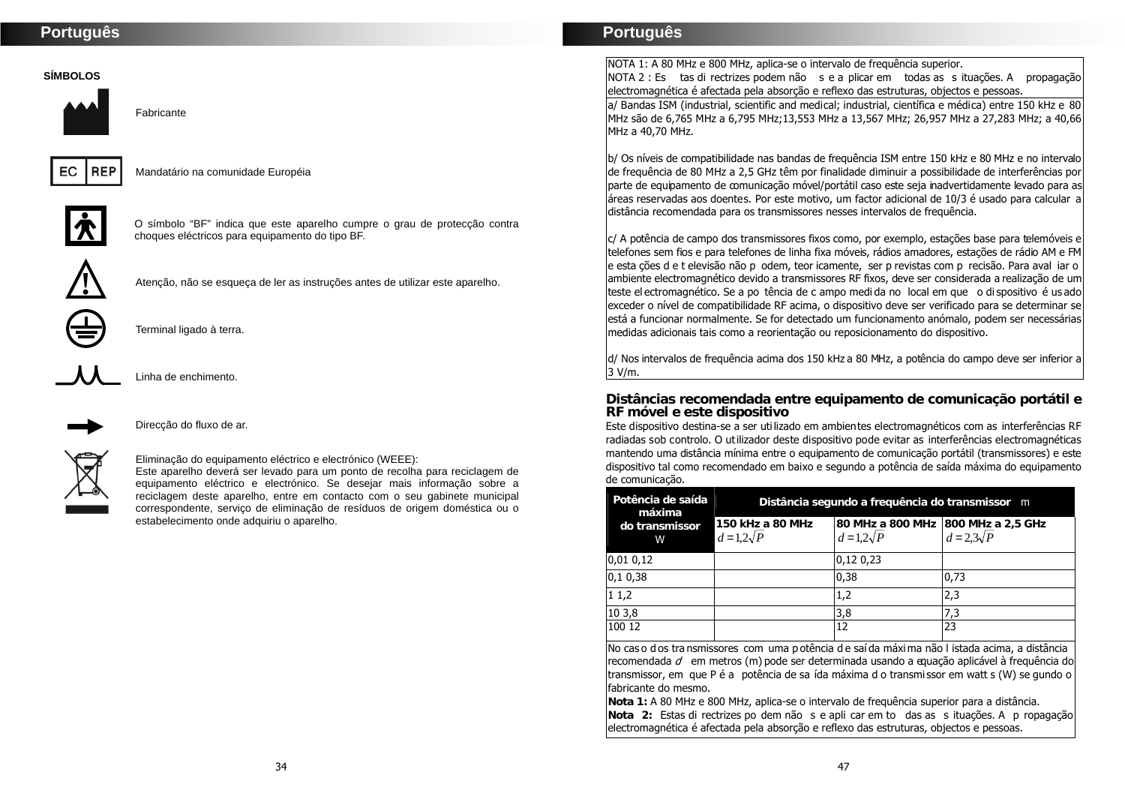#### **SÍMBOLOS**



Fabricante



Mandatário na comunidade Européia



O símbolo "BF" indica que este aparelho cumpre o grau de protecção contra choques eléctricos para equipamento do tipo BF.



Atenção, não se esqueça de ler as instruções antes de utilizar este aparelho.



Terminal ligado à terra.



Linha de enchimento.



Direcção do fluxo de ar.

#### Eliminação do equipamento eléctrico e electrónico (WEEE):

Este aparelho deverá ser levado para um ponto de recolha para reciclagem de equipamento eléctrico e electrónico. Se desejar mais informação sobre a reciclagem deste aparelho, entre em contacto com o seu gabinete municipal correspondente, serviço de eliminação de resíduos de origem doméstica ou o estabelecimento onde adquiriu o aparelho.

## **Português**

NOTA 1: A 80 MHz e 800 MHz, aplica-se o intervalo de frequência superior.

NOTA 2 : Es tas di rectrizes podem não <sup>s</sup> e a plicar em todas as <sup>s</sup> ituações. A propagação electromagnética é afectada pela absorção e reflexo das estruturas, objectos e pessoas.

a/ Bandas ISM (industrial, scientific and medical; industrial, científica e médica) entre 150 kHz e 80 MHz são de 6,765 MHz a 6,795 MHz;13,553 MHz a 13,567 MHz; 26,957 MHz a 27,283 MHz; a 40,66 MHz a 40,70 MHz.

b/ Os níveis de compatibilidade nas bandas de frequência ISM entre 150 kHz e 80 MHz e no intervalo de frequência de 80 MHz a 2,5 GHz têm por finalidade diminuir a possibilidade de interferências por parte de equipamento de comunicação móvel/portátil caso este seja inadvertidamente levado para as áreas reservadas aos doentes. Por este motivo, um factor adicional de 10/3 é usado para calcular a distância recomendada para os transmissores nesses intervalos de frequência.

c/ A potência de campo dos transmissores fixos como, por exemplo, estações base para telemóveis e telefones sem fios e para telefones de linha fixa móveis, rádios amadores, estações de rádio AM e FM e esta ções d e t elevisão não p odem, teor icamente, ser p revistas com p recisão. Para aval iar o ambiente electromagnético devido a transmissores RF fixos, deve ser considerada a realização de um teste el ectromagnético. Se a po tência de c ampo medi da no local em que o di spositivo é us ado exceder o nível de compatibilidade RF acima, o dispositivo deve ser verificado para se determinar se está a funcionar normalmente. Se for detectado um funcionamento anómalo, podem ser necessárias medidas adicionais tais como a reorientação ou reposicionamento do dispositivo.

d/ Nos intervalos de frequência acima dos 150 kHz a 80 MHz, a potência do campo deve ser inferior a 3 V/m.

**Distâncias recomendada entre equipamento de comunicação portátil e RF móvel e este dispositivo**

Este dispositivo destina-se a ser utilizado em ambientes electromagnéticos com as interferências RF radiadas sob controlo. O utilizador deste dispositivo pode evitar as interferências electromagnéticas mantendo uma distância mínima entre o equipamento de comunicação portátil (transmissores) e este dispositivo tal como recomendado em baixo e segundo a potência de saída máxima do equipamento de comunicação.

| Potência de saída<br>máxima | Distância segundo a frequência do transmissor m |                                                       |                   |  |
|-----------------------------|-------------------------------------------------|-------------------------------------------------------|-------------------|--|
| do transmissor<br>W         | 150 kHz a 80 MHz<br>$d=1,2\sqrt{P}$             | 80 MHz a 800 MHz 800 MHz a 2,5 GHz<br>$d=1,2\sqrt{P}$ | $d = 2.3\sqrt{P}$ |  |
| 0,010,12                    |                                                 | 0,12,0,23                                             |                   |  |
| 0,10,38                     |                                                 | 0,38                                                  | 0,73              |  |
| 11,2                        |                                                 | 1,2                                                   | 2,3               |  |
| 10 3,8                      |                                                 | 3,8                                                   | 7,3               |  |
| 100 12                      |                                                 | 12                                                    | 23                |  |

No cas o d os tra nsmissores com uma p otência d e saí da máxi ma não l istada acima, a distância  $r$ ecomendada  $d$  em metros (m) pode ser determinada usando a equação aplicável à frequência do transmissor, em que P é a potência de sa ída máxima d o transmissor em watt s (W) se gundo o fabricante do mesmo.

**Nota 1:** A 80 MHz e 800 MHz, aplica-se o intervalo de frequência superior para a distância. **Nota 2:** Estas di rectrizes po dem não <sup>s</sup> e apli car em to das as <sup>s</sup> ituações. A p ropagação electromagnética é afectada pela absorção e reflexo das estruturas, objectos e pessoas.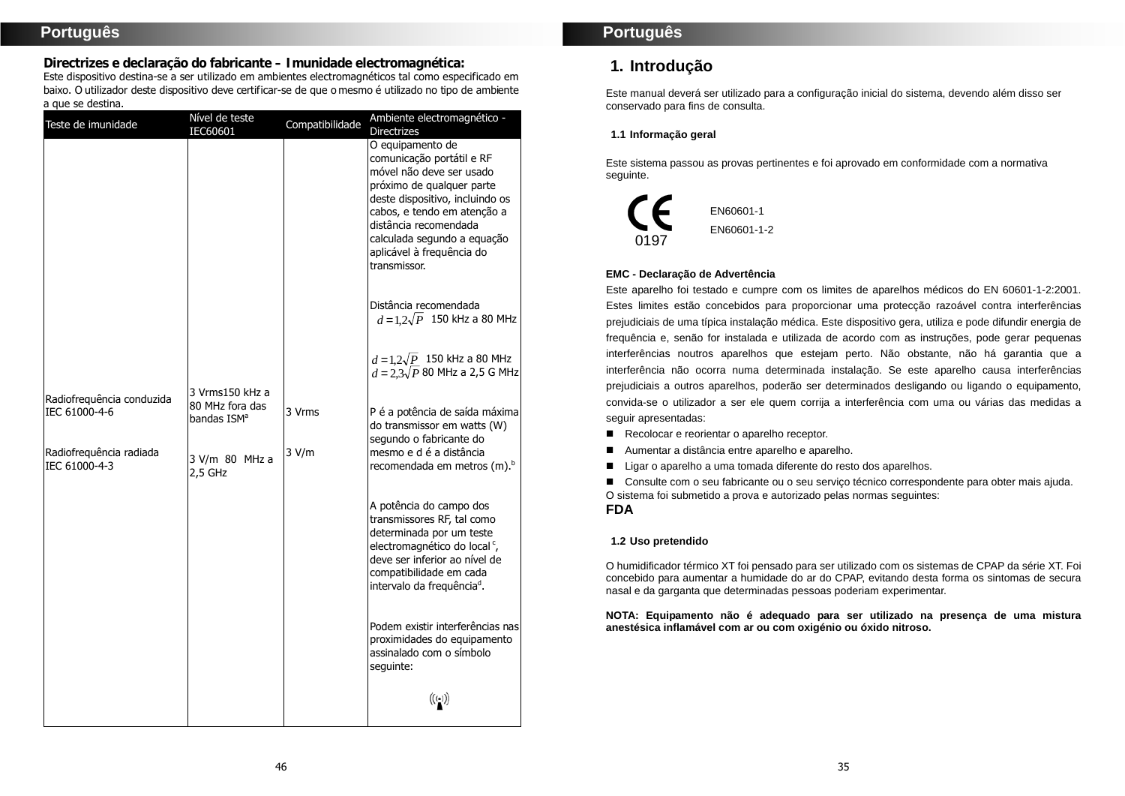**Directrizes e declaração do fabricante – Imunidade electromagnética:** Este dispositivo destina-se a ser utilizado em ambientes electromagnéticos tal como especificado em baixo. O utilizador deste dispositivo deve certificar-se de que o mesmo é utilizado no tipo de ambiente a que se destina.

| Teste de imunidade                         | Nível de teste<br>IEC60601                 | Compatibilidade | Ambiente electromagnético -<br><b>Directrizes</b>                                                                                                                                                                                                                             |
|--------------------------------------------|--------------------------------------------|-----------------|-------------------------------------------------------------------------------------------------------------------------------------------------------------------------------------------------------------------------------------------------------------------------------|
|                                            |                                            |                 | O equipamento de<br>comunicação portátil e RF<br>móvel não deve ser usado<br>próximo de qualquer parte<br>deste dispositivo, incluindo os<br>cabos, e tendo em atenção a<br>distância recomendada<br>calculada segundo a equação<br>aplicável à frequência do<br>transmissor. |
|                                            |                                            |                 | Distância recomendada<br>$d = 1.2\sqrt{P}$ 150 kHz a 80 MHz                                                                                                                                                                                                                   |
|                                            | 3 Vrms150 kHz a                            |                 | $d = 1, 2\sqrt{P}$ 150 kHz a 80 MHz<br>$d = 2.3\sqrt{P}$ 80 MHz a 2,5 G MHz                                                                                                                                                                                                   |
| Radiofrequência conduzida<br>IEC 61000-4-6 | 80 MHz fora das<br>bandas ISM <sup>a</sup> | 3 Vrms          | P é a potência de saída máxima<br>do transmissor em watts (W)<br>segundo o fabricante do                                                                                                                                                                                      |
| Radiofrequência radiada<br>IEC 61000-4-3   | 3 V/m 80 MHz a<br>$2,5$ GHz                | 3 V/m           | mesmo e d é a distância<br>recomendada em metros (m). <sup>b</sup>                                                                                                                                                                                                            |
|                                            |                                            |                 | A potência do campo dos<br>transmissores RF, tal como<br>determinada por um teste<br>electromagnético do local <sup>c</sup> ,<br>deve ser inferior ao nível de<br>compatibilidade em cada<br>intervalo da freguência <sup>d</sup> .                                           |
|                                            |                                            |                 | Podem existir interferências nas<br>proximidades do equipamento<br>assinalado com o símbolo<br>sequinte:                                                                                                                                                                      |
|                                            |                                            |                 | $\left(\left(\begin{smallmatrix} \cdot & \cdot \end{smallmatrix}\right)\right)$                                                                                                                                                                                               |

## **Português**

# **1. Introdução**

Este manual deverá ser utilizado para a configuração inicial do sistema, devendo além disso ser conservado para fins de consulta.

#### **1.1 Informação geral**

Este sistema passou as provas pertinentes e foi aprovado em conformidade com a normativa seguinte.



#### **EMC - Declaração de Advertência**

Este aparelho foi testado e cumpre com os limites de aparelhos médicos do EN 60601-1-2:2001. Estes limites estão concebidos para proporcionar uma protecção razoável contra interferências prejudiciais de uma típica instalação médica. Este dispositivo gera, utiliza e pode difundir energia de frequência e, senão for instalada e utilizada de acordo com as instruções, pode gerar pequenas interferências noutros aparelhos que estejam perto. Não obstante, não há garantia que a interferência não ocorra numa determinada instalação. Se este aparelho causa interferências prejudiciais a outros aparelhos, poderão ser determinados desligando ou ligando o equipamento, convida-se o utilizador a ser ele quem corrija a interferência com uma ou várias das medidas a seguir apresentadas:

- Recolocar e reorientar o aparelho receptor.
- Aumentar a distância entre aparelho e aparelho.
- Ligar o aparelho a uma tomada diferente do resto dos aparelhos.

■ Consulte com o seu fabricante ou o seu servico técnico correspondente para obter mais ajuda. O sistema foi submetido a prova e autorizado pelas normas seguintes:

#### **FDA**

#### **1.2 Uso pretendido**

O humidificador térmico XT foi pensado para ser utilizado com os sistemas de CPAP da série XT. Foi concebido para aumentar a humidade do ar do CPAP, evitando desta forma os sintomas de secura nasal e da garganta que determinadas pessoas poderiam experimentar.

#### **NOTA: Equipamento não é adequado para ser utilizado na presença de uma mistura anestésica inflamável com ar ou com oxigénio ou óxido nitroso.**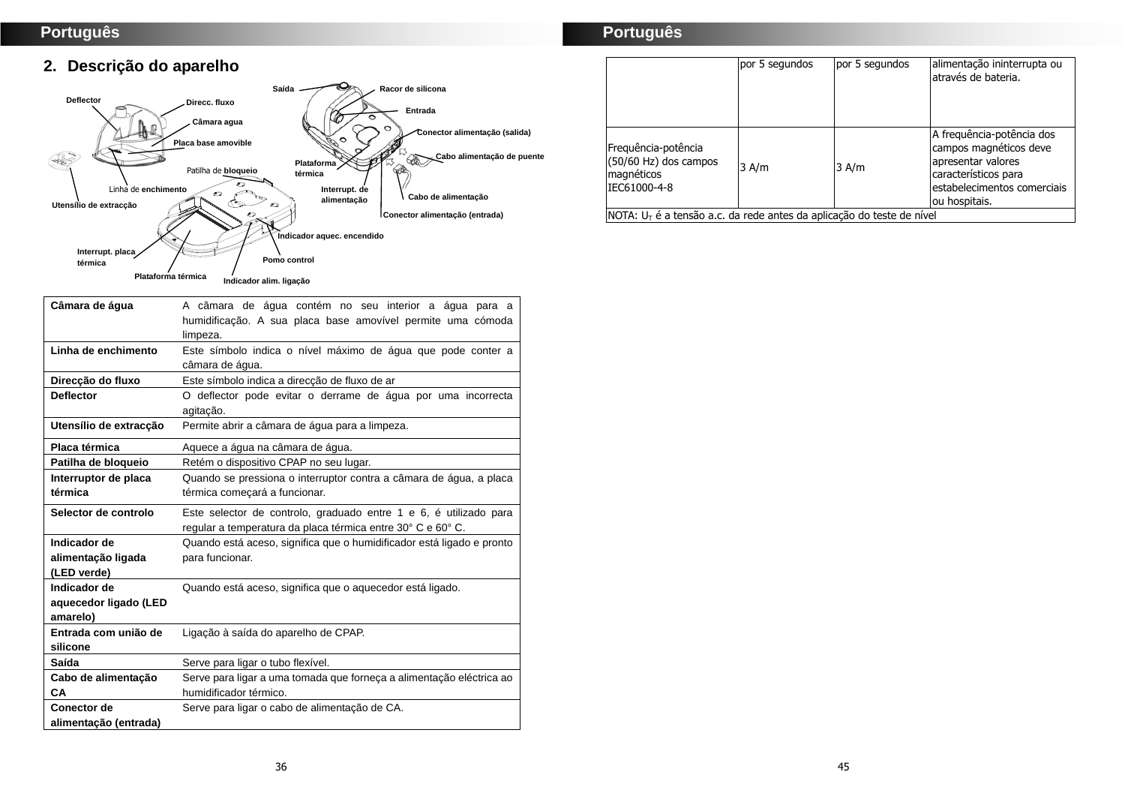# **2. Descrição do aparelho**



| Câmara de áqua         | A câmara de água contém no seu interior a água para a                 |
|------------------------|-----------------------------------------------------------------------|
|                        | humidificação. A sua placa base amovível permite uma cómoda           |
|                        | limpeza.                                                              |
| Linha de enchimento    | Este símbolo indica o nível máximo de água que pode conter a          |
|                        | câmara de água.                                                       |
| Direccão do fluxo      | Este símbolo indica a direcção de fluxo de ar                         |
| <b>Deflector</b>       | O deflector pode evitar o derrame de água por uma incorrecta          |
|                        | agitação.                                                             |
| Utensílio de extracção | Permite abrir a câmara de água para a limpeza.                        |
| Placa térmica          | Aquece a água na câmara de água.                                      |
| Patilha de bloqueio    | Retém o dispositivo CPAP no seu lugar.                                |
| Interruptor de placa   | Quando se pressiona o interruptor contra a câmara de água, a placa    |
| térmica                | térmica comecará a funcionar.                                         |
| Selector de controlo   | Este selector de controlo, graduado entre 1 e 6, é utilizado para     |
|                        | regular a temperatura da placa térmica entre 30° C e 60° C.           |
| Indicador de           | Quando está aceso, significa que o humidificador está ligado e pronto |
| alimentação ligada     | para funcionar.                                                       |
| (LED verde)            |                                                                       |
| Indicador de           | Quando está aceso, significa que o aquecedor está ligado.             |
| aquecedor ligado (LED  |                                                                       |
| amarelo)               |                                                                       |
| Entrada com união de   | Ligação à saída do aparelho de CPAP.                                  |
| silicone               |                                                                       |
| Saída                  | Serve para ligar o tubo flexível.                                     |
| Cabo de alimentação    | Serve para ligar a uma tomada que forneça a alimentação eléctrica ao  |
| CА                     | humidificador térmico.                                                |
| <b>Conector de</b>     | Serve para ligar o cabo de alimentação de CA.                         |
| alimentação (entrada)  |                                                                       |

# **Português**

|                                                                            | por 5 segundos | por 5 segundos | alimentação ininterrupta ou<br>através de bateria.                                                                                                |
|----------------------------------------------------------------------------|----------------|----------------|---------------------------------------------------------------------------------------------------------------------------------------------------|
| Frequência-potência<br>(50/60 Hz) dos campos<br>magnéticos<br>IEC61000-4-8 | $3$ A/m        | $3$ A/m        | A frequência-potência dos<br>campos magnéticos deve<br>apresentar valores<br>característicos para<br>estabelecimentos comerciais<br>ou hospitais. |
| $NOTA: UT$ é a tensão a.c. da rede antes da aplicação do teste de nível    |                |                |                                                                                                                                                   |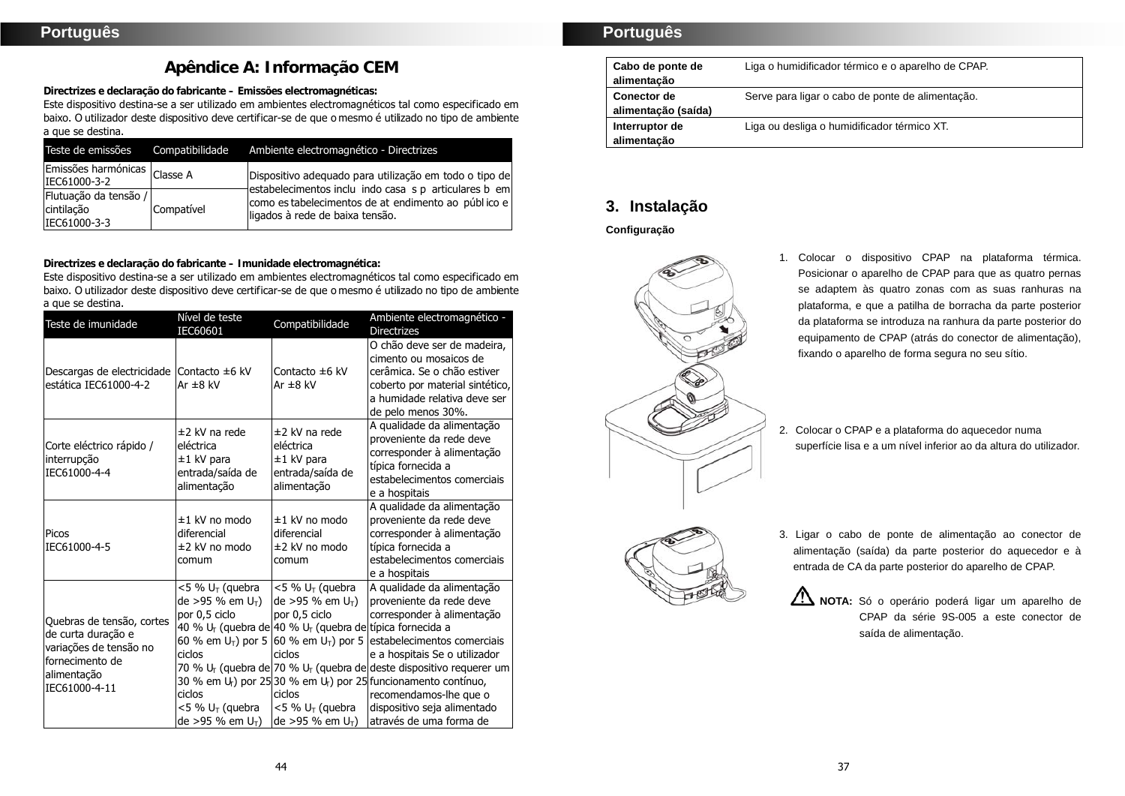# **Apêndice A: Informação CEM**

**Directrizes e declaração do fabricante – Emissões electromagnéticas:**

Este dispositivo destina-se a ser utilizado em ambientes electromagnéticos tal como especificado em baixo. O utilizador deste dispositivo deve certificar-se de que o mesmo é utilizado no tipo de ambiente a que se destina.

| Teste de emissões                                   | Compatibilidade | Ambiente electromagnético - Directrizes                                                                                                         |
|-----------------------------------------------------|-----------------|-------------------------------------------------------------------------------------------------------------------------------------------------|
| Emissões harmónicas Classe A<br>IEC61000-3-2        |                 | Dispositivo adequado para utilização em todo o tipo de                                                                                          |
| Flutuação da tensão /<br>cintilação<br>IEC61000-3-3 | Compatível      | estabelecimentos inclu indo casa s p articulares b em<br>como es tabelecimentos de at endimento ao público e<br>ligados à rede de baixa tensão. |

**Directrizes e declaração do fabricante – Imunidade electromagnética:**

Este dispositivo destina-se a ser utilizado em ambientes electromagnéticos tal como especificado em baixo. O utilizador deste dispositivo deve certificar-se de que o mesmo é utilizado no tipo de ambiente a que se destina.

| Teste de imunidade                                                                                                           | Nível de teste<br>IEC60601                                                                                                                                    | Compatibilidade                                                                                                                                                                                                                                 | Ambiente electromagnético -<br><b>Directrizes</b>                                                                                                                                                                                                                                                                                                                                                                                                                                |
|------------------------------------------------------------------------------------------------------------------------------|---------------------------------------------------------------------------------------------------------------------------------------------------------------|-------------------------------------------------------------------------------------------------------------------------------------------------------------------------------------------------------------------------------------------------|----------------------------------------------------------------------------------------------------------------------------------------------------------------------------------------------------------------------------------------------------------------------------------------------------------------------------------------------------------------------------------------------------------------------------------------------------------------------------------|
| Descargas de electricidade<br>estática IEC61000-4-2                                                                          | Contacto $\pm 6$ kV<br>Ar $\pm 8$ kV                                                                                                                          | Contacto ±6 kV<br>Ar $\pm 8$ kV                                                                                                                                                                                                                 | O chão deve ser de madeira,<br>cimento ou mosaicos de<br>cerâmica. Se o chão estiver<br>coberto por material sintético,<br>a humidade relativa deve ser<br>de pelo menos 30%.                                                                                                                                                                                                                                                                                                    |
| Corte eléctrico rápido /<br>interrupção<br>IEC61000-4-4                                                                      | ±2 kV na rede<br>eléctrica<br>±1 kV para<br>entrada/saída de<br>alimentação                                                                                   | ±2 kV na rede<br>eléctrica<br>±1 kV para<br>entrada/saída de<br>alimentação                                                                                                                                                                     | A qualidade da alimentação<br>proveniente da rede deve<br>corresponder à alimentação<br>típica fornecida a<br>estabelecimentos comerciais<br>e a hospitais                                                                                                                                                                                                                                                                                                                       |
| Picos<br>IEC61000-4-5                                                                                                        | ±1 kV no modo<br>diferencial<br>±2 kV no modo<br>comum                                                                                                        | $±1$ kV no modo<br>diferencial<br>±2 kV no modo<br>comum                                                                                                                                                                                        | A qualidade da alimentação<br>proveniente da rede deve<br>corresponder à alimentação<br>típica fornecida a<br>estabelecimentos comerciais<br>e a hospitais                                                                                                                                                                                                                                                                                                                       |
| Quebras de tensão, cortes<br>de curta duração e<br>variações de tensão no<br>fornecimento de<br>alimentação<br>IEC61000-4-11 | $<$ 5 % U <sub>T</sub> (quebra<br>$de > 95 \%$ em $U_T$ )<br>por 0,5 ciclo<br>ciclos<br>ciclos<br><5 % U <sub>T</sub> (quebra<br>de >95 % em U <sub>T</sub> ) | $<$ 5 % U <sub>T</sub> (quebra<br>$de > 95 \%$ em $U_T$ )<br>por 0,5 ciclo<br>40 % U <sub>r</sub> (quebra de 40 % U <sub>r</sub> (quebra de típica fornecida a<br>ciclos<br>ciclos<br>$<$ 5 % U <sub>T</sub> (quebra<br>$de > 95 \%$ em $U_T$ ) | A qualidade da alimentação<br>proveniente da rede deve<br>corresponder à alimentação<br>60 % em U <sub>T</sub> ) por 5 (60 % em U <sub>T</sub> ) por 5 (estabelecimentos comerciais<br>e a hospitais Se o utilizador<br>70 % $U_T$ (quebra de 70 % $U_T$ (quebra de deste dispositivo requerer um<br>30 % em U <sub>r</sub> ) por 25 30 % em U <sub>r</sub> ) por 25 funcionamento contínuo,<br>recomendamos-lhe que o<br>dispositivo seja alimentado<br>através de uma forma de |

# **Português**

| Cabo de ponte de<br>alimentação | Liga o humidificador térmico e o aparelho de CPAP. |
|---------------------------------|----------------------------------------------------|
| Conector de                     | Serve para ligar o cabo de ponte de alimentação.   |
| alimentação (saída)             |                                                    |
| Interruptor de                  | Liga ou desliga o humidificador térmico XT.        |
| alimentação                     |                                                    |

# **3. Instalação**

## **Configuração**



- 1. Colocar o dispositivo CPAP na plataforma térmica. Posicionar o aparelho de CPAP para que as quatro pernas se adaptem às quatro zonas com as suas ranhuras na plataforma, e que a patilha de borracha da parte posterior da plataforma se introduza na ranhura da parte posterior do equipamento de CPAP (atrás do conector de alimentação), fixando o aparelho de forma segura no seu sítio.
- 2. Colocar o CPAP e a plataforma do aquecedor numa superfície lisa e a um nível inferior ao da altura do utilizador.



alimentação (saída) da parte posterior do aquecedor e à entrada de CA da parte posterior do aparelho de CPAP. NOTA: Só o operário poderá ligar um aparelho de

3. Ligar o cabo de ponte de alimentação ao conector de

CPAP da série 9S-005 a este conector de saída de alimentação.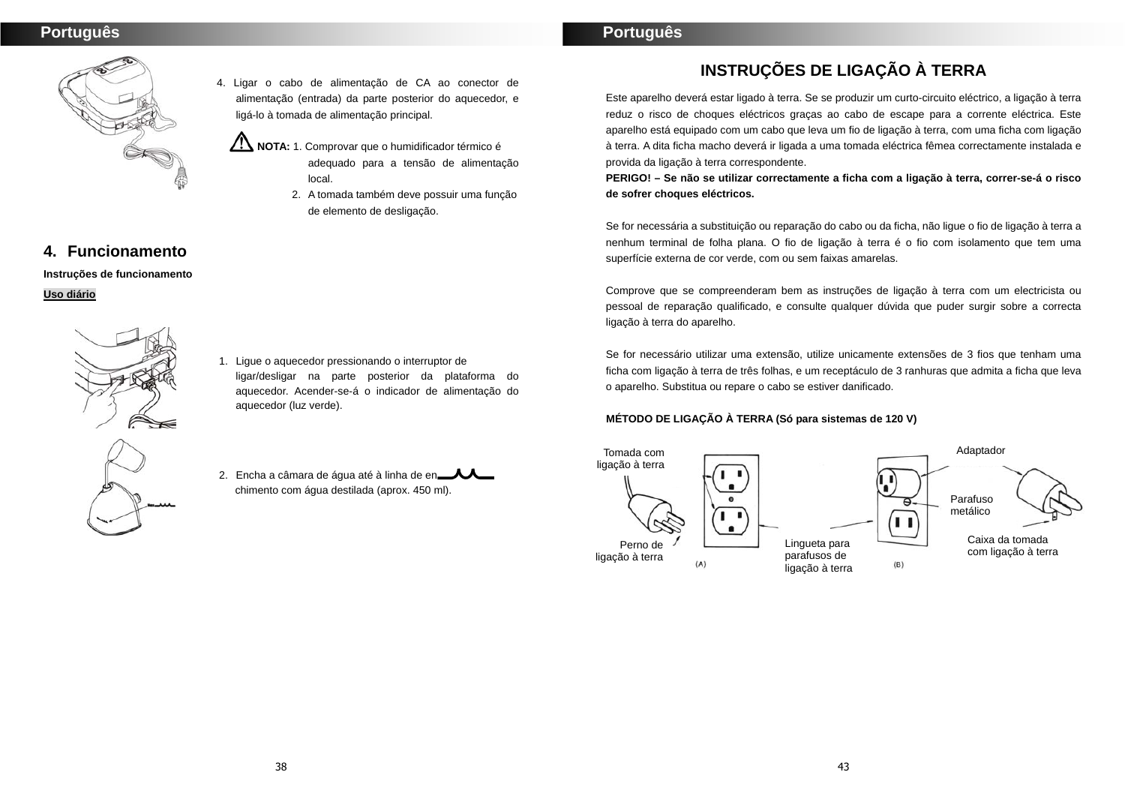

- 4. Ligar o cabo de alimentação de CA ao conector de alimentação (entrada) da parte posterior do aquecedor, e ligá-lo à tomada de alimentação principal.
	- **NOTA:** 1. Comprovar que o humidificador térmico é adequado para a tensão de alimentação local.
		- 2. A tomada também deve possuir uma função de elemento de desligação.

# **4. Funcionamento**

**Instruções de funcionamento Uso diário**



- 1. Ligue o aquecedor pressionando o interruptor de ligar/desligar na parte posterior da plataforma do aquecedor. Acender-se-á o indicador de alimentação do aquecedor (luz verde).
- 2. Encha a câmara de água até à linha de en chimento com água destilada (aprox. 450 ml).

**INSTRUÇÕES DE LIGAÇÃO À TERRA** 

Este aparelho deverá estar ligado à terra. Se se produzir um curto-circuito eléctrico, a ligação à terra reduz o risco de choques eléctricos graças ao cabo de escape para a corrente eléctrica. Este aparelho está equipado com um cabo que leva um fio de ligação à terra, com uma ficha com ligação à terra. A dita ficha macho deverá ir ligada a uma tomada eléctrica fêmea correctamente instalada e provida da ligação à terra correspondente.

**PERIGO! – Se não se utilizar correctamente a ficha com a ligação à terra, correr-se-á o risco de sofrer choques eléctricos.** 

Se for necessária a substituição ou reparação do cabo ou da ficha, não ligue o fio de ligação à terra a nenhum terminal de folha plana. O fio de ligação à terra é o fio com isolamento que tem uma superfície externa de cor verde, com ou sem faixas amarelas.

Comprove que se compreenderam bem as instruções de ligação à terra com um electricista ou pessoal de reparação qualificado, e consulte qualquer dúvida que puder surgir sobre a correcta ligação à terra do aparelho.

Se for necessário utilizar uma extensão, utilize unicamente extensões de 3 fios que tenham uma ficha com ligação à terra de três folhas, e um receptáculo de 3 ranhuras que admita a ficha que leva o aparelho. Substitua ou repare o cabo se estiver danificado.

# **MÉTODO DE LIGAÇÃO À TERRA (Só para sistemas de 120 V)**

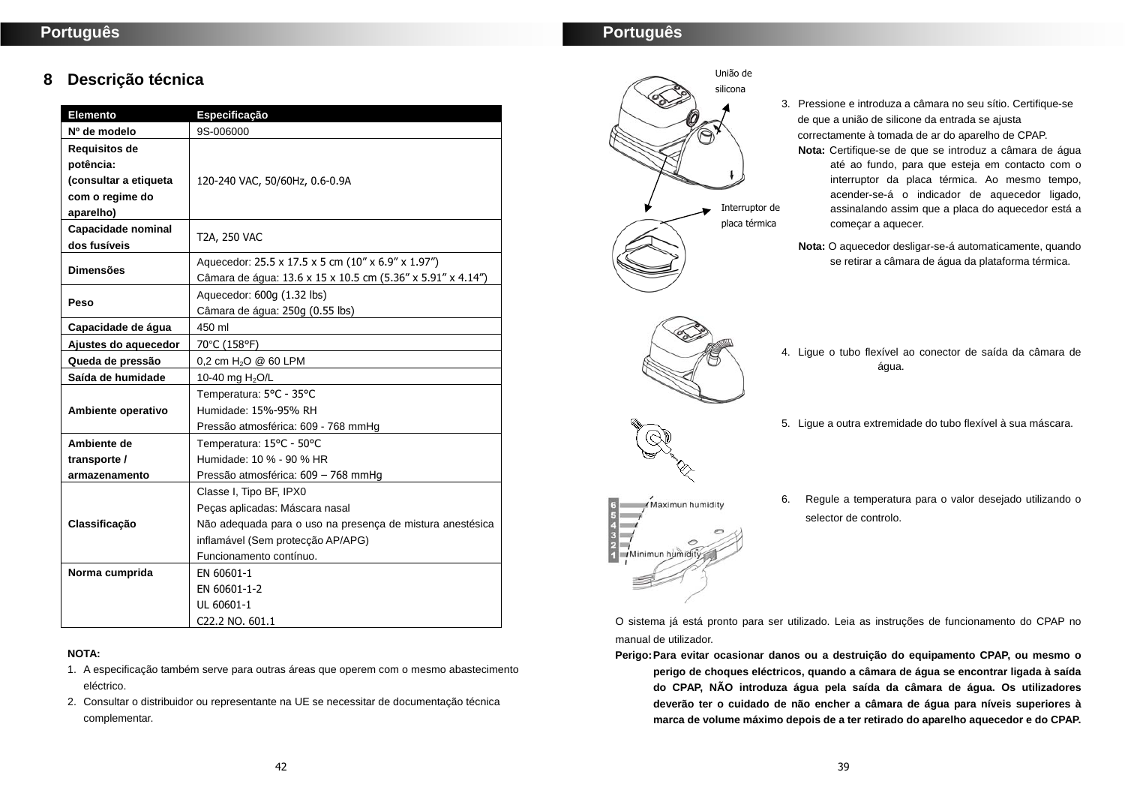# **8 Descrição técnica**

| <b>Elemento</b>       | Especificação                                               |  |
|-----------------------|-------------------------------------------------------------|--|
| Nº de modelo          | 9S-006000                                                   |  |
| Requisitos de         |                                                             |  |
| potência:             |                                                             |  |
| (consultar a etiqueta | 120-240 VAC, 50/60Hz, 0.6-0.9A                              |  |
| com o regime do       |                                                             |  |
| aparelho)             |                                                             |  |
| Capacidade nominal    | T2A, 250 VAC                                                |  |
| dos fusíveis          |                                                             |  |
| <b>Dimensões</b>      | Aquecedor: 25.5 x 17.5 x 5 cm (10" x 6.9" x 1.97")          |  |
|                       | Câmara de água: 13.6 x 15 x 10.5 cm (5.36" x 5.91" x 4.14") |  |
| Peso                  | Aquecedor: 600g (1.32 lbs)                                  |  |
|                       | Câmara de água: 250g (0.55 lbs)                             |  |
| Capacidade de água    | 450 ml                                                      |  |
| Ajustes do aquecedor  | 70°C (158°F)                                                |  |
| Queda de pressão      | 0,2 cm H <sub>2</sub> O @ 60 LPM                            |  |
| Saída de humidade     | 10-40 mg H <sub>2</sub> O/L                                 |  |
|                       | Temperatura: 5°C - 35°C                                     |  |
| Ambiente operativo    | Humidade: 15%-95% RH                                        |  |
|                       | Pressão atmosférica: 609 - 768 mmHg                         |  |
| Ambiente de           | Temperatura: 15°C - 50°C                                    |  |
| transporte /          | Humidade: 10 % - 90 % HR                                    |  |
| armazenamento         | Pressão atmosférica: 609 - 768 mmHg                         |  |
|                       | Classe I, Tipo BF, IPX0                                     |  |
|                       | Peças aplicadas: Máscara nasal                              |  |
| Classificação         | Não adequada para o uso na presença de mistura anestésica   |  |
|                       | inflamável (Sem protecção AP/APG)                           |  |
|                       | Funcionamento contínuo.                                     |  |
| Norma cumprida        | EN 60601-1                                                  |  |
|                       | EN 60601-1-2                                                |  |
|                       | UL 60601-1                                                  |  |
|                       | C22.2 NO. 601.1                                             |  |

#### **NOTA:**

- 1. A especificação também serve para outras áreas que operem com o mesmo abastecimento eléctrico.
- 2. Consultar o distribuidor ou representante na UE se necessitar de documentação técnica complementar.



- 3. Pressione e introduza a câmara no seu sítio. Certifique-se de que a união de silicone da entrada se ajusta correctamente à tomada de ar do aparelho de CPAP.
	- **Nota:** Certifique-se de que se introduz a câmara de água até ao fundo, para que esteja em contacto com o interruptor da placa térmica. Ao mesmo tempo, acender-se-á o indicador de aquecedor ligado, assinalando assim que a placa do aquecedor está a começar a aquecer.
	- **Nota:** O aquecedor desligar-se-á automaticamente, quando se retirar a câmara de água da plataforma térmica.
- 4. Ligue o tubo flexível ao conector de saída da câmara de água.
- 5. Ligue a outra extremidade do tubo flexível à sua máscara.
- 6. Regule a temperatura para o valor desejado utilizando o selector de controlo.

O sistema já está pronto para ser utilizado. Leia as instruções de funcionamento do CPAP no manual de utilizador.

- **Perigo: Para evitar ocasionar danos ou a destruição do equipamento CPAP, ou mesmo o perigo de choques eléctricos, quando a câmara de água se encontrar ligada à saída do CPAP, NÃO introduza água pela saída da câmara de água. Os utilizadores** 
	- **deverão ter o cuidado de não encher a câmara de água para níveis superiores à marca de volume máximo depois de a ter retirado do aparelho aquecedor e do CPAP.**